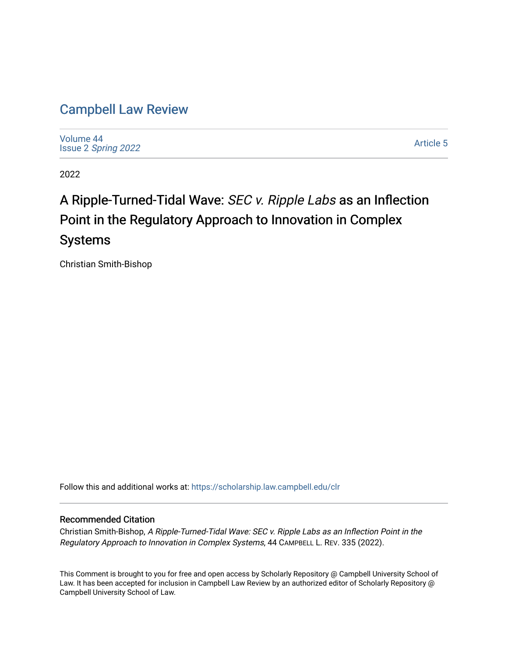# [Campbell Law Review](https://scholarship.law.campbell.edu/clr)

[Volume 44](https://scholarship.law.campbell.edu/clr/vol44) Issue 2 [Spring 2022](https://scholarship.law.campbell.edu/clr/vol44/iss2) 

[Article 5](https://scholarship.law.campbell.edu/clr/vol44/iss2/5) 

2022

# A Ripple-Turned-Tidal Wave: SEC v. Ripple Labs as an Inflection Point in the Regulatory Approach to Innovation in Complex Systems

Christian Smith-Bishop

Follow this and additional works at: [https://scholarship.law.campbell.edu/clr](https://scholarship.law.campbell.edu/clr?utm_source=scholarship.law.campbell.edu%2Fclr%2Fvol44%2Fiss2%2F5&utm_medium=PDF&utm_campaign=PDFCoverPages) 

### Recommended Citation

Christian Smith-Bishop, A Ripple-Turned-Tidal Wave: SEC v. Ripple Labs as an Inflection Point in the Regulatory Approach to Innovation in Complex Systems, 44 CAMPBELL L. REV. 335 (2022).

This Comment is brought to you for free and open access by Scholarly Repository @ Campbell University School of Law. It has been accepted for inclusion in Campbell Law Review by an authorized editor of Scholarly Repository @ Campbell University School of Law.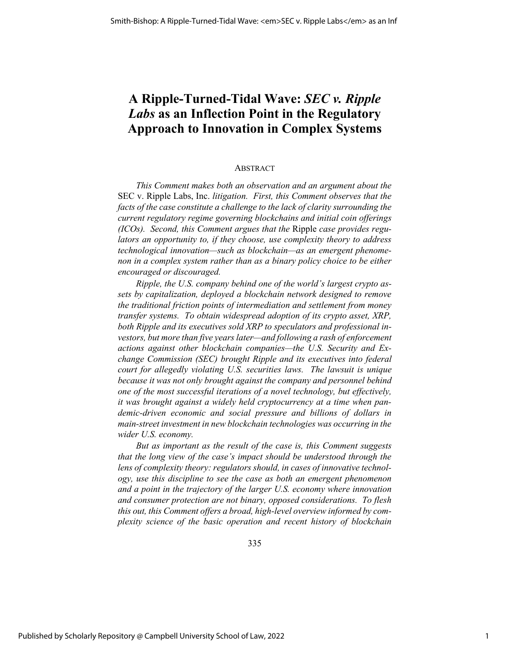## **A Ripple-Turned-Tidal Wave:** *SEC v. Ripple Labs* **as an Inflection Point in the Regulatory Approach to Innovation in Complex Systems**

#### ABSTRACT

*This Comment makes both an observation and an argument about the*  SEC v. Ripple Labs, Inc. *litigation. First, this Comment observes that the facts of the case constitute a challenge to the lack of clarity surrounding the current regulatory regime governing blockchains and initial coin offerings (ICOs). Second, this Comment argues that the* Ripple *case provides regulators an opportunity to, if they choose, use complexity theory to address technological innovation—such as blockchain—as an emergent phenomenon in a complex system rather than as a binary policy choice to be either encouraged or discouraged.*

*Ripple, the U.S. company behind one of the world's largest crypto assets by capitalization, deployed a blockchain network designed to remove the traditional friction points of intermediation and settlement from money transfer systems. To obtain widespread adoption of its crypto asset, XRP, both Ripple and its executives sold XRP to speculators and professional investors, but more than five years later—and following a rash of enforcement actions against other blockchain companies—the U.S. Security and Exchange Commission (SEC) brought Ripple and its executives into federal court for allegedly violating U.S. securities laws. The lawsuit is unique because it was not only brought against the company and personnel behind one of the most successful iterations of a novel technology, but effectively, it was brought against a widely held cryptocurrency at a time when pandemic-driven economic and social pressure and billions of dollars in main-street investment in new blockchain technologies was occurring in the wider U.S. economy.* 

*But as important as the result of the case is, this Comment suggests that the long view of the case's impact should be understood through the lens of complexity theory: regulators should, in cases of innovative technology, use this discipline to see the case as both an emergent phenomenon and a point in the trajectory of the larger U.S. economy where innovation and consumer protection are not binary, opposed considerations. To flesh this out, this Comment offers a broad, high-level overview informed by complexity science of the basic operation and recent history of blockchain*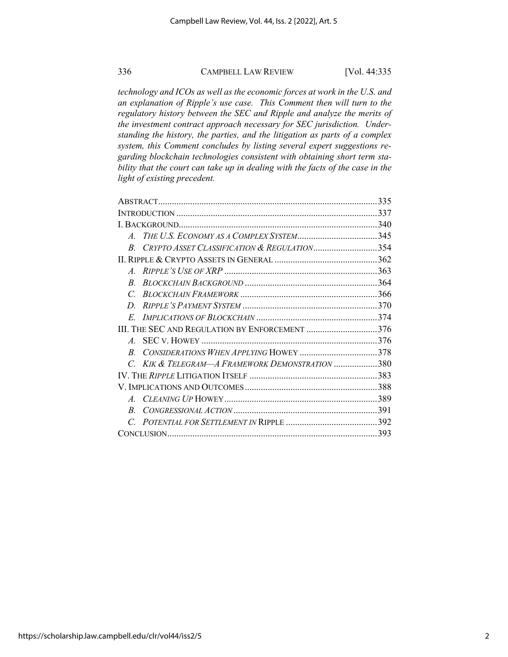*technology and ICOs as well as the economic forces at work in the U.S. and an explanation of Ripple's use case. This Comment then will turn to the regulatory history between the SEC and Ripple and analyze the merits of the investment contract approach necessary for SEC jurisdiction. Understanding the history, the parties, and the litigation as parts of a complex system, this Comment concludes by listing several expert suggestions regarding blockchain technologies consistent with obtaining short term stability that the court can take up in dealing with the facts of the case in the light of existing precedent.* 

| CRYPTO ASSET CLASSIFICATION & REGULATION354    |
|------------------------------------------------|
|                                                |
|                                                |
|                                                |
|                                                |
|                                                |
|                                                |
| III. THE SEC AND REGULATION BY ENFORCEMENT 376 |
|                                                |
|                                                |
| KIK & TELEGRAM—A FRAMEWORK DEMONSTRATION 380   |
|                                                |
|                                                |
|                                                |
|                                                |
|                                                |
|                                                |
|                                                |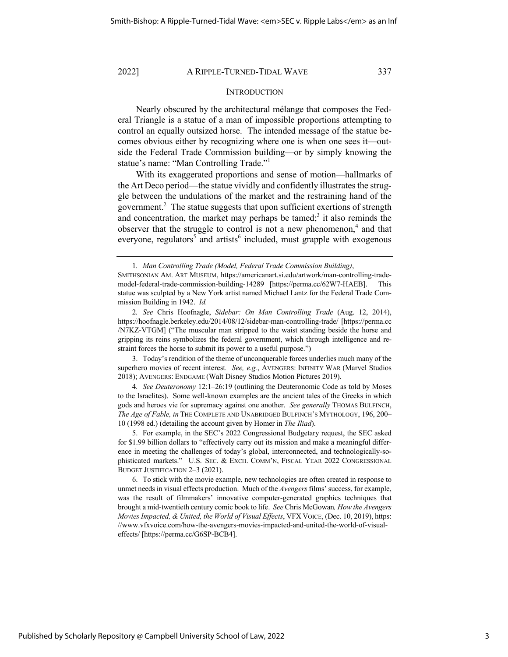#### **INTRODUCTION**

Nearly obscured by the architectural mélange that composes the Federal Triangle is a statue of a man of impossible proportions attempting to control an equally outsized horse. The intended message of the statue becomes obvious either by recognizing where one is when one sees it—outside the Federal Trade Commission building—or by simply knowing the statue's name: "Man Controlling Trade."<sup>1</sup>

With its exaggerated proportions and sense of motion—hallmarks of the Art Deco period—the statue vividly and confidently illustrates the struggle between the undulations of the market and the restraining hand of the government.<sup>2</sup> The statue suggests that upon sufficient exertions of strength and concentration, the market may perhaps be tamed; $3$  it also reminds the observer that the struggle to control is not a new phenomenon,<sup>4</sup> and that everyone, regulators<sup>5</sup> and artists<sup>6</sup> included, must grapple with exogenous

3. Today's rendition of the theme of unconquerable forces underlies much many of the superhero movies of recent interest*. See, e.g.*, AVENGERS: INFINITY WAR (Marvel Studios 2018); AVENGERS: ENDGAME (Walt Disney Studios Motion Pictures 2019).

4*. See Deuteronomy* 12:1–26:19 (outlining the Deuteronomic Code as told by Moses to the Israelites). Some well-known examples are the ancient tales of the Greeks in which gods and heroes vie for supremacy against one another. *See generally* THOMAS BULFINCH, *The Age of Fable, in* THE COMPLETE AND UNABRIDGED BULFINCH'S MYTHOLOGY, 196, 200– 10 (1998 ed.) (detailing the account given by Homer in *The Iliad*).

5. For example, in the SEC's 2022 Congressional Budgetary request, the SEC asked for \$1.99 billion dollars to "effectively carry out its mission and make a meaningful difference in meeting the challenges of today's global, interconnected, and technologically-sophisticated markets." U.S. SEC. & EXCH. COMM'N, FISCAL YEAR 2022 CONGRESSIONAL BUDGET JUSTIFICATION 2–3 (2021).

6. To stick with the movie example, new technologies are often created in response to unmet needs in visual effects production. Much of the *Avengers* films' success, for example, was the result of filmmakers' innovative computer-generated graphics techniques that brought a mid-twentieth century comic book to life. *See* Chris McGowan*, How the Avengers Movies Impacted, & United, the World of Visual Effects*, VFX VOICE, (Dec. 10, 2019), https: //www.vfxvoice.com/how-the-avengers-movies-impacted-and-united-the-world-of-visualeffects/ [https://perma.cc/G6SP-BCB4].

<sup>1</sup>*. Man Controlling Trade (Model, Federal Trade Commission Building)*,

SMITHSONIAN AM. ART MUSEUM, https://americanart.si.edu/artwork/man-controlling-trademodel-federal-trade-commission-building-14289 [https://perma.cc/62W7-HAEB]. This statue was sculpted by a New York artist named Michael Lantz for the Federal Trade Commission Building in 1942. *Id.*

<sup>2</sup>*. See* Chris Hoofnagle, *Sidebar: On Man Controlling Trade* (Aug. 12, 2014), https://hoofnagle.berkeley.edu/2014/08/12/sidebar-man-controlling-trade/ [https://perma.cc /N7KZ-VTGM] ("The muscular man stripped to the waist standing beside the horse and gripping its reins symbolizes the federal government, which through intelligence and restraint forces the horse to submit its power to a useful purpose.")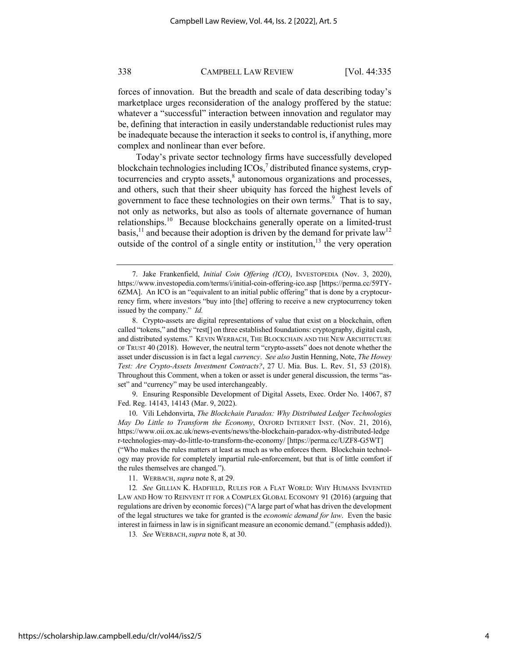forces of innovation. But the breadth and scale of data describing today's marketplace urges reconsideration of the analogy proffered by the statue: whatever a "successful" interaction between innovation and regulator may be, defining that interaction in easily understandable reductionist rules may be inadequate because the interaction it seeks to control is, if anything, more complex and nonlinear than ever before.

Today's private sector technology firms have successfully developed blockchain technologies including  $ICOs<sub>1</sub><sup>7</sup>$  distributed finance systems, cryptocurrencies and crypto assets, $\frac{8}{3}$  autonomous organizations and processes, and others, such that their sheer ubiquity has forced the highest levels of government to face these technologies on their own terms.<sup>9</sup> That is to say, not only as networks, but also as tools of alternate governance of human relationships.<sup>10</sup> Because blockchains generally operate on a limited-trust basis,<sup>11</sup> and because their adoption is driven by the demand for private law<sup>12</sup> outside of the control of a single entity or institution,<sup>13</sup> the very operation

9. Ensuring Responsible Development of Digital Assets, Exec. Order No. 14067, 87 Fed. Reg. 14143, 14143 (Mar. 9, 2022).

10. Vili Lehdonvirta, *The Blockchain Paradox: Why Distributed Ledger Technologies May Do Little to Transform the Economy*, OXFORD INTERNET INST. (Nov. 21, 2016), https://www.oii.ox.ac.uk/news-events/news/the-blockchain-paradox-why-distributed-ledge r-technologies-may-do-little-to-transform-the-economy/ [https://perma.cc/UZF8-G5WT] ("Who makes the rules matters at least as much as who enforces them. Blockchain technology may provide for completely impartial rule-enforcement, but that is of little comfort if the rules themselves are changed.").

11. WERBACH, *supra* note 8, at 29.

13*. See* WERBACH,*supra* note 8, at 30.

<sup>7.</sup> Jake Frankenfield, *Initial Coin Offering (ICO)*, INVESTOPEDIA (Nov. 3, 2020), https://www.investopedia.com/terms/i/initial-coin-offering-ico.asp [https://perma.cc/59TY-6ZMA]. An ICO is an "equivalent to an initial public offering" that is done by a cryptocurrency firm, where investors "buy into [the] offering to receive a new cryptocurrency token issued by the company." *Id.*

<sup>8.</sup> Crypto-assets are digital representations of value that exist on a blockchain, often called "tokens," and they "rest[] on three established foundations: cryptography, digital cash, and distributed systems." KEVIN WERBACH, THE BLOCKCHAIN AND THE NEW ARCHITECTURE OF TRUST 40 (2018). However, the neutral term "crypto-assets" does not denote whether the asset under discussion is in fact a legal *currency*. *See also* Justin Henning, Note, *The Howey Test: Are Crypto-Assets Investment Contracts?*, 27 U. Mia. Bus. L. Rev. 51, 53 (2018). Throughout this Comment, when a token or asset is under general discussion, the terms "asset" and "currency" may be used interchangeably.

<sup>12</sup>*. See* GILLIAN K. HADFIELD, RULES FOR A FLAT WORLD: WHY HUMANS INVENTED LAW AND HOW TO REINVENT IT FOR A COMPLEX GLOBAL ECONOMY 91 (2016) (arguing that regulations are driven by economic forces) ("A large part of what has driven the development of the legal structures we take for granted is the *economic demand for law*. Even the basic interest in fairness in law is in significant measure an economic demand." (emphasis added)).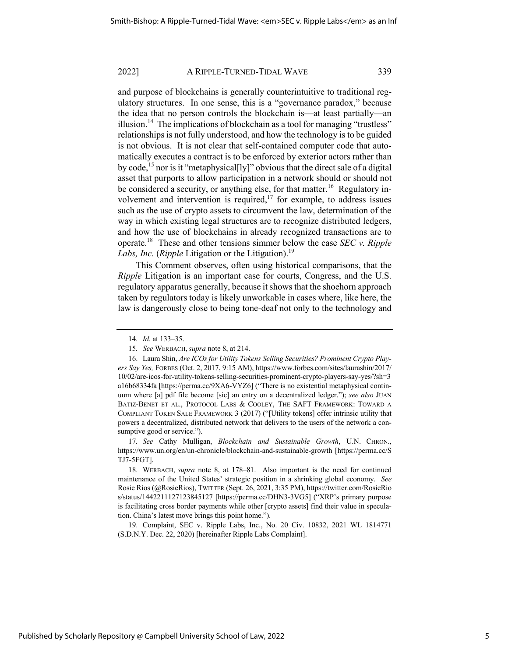and purpose of blockchains is generally counterintuitive to traditional regulatory structures. In one sense, this is a "governance paradox," because the idea that no person controls the blockchain is—at least partially—an illusion.<sup>14</sup> The implications of blockchain as a tool for managing "trustless" relationships is not fully understood, and how the technology is to be guided is not obvious. It is not clear that self-contained computer code that automatically executes a contract is to be enforced by exterior actors rather than by code,<sup>15</sup> nor is it "metaphysical<sup>[1</sup>y]" obvious that the direct sale of a digital asset that purports to allow participation in a network should or should not be considered a security, or anything else, for that matter.<sup>16</sup> Regulatory involvement and intervention is required, $17$  for example, to address issues such as the use of crypto assets to circumvent the law, determination of the way in which existing legal structures are to recognize distributed ledgers, and how the use of blockchains in already recognized transactions are to operate.18 These and other tensions simmer below the case *SEC v. Ripple Labs, Inc. (Ripple* Litigation or the Litigation).<sup>19</sup>

This Comment observes, often using historical comparisons, that the *Ripple* Litigation is an important case for courts, Congress, and the U.S. regulatory apparatus generally, because it shows that the shoehorn approach taken by regulators today is likely unworkable in cases where, like here, the law is dangerously close to being tone-deaf not only to the technology and

17*. See* Cathy Mulligan, *Blockchain and Sustainable Growth*, U.N. CHRON., https://www.un.org/en/un-chronicle/blockchain-and-sustainable-growth [https://perma.cc/S TJ7-5FGT].

19. Complaint, SEC v. Ripple Labs, Inc., No. 20 Civ. 10832, 2021 WL 1814771 (S.D.N.Y. Dec. 22, 2020) [hereinafter Ripple Labs Complaint].

<sup>14</sup>*. Id.* at 133–35.

<sup>15</sup>*. See* WERBACH,*supra* note 8, at 214.

<sup>16.</sup> Laura Shin, *Are ICOs for Utility Tokens Selling Securities? Prominent Crypto Players Say Yes,* FORBES (Oct. 2, 2017, 9:15 AM), https://www.forbes.com/sites/laurashin/2017/ 10/02/are-icos-for-utility-tokens-selling-securities-prominent-crypto-players-say-yes/?sh=3 a16b68334fa [https://perma.cc/9XA6-VYZ6] ("There is no existential metaphysical continuum where [a] pdf file become [sic] an entry on a decentralized ledger."); *see also* JUAN BATIZ-BENET ET AL., PROTOCOL LABS & COOLEY, THE SAFT FRAMEWORK: TOWARD A COMPLIANT TOKEN SALE FRAMEWORK 3 (2017) ("[Utility tokens] offer intrinsic utility that powers a decentralized, distributed network that delivers to the users of the network a consumptive good or service.").

<sup>18.</sup> WERBACH, *supra* note 8, at 178–81. Also important is the need for continued maintenance of the United States' strategic position in a shrinking global economy. *See* Rosie Rios (@RosieRios), TWITTER (Sept. 26, 2021, 3:35 PM), https://twitter.com/RosieRio s/status/1442211127123845127 [https://perma.cc/DHN3-3VG5] ("XRP's primary purpose is facilitating cross border payments while other [crypto assets] find their value in speculation. China's latest move brings this point home.").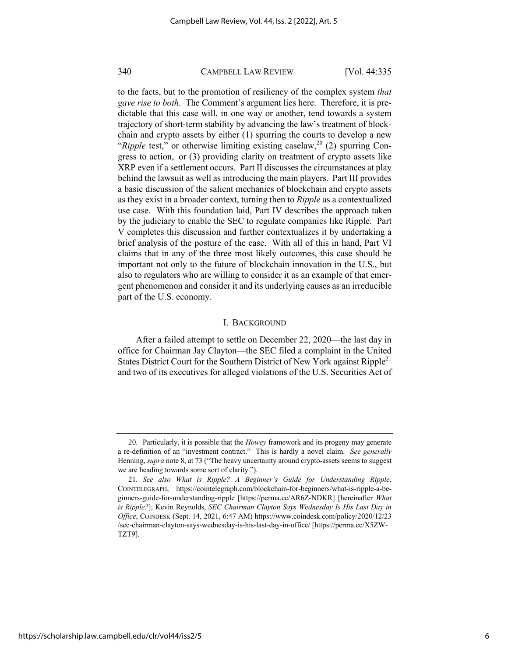to the facts, but to the promotion of resiliency of the complex system *that gave rise to both*. The Comment's argument lies here. Therefore, it is predictable that this case will, in one way or another, tend towards a system trajectory of short-term stability by advancing the law's treatment of blockchain and crypto assets by either (1) spurring the courts to develop a new "*Ripple* test," or otherwise limiting existing caselaw,<sup>20</sup> (2) spurring Congress to action, or (3) providing clarity on treatment of crypto assets like XRP even if a settlement occurs. Part II discusses the circumstances at play behind the lawsuit as well as introducing the main players. Part III provides a basic discussion of the salient mechanics of blockchain and crypto assets as they exist in a broader context, turning then to *Ripple* as a contextualized use case. With this foundation laid, Part IV describes the approach taken by the judiciary to enable the SEC to regulate companies like Ripple. Part V completes this discussion and further contextualizes it by undertaking a brief analysis of the posture of the case. With all of this in hand, Part VI claims that in any of the three most likely outcomes, this case should be important not only to the future of blockchain innovation in the U.S., but also to regulators who are willing to consider it as an example of that emergent phenomenon and consider it and its underlying causes as an irreducible part of the U.S. economy.

#### I. BACKGROUND

After a failed attempt to settle on December 22, 2020—the last day in office for Chairman Jay Clayton—the SEC filed a complaint in the United States District Court for the Southern District of New York against Ripple<sup>21</sup> and two of its executives for alleged violations of the U.S. Securities Act of

<sup>20.</sup> Particularly, it is possible that the *Howey* framework and its progeny may generate a re-definition of an "investment contract." This is hardly a novel claim. *See generally*  Henning, *supra* note 8, at 73 ("The heavy uncertainty around crypto-assets seems to suggest we are heading towards some sort of clarity.").

<sup>21</sup>*. See also What is Ripple? A Beginner's Guide for Understanding Ripple*, COINTELEGRAPH, https://cointelegraph.com/blockchain-for-beginners/what-is-ripple-a-beginners-guide-for-understanding-ripple [https://perma.cc/AR6Z-NDKR] [hereinafter *What is Ripple?*]; Kevin Reynolds, *SEC Chairman Clayton Says Wednesday Is His Last Day in Office*, COINDESK (Sept. 14, 2021, 6:47 AM) https://www.coindesk.com/policy/2020/12/23 /sec-chairman-clayton-says-wednesday-is-his-last-day-in-office/ [https://perma.cc/X5ZW-TZT9].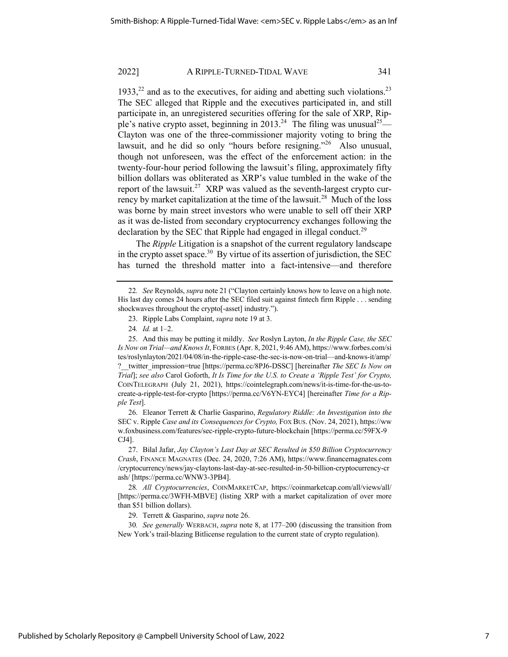$1933$ <sup>22</sup> and as to the executives, for aiding and abetting such violations.<sup>23</sup> The SEC alleged that Ripple and the executives participated in, and still participate in, an unregistered securities offering for the sale of XRP, Ripple's native crypto asset, beginning in 2013.<sup>24</sup> The filing was unusual<sup>25</sup>— Clayton was one of the three-commissioner majority voting to bring the lawsuit, and he did so only "hours before resigning."<sup>26</sup> Also unusual, though not unforeseen, was the effect of the enforcement action: in the twenty-four-hour period following the lawsuit's filing, approximately fifty billion dollars was obliterated as XRP's value tumbled in the wake of the report of the lawsuit.<sup>27</sup> XRP was valued as the seventh-largest crypto currency by market capitalization at the time of the lawsuit.<sup>28</sup> Much of the loss was borne by main street investors who were unable to sell off their XRP as it was de-listed from secondary cryptocurrency exchanges following the declaration by the SEC that Ripple had engaged in illegal conduct.<sup>29</sup>

The *Ripple* Litigation is a snapshot of the current regulatory landscape in the crypto asset space.<sup>30</sup> By virtue of its assertion of jurisdiction, the SEC has turned the threshold matter into a fact-intensive—and therefore

26. Eleanor Terrett & Charlie Gasparino, *Regulatory Riddle: An Investigation into the*  SEC v. Ripple *Case and its Consequences for Crypto,* FOX BUS. (Nov. 24, 2021), https://ww w.foxbusiness.com/features/sec-ripple-crypto-future-blockchain [https://perma.cc/59FX-9 CJ4].

27. Bilal Jafar, *Jay Clayton's Last Day at SEC Resulted in \$50 Billion Cryptocurrency Crash*, FINANCE MAGNATES (Dec. 24, 2020, 7:26 AM), https://www.financemagnates.com /cryptocurrency/news/jay-claytons-last-day-at-sec-resulted-in-50-billion-cryptocurrency-cr ash/ [https://perma.cc/WNW3-3PB4].

28*. All Cryptocurrencies*, COINMARKETCAP, https://coinmarketcap.com/all/views/all/ [https://perma.cc/3WFH-MBVE] (listing XRP with a market capitalization of over more than \$51 billion dollars).

29. Terrett & Gasparino, *supra* note 26.

30*. See generally* WERBACH, *supra* note 8, at 177–200 (discussing the transition from New York's trail-blazing Bitlicense regulation to the current state of crypto regulation).

<sup>22</sup>*. See* Reynolds, *supra* note 21 ("Clayton certainly knows how to leave on a high note. His last day comes 24 hours after the SEC filed suit against fintech firm Ripple . . . sending shockwaves throughout the crypto[-asset] industry.").

<sup>23.</sup> Ripple Labs Complaint, *supra* note 19 at 3.

<sup>24</sup>*. Id.* at 1–2.

<sup>25.</sup> And this may be putting it mildly. *See* Roslyn Layton, *In the Ripple Case, the SEC Is Now on Trial—and Knows It*, FORBES (Apr. 8, 2021, 9:46 AM), https://www.forbes.com/si tes/roslynlayton/2021/04/08/in-the-ripple-case-the-sec-is-now-on-trial—and-knows-it/amp/ ?\_\_twitter\_impression=true [https://perma.cc/8PJ6-DSSC] [hereinafter *The SEC Is Now on Trial*]; *see also* Carol Goforth, *It Is Time for the U.S. to Create a 'Ripple Test' for Crypto,* COINTELEGRAPH (July 21, 2021), https://cointelegraph.com/news/it-is-time-for-the-us-tocreate-a-ripple-test-for-crypto [https://perma.cc/V6YN-EYC4] [hereinafter *Time for a Ripple Test*].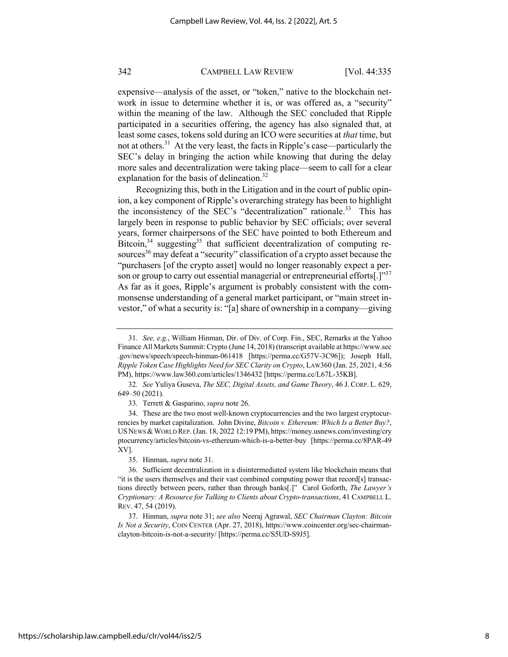expensive—analysis of the asset, or "token," native to the blockchain network in issue to determine whether it is, or was offered as, a "security" within the meaning of the law. Although the SEC concluded that Ripple participated in a securities offering, the agency has also signaled that, at least some cases, tokens sold during an ICO were securities at *that* time, but not at others.<sup>31</sup> At the very least, the facts in Ripple's case—particularly the SEC's delay in bringing the action while knowing that during the delay more sales and decentralization were taking place—seem to call for a clear explanation for the basis of delineation.<sup>32</sup>

Recognizing this, both in the Litigation and in the court of public opinion, a key component of Ripple's overarching strategy has been to highlight the inconsistency of the SEC's "decentralization" rationale.<sup>33</sup> This has largely been in response to public behavior by SEC officials; over several years, former chairpersons of the SEC have pointed to both Ethereum and Bitcoin,  $34$  suggesting  $35$  that sufficient decentralization of computing resources<sup>36</sup> may defeat a "security" classification of a crypto asset because the "purchasers [of the crypto asset] would no longer reasonably expect a person or group to carry out essential managerial or entrepreneurial efforts[.]"<sup>37</sup> As far as it goes, Ripple's argument is probably consistent with the commonsense understanding of a general market participant, or "main street investor," of what a security is: "[a] share of ownership in a company—giving

32*. See* Yuliya Guseva, *The SEC, Digital Assets, and Game Theory*, 46 J. CORP. L. 629, 649–50 (2021).

33. Terrett & Gasparino, *supra* note 26.

34. These are the two most well-known cryptocurrencies and the two largest cryptocurrencies by market capitalization. John Divine, *Bitcoin v. Ethereum: Which Is a Better Buy?*, USNEWS & WORLD REP. (Jan. 18, 2022 12:19 PM), https://money.usnews.com/investing/cry ptocurrency/articles/bitcoin-vs-ethereum-which-is-a-better-buy [https://perma.cc/8PAR-49 XV].

35. Hinman, *supra* note 31.

36. Sufficient decentralization in a disintermediated system like blockchain means that "it is the users themselves and their vast combined computing power that record[s] transactions directly between peers, rather than through banks[.]" Carol Goforth, *The Lawyer's Cryptionary: A Resource for Talking to Clients about Crypto-transactions*, 41 CAMPBELL L. REV. 47, 54 (2019).

37. Hinman, *supra* note 31; *see also* Neeraj Agrawal, *SEC Chairman Clayton: Bitcoin Is Not a Security*, COIN CENTER (Apr. 27, 2018), https://www.coincenter.org/sec-chairmanclayton-bitcoin-is-not-a-security/ [https://perma.cc/S5UD-S9J5].

<sup>31</sup>*. See, e.g.*, William Hinman, Dir. of Div. of Corp. Fin., SEC, Remarks at the Yahoo Finance All Markets Summit: Crypto (June 14, 2018) (transcript available at https://www.sec .gov/news/speech/speech-hinman-061418 [https://perma.cc/G57V-3C96]); Joseph Hall, *Ripple Token Case Highlights Need for SEC Clarity on Crypto*, LAW360 (Jan. 25, 2021, 4:56 PM), https://www.law360.com/articles/1346432 [https://perma.cc/L67L-35KB].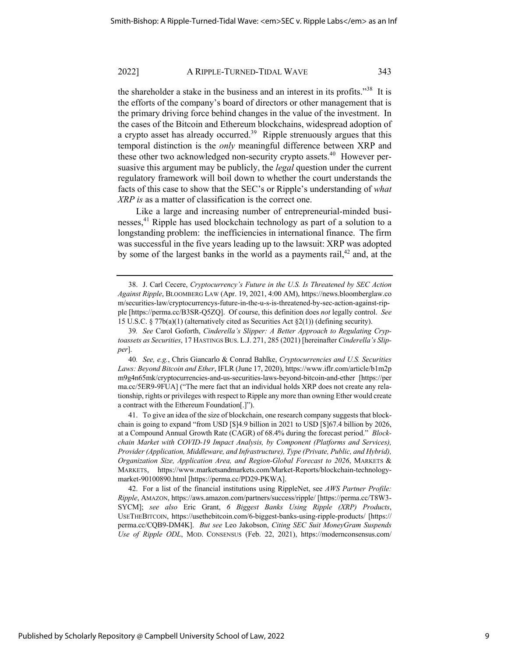the shareholder a stake in the business and an interest in its profits."<sup>38</sup> It is the efforts of the company's board of directors or other management that is the primary driving force behind changes in the value of the investment. In the cases of the Bitcoin and Ethereum blockchains, widespread adoption of a crypto asset has already occurred.<sup>39</sup> Ripple strenuously argues that this temporal distinction is the *only* meaningful difference between XRP and these other two acknowledged non-security crypto assets.<sup>40</sup> However persuasive this argument may be publicly, the *legal* question under the current regulatory framework will boil down to whether the court understands the facts of this case to show that the SEC's or Ripple's understanding of *what XRP is* as a matter of classification is the correct one.

Like a large and increasing number of entrepreneurial-minded businesses,<sup>41</sup> Ripple has used blockchain technology as part of a solution to a longstanding problem: the inefficiencies in international finance. The firm was successful in the five years leading up to the lawsuit: XRP was adopted by some of the largest banks in the world as a payments rail,  $42$  and, at the

<sup>38.</sup> J. Carl Cecere, *Cryptocurrency's Future in the U.S. Is Threatened by SEC Action Against Ripple*, BLOOMBERG LAW (Apr. 19, 2021, 4:00 AM), https://news.bloomberglaw.co m/securities-law/cryptocurrencys-future-in-the-u-s-is-threatened-by-sec-action-against-ripple [https://perma.cc/B3SR-Q5ZQ]. Of course, this definition does *not* legally control. *See*  15 U.S.C. § 77b(a)(1) (alternatively cited as Securities Act §2(1)) (defining security).

<sup>39</sup>*. See* Carol Goforth, *Cinderella's Slipper: A Better Approach to Regulating Cryptoassets as Securities*, 17 HASTINGS BUS. L.J. 271, 285 (2021) [hereinafter *Cinderella's Slipper*].

<sup>40</sup>*. See, e.g.*, Chris Giancarlo & Conrad Bahlke, *Cryptocurrencies and U.S. Securities Laws: Beyond Bitcoin and Ether*, IFLR (June 17, 2020), https://www.iflr.com/article/b1m2p m9g4n65mk/cryptocurrencies-and-us-securities-laws-beyond-bitcoin-and-ether [https://per ma.cc/5ER9-9FUA] ("The mere fact that an individual holds XRP does not create any relationship, rights or privileges with respect to Ripple any more than owning Ether would create a contract with the Ethereum Foundation[.]").

<sup>41.</sup> To give an idea of the size of blockchain, one research company suggests that blockchain is going to expand "from USD [\$]4.9 billion in 2021 to USD [\$]67.4 billion by 2026, at a Compound Annual Growth Rate (CAGR) of 68.4% during the forecast period." *Blockchain Market with COVID-19 Impact Analysis, by Component (Platforms and Services), Provider (Application, Middleware, and Infrastructure), Type (Private, Public, and Hybrid), Organization Size, Application Area, and Region-Global Forecast to 2026*, MARKETS & MARKETS, https://www.marketsandmarkets.com/Market-Reports/blockchain-technologymarket-90100890.html [https://perma.cc/PD29-PKWA].

<sup>42.</sup> For a list of the financial institutions using RippleNet, see *AWS Partner Profile: Ripple*, AMAZON, https://aws.amazon.com/partners/success/ripple/ [https://perma.cc/T8W3- SYCM]; *see also* Eric Grant, *6 Biggest Banks Using Ripple (XRP) Products*, USETHEBITCOIN, https://usethebitcoin.com/6-biggest-banks-using-ripple-products/ [https:// perma.cc/CQB9-DM4K]. *But see* Leo Jakobson, *Citing SEC Suit MoneyGram Suspends Use of Ripple ODL*, MOD. CONSENSUS (Feb. 22, 2021), https://modernconsensus.com/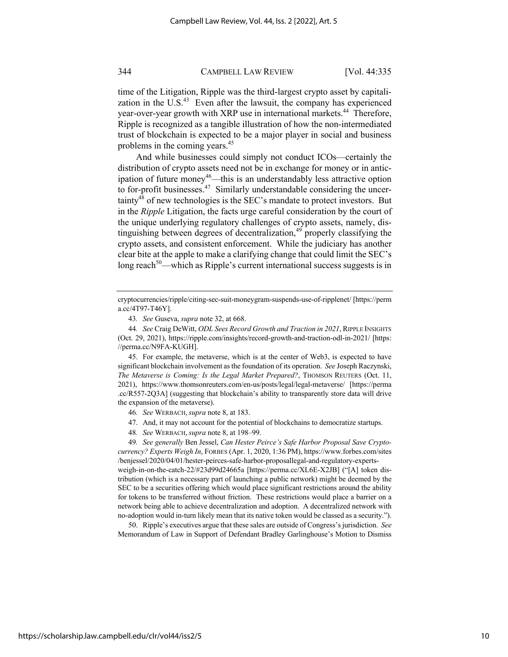time of the Litigation, Ripple was the third-largest crypto asset by capitalization in the U.S. $43$  Even after the lawsuit, the company has experienced year-over-year growth with XRP use in international markets.<sup>44</sup> Therefore, Ripple is recognized as a tangible illustration of how the non-intermediated trust of blockchain is expected to be a major player in social and business problems in the coming years.<sup>45</sup>

And while businesses could simply not conduct ICOs—certainly the distribution of crypto assets need not be in exchange for money or in anticipation of future money<sup>46</sup>—this is an understandably less attractive option to for-profit businesses.<sup>47</sup> Similarly understandable considering the uncertainty48 of new technologies is the SEC's mandate to protect investors. But in the *Ripple* Litigation, the facts urge careful consideration by the court of the unique underlying regulatory challenges of crypto assets, namely, distinguishing between degrees of decentralization, $49$  properly classifying the crypto assets, and consistent enforcement. While the judiciary has another clear bite at the apple to make a clarifying change that could limit the SEC's long reach<sup>50</sup>—which as Ripple's current international success suggests is in

45. For example, the metaverse, which is at the center of Web3, is expected to have significant blockchain involvement as the foundation of its operation. *See* Joseph Raczynski, *The Metaverse is Coming: Is the Legal Market Prepared?*, THOMSON REUTERS (Oct. 11, 2021), https://www.thomsonreuters.com/en-us/posts/legal/legal-metaverse/ [https://perma .cc/R557-2Q3A] (suggesting that blockchain's ability to transparently store data will drive the expansion of the metaverse).

- 47. And, it may not account for the potential of blockchains to democratize startups.
- 48*. See* WERBACH,*supra* note 8, at 198–99.

49*. See generally* Ben Jessel, *Can Hester Peirce's Safe Harbor Proposal Save Cryptocurrency? Experts Weigh In*, FORBES (Apr. 1, 2020, 1:36 PM), https://www.forbes.com/sites /benjessel/2020/04/01/hester-peirces-safe-harbor-proposallegal-and-regulatory-expertsweigh-in-on-the-catch-22/#23d99d24665a [https://perma.cc/XL6E-X2JB] ("[A] token distribution (which is a necessary part of launching a public network) might be deemed by the SEC to be a securities offering which would place significant restrictions around the ability for tokens to be transferred without friction. These restrictions would place a barrier on a network being able to achieve decentralization and adoption. A decentralized network with no-adoption would in-turn likely mean that its native token would be classed as a security.").

50. Ripple's executives argue that these sales are outside of Congress's jurisdiction. *See* Memorandum of Law in Support of Defendant Bradley Garlinghouse's Motion to Dismiss

https://scholarship.law.campbell.edu/clr/vol44/iss2/5

cryptocurrencies/ripple/citing-sec-suit-moneygram-suspends-use-of-ripplenet/ [https://perm a.cc/4T97-T46Y].

<sup>43</sup>*. See* Guseva, *supra* note 32, at 668.

<sup>44</sup>*. See* Craig DeWitt, *ODL Sees Record Growth and Traction in 2021*, RIPPLE INSIGHTS (Oct. 29, 2021), https://ripple.com/insights/record-growth-and-traction-odl-in-2021/ [https: //perma.cc/N9FA-KUGH].

<sup>46</sup>*. See* WERBACH,*supra* note 8, at 183.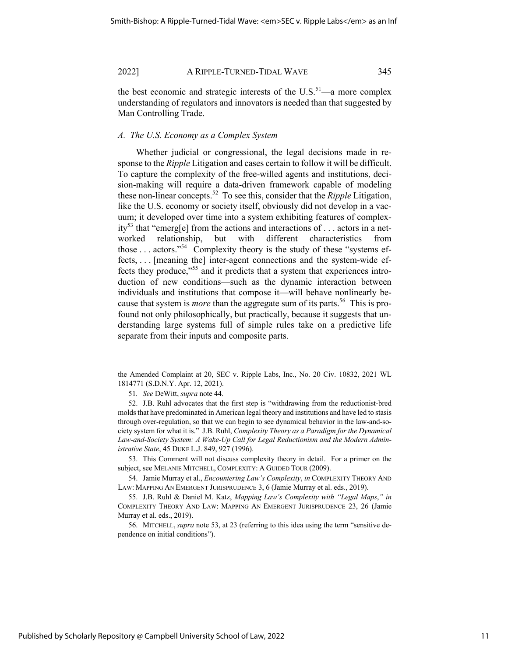the best economic and strategic interests of the  $U.S.^{51}$ —a more complex understanding of regulators and innovators is needed than that suggested by Man Controlling Trade.

#### *A. The U.S. Economy as a Complex System*

Whether judicial or congressional, the legal decisions made in response to the *Ripple* Litigation and cases certain to follow it will be difficult. To capture the complexity of the free-willed agents and institutions, decision-making will require a data-driven framework capable of modeling these non-linear concepts.52 To see this, consider that the *Ripple* Litigation, like the U.S. economy or society itself, obviously did not develop in a vacuum; it developed over time into a system exhibiting features of complexity<sup>53</sup> that "emerg[e] from the actions and interactions of . . . actors in a networked relationship, but with different characteristics from those  $\dots$  actors."<sup>54</sup> Complexity theory is the study of these "systems effects, . . . [meaning the] inter-agent connections and the system-wide effects they produce, $\frac{155}{100}$  and it predicts that a system that experiences introduction of new conditions—such as the dynamic interaction between individuals and institutions that compose it—will behave nonlinearly because that system is *more* than the aggregate sum of its parts.<sup>56</sup> This is profound not only philosophically, but practically, because it suggests that understanding large systems full of simple rules take on a predictive life separate from their inputs and composite parts.

53. This Comment will not discuss complexity theory in detail. For a primer on the subject, see MELANIE MITCHELL, COMPLEXITY: A GUIDED TOUR (2009).

54. Jamie Murray et al., *Encountering Law's Complexity*, *in* COMPLEXITY THEORY AND LAW: MAPPING AN EMERGENT JURISPRUDENCE 3, 6 (Jamie Murray et al. eds., 2019).

56. MITCHELL, *supra* note 53, at 23 (referring to this idea using the term "sensitive dependence on initial conditions").

the Amended Complaint at 20, SEC v. Ripple Labs, Inc., No. 20 Civ. 10832, 2021 WL 1814771 (S.D.N.Y. Apr. 12, 2021).

<sup>51</sup>*. See* DeWitt, *supra* note 44.

<sup>52.</sup> J.B. Ruhl advocates that the first step is "withdrawing from the reductionist-bred molds that have predominated in American legal theory and institutions and have led to stasis through over-regulation, so that we can begin to see dynamical behavior in the law-and-society system for what it is." J.B. Ruhl, *Complexity Theory as a Paradigm for the Dynamical Law-and-Society System: A Wake-Up Call for Legal Reductionism and the Modern Administrative State*, 45 DUKE L.J. 849, 927 (1996).

<sup>55.</sup> J.B. Ruhl & Daniel M. Katz, *Mapping Law's Complexity with "Legal Maps*,*" in*  COMPLEXITY THEORY AND LAW: MAPPING AN EMERGENT JURISPRUDENCE 23, 26 (Jamie Murray et al. eds., 2019).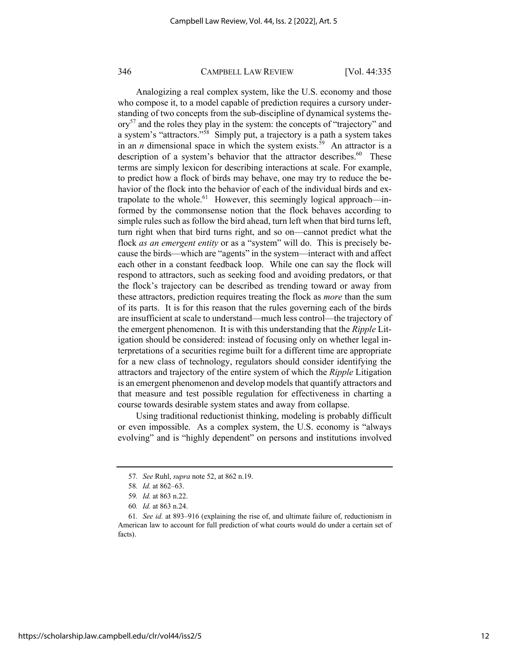Analogizing a real complex system, like the U.S. economy and those who compose it, to a model capable of prediction requires a cursory understanding of two concepts from the sub-discipline of dynamical systems the- $\text{or} \mathbf{v}^{57}$  and the roles they play in the system: the concepts of "trajectory" and a system's "attractors."58 Simply put, a trajectory is a path a system takes in an *n* dimensional space in which the system exists.<sup>59</sup> An attractor is a description of a system's behavior that the attractor describes.<sup>60</sup> These terms are simply lexicon for describing interactions at scale. For example, to predict how a flock of birds may behave, one may try to reduce the behavior of the flock into the behavior of each of the individual birds and extrapolate to the whole.<sup>61</sup> However, this seemingly logical approach—informed by the commonsense notion that the flock behaves according to simple rules such as follow the bird ahead, turn left when that bird turns left, turn right when that bird turns right, and so on—cannot predict what the flock *as an emergent entity* or as a "system" will do. This is precisely because the birds—which are "agents" in the system—interact with and affect each other in a constant feedback loop. While one can say the flock will respond to attractors, such as seeking food and avoiding predators, or that the flock's trajectory can be described as trending toward or away from these attractors, prediction requires treating the flock as *more* than the sum of its parts. It is for this reason that the rules governing each of the birds are insufficient at scale to understand—much less control—the trajectory of the emergent phenomenon. It is with this understanding that the *Ripple* Litigation should be considered: instead of focusing only on whether legal interpretations of a securities regime built for a different time are appropriate for a new class of technology, regulators should consider identifying the attractors and trajectory of the entire system of which the *Ripple* Litigation is an emergent phenomenon and develop models that quantify attractors and that measure and test possible regulation for effectiveness in charting a course towards desirable system states and away from collapse.

Using traditional reductionist thinking, modeling is probably difficult or even impossible. As a complex system, the U.S. economy is "always evolving" and is "highly dependent" on persons and institutions involved

<sup>57</sup>*. See* Ruhl, *supra* note 52, at 862 n.19.

<sup>58</sup>*. Id.* at 862–63.

<sup>59</sup>*. Id.* at 863 n.22.

<sup>60</sup>*. Id.* at 863 n.24.

<sup>61</sup>*. See id.* at 893–916 (explaining the rise of, and ultimate failure of, reductionism in American law to account for full prediction of what courts would do under a certain set of facts).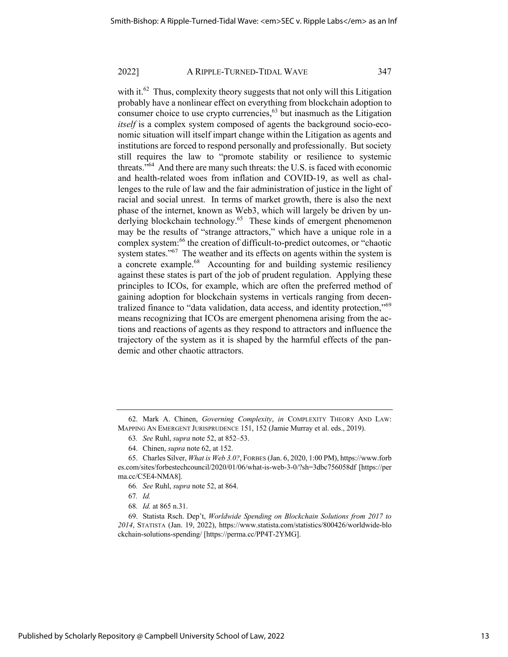with it.<sup>62</sup> Thus, complexity theory suggests that not only will this Litigation probably have a nonlinear effect on everything from blockchain adoption to consumer choice to use crypto currencies,<sup>63</sup> but inasmuch as the Litigation *itself* is a complex system composed of agents the background socio-economic situation will itself impart change within the Litigation as agents and institutions are forced to respond personally and professionally. But society still requires the law to "promote stability or resilience to systemic threats."64 And there are many such threats: the U.S. is faced with economic and health-related woes from inflation and COVID-19, as well as challenges to the rule of law and the fair administration of justice in the light of racial and social unrest. In terms of market growth, there is also the next phase of the internet, known as Web3, which will largely be driven by underlying blockchain technology.<sup>65</sup> These kinds of emergent phenomenon may be the results of "strange attractors," which have a unique role in a complex system:<sup>66</sup> the creation of difficult-to-predict outcomes, or "chaotic system states."<sup>67</sup> The weather and its effects on agents within the system is a concrete example.<sup>68</sup> Accounting for and building systemic resiliency against these states is part of the job of prudent regulation. Applying these principles to ICOs, for example, which are often the preferred method of gaining adoption for blockchain systems in verticals ranging from decentralized finance to "data validation, data access, and identity protection,"<sup>69</sup> means recognizing that ICOs are emergent phenomena arising from the actions and reactions of agents as they respond to attractors and influence the trajectory of the system as it is shaped by the harmful effects of the pandemic and other chaotic attractors.

68*. Id.* at 865 n.31.

69. Statista Rsch. Dep't, *Worldwide Spending on Blockchain Solutions from 2017 to 2014*, STATISTA (Jan. 19, 2022), https://www.statista.com/statistics/800426/worldwide-blo ckchain-solutions-spending/ [https://perma.cc/PP4T-2YMG].

<sup>62.</sup> Mark A. Chinen, *Governing Complexity*, *in* COMPLEXITY THEORY AND LAW: MAPPING AN EMERGENT JURISPRUDENCE 151, 152 (Jamie Murray et al. eds., 2019).

<sup>63</sup>*. See* Ruhl, *supra* note 52, at 852–53.

<sup>64.</sup> Chinen, *supra* note 62, at 152.

<sup>65.</sup> Charles Silver, *What is Web 3.0?*, FORBES (Jan. 6, 2020, 1:00 PM), https://www.forb es.com/sites/forbestechcouncil/2020/01/06/what-is-web-3-0/?sh=3dbc756058df [https://per ma.cc/C5E4-NMA8].

<sup>66</sup>*. See* Ruhl, *supra* note 52, at 864.

<sup>67</sup>*. Id.*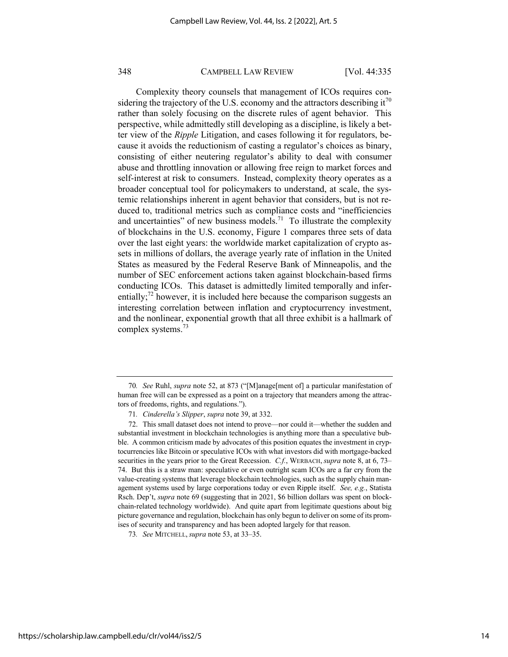Complexity theory counsels that management of ICOs requires considering the trajectory of the U.S. economy and the attractors describing it<sup>70</sup> rather than solely focusing on the discrete rules of agent behavior. This perspective, while admittedly still developing as a discipline, is likely a better view of the *Ripple* Litigation, and cases following it for regulators, because it avoids the reductionism of casting a regulator's choices as binary, consisting of either neutering regulator's ability to deal with consumer abuse and throttling innovation or allowing free reign to market forces and self-interest at risk to consumers. Instead, complexity theory operates as a broader conceptual tool for policymakers to understand, at scale, the systemic relationships inherent in agent behavior that considers, but is not reduced to, traditional metrics such as compliance costs and "inefficiencies and uncertainties" of new business models.<sup>71</sup> To illustrate the complexity of blockchains in the U.S. economy, Figure 1 compares three sets of data over the last eight years: the worldwide market capitalization of crypto assets in millions of dollars, the average yearly rate of inflation in the United States as measured by the Federal Reserve Bank of Minneapolis, and the number of SEC enforcement actions taken against blockchain-based firms conducting ICOs. This dataset is admittedly limited temporally and inferentially;<sup>72</sup> however, it is included here because the comparison suggests an interesting correlation between inflation and cryptocurrency investment, and the nonlinear, exponential growth that all three exhibit is a hallmark of complex systems.<sup>73</sup>

<sup>70</sup>*. See* Ruhl, *supra* note 52, at 873 ("[M]anage[ment of] a particular manifestation of human free will can be expressed as a point on a trajectory that meanders among the attractors of freedoms, rights, and regulations.").

<sup>71</sup>*. Cinderella's Slipper*, *supra* note 39, at 332.

<sup>72.</sup> This small dataset does not intend to prove—nor could it—whether the sudden and substantial investment in blockchain technologies is anything more than a speculative bubble. A common criticism made by advocates of this position equates the investment in cryptocurrencies like Bitcoin or speculative ICOs with what investors did with mortgage-backed securities in the years prior to the Great Recession. *C.f.*, WERBACH, *supra* note 8, at 6, 73– 74. But this is a straw man: speculative or even outright scam ICOs are a far cry from the value-creating systems that leverage blockchain technologies, such as the supply chain management systems used by large corporations today or even Ripple itself. *See, e.g.*, Statista Rsch. Dep't, *supra* note 69 (suggesting that in 2021, \$6 billion dollars was spent on blockchain-related technology worldwide). And quite apart from legitimate questions about big picture governance and regulation, blockchain has only begun to deliver on some of its promises of security and transparency and has been adopted largely for that reason.

<sup>73</sup>*. See* MITCHELL,*supra* note 53, at 33–35.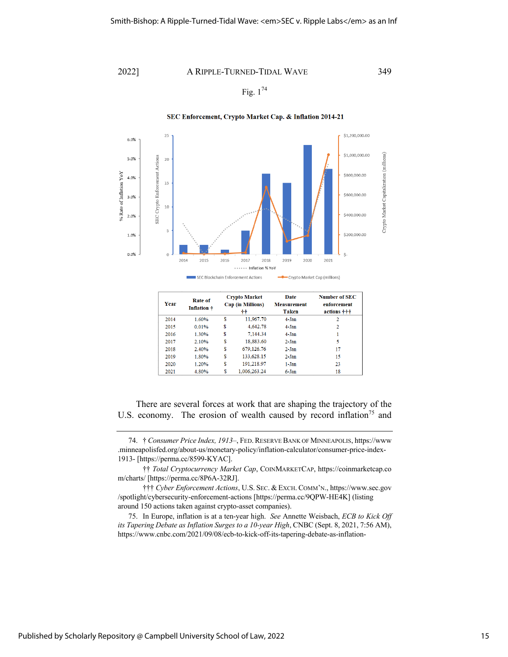Fig.  $1^{74}$ 

SEC Enforcement, Crypto Market Cap. & Inflation 2014-21



#### **Number of SEC Crypto Market** Date **Rate of** Year Cap (in Millions) **Measurement** enforcement Inflation + **Taken** actions +++ ÷÷  $\frac{1}{11,967.70}$ 2014 1.60% **R** 4-Jan  $\overline{2}$ 4,642.78 2015  $0.01%$ \$ 4-Jan  $\overline{2}$ 7,144.34 2016 1.30% \$ 4-Jan  $\mathbf{1}$ 2017 2.10% \$ 18,883.60  $2-Jan$  $\overline{\mathbf{5}}$ 679,126.76  $17$ 2018 2.40% <sup>\$</sup>  $2-Jan$ 2019 1.80% <sup>\$</sup> 133,628.15  $2-Jan$ 15 2020 1.20% Ś 191,218.97  $1-Jan$  $\overline{23}$ 1,006,263.24 2021 4.80% **S** 6-Jan 18

There are several forces at work that are shaping the trajectory of the U.S. economy. The erosion of wealth caused by record inflation<sup>75</sup> and

75. In Europe, inflation is at a ten-year high. *See* Annette Weisbach, *ECB to Kick Off its Tapering Debate as Inflation Surges to a 10-year High*, CNBC (Sept. 8, 2021, 7:56 AM), https://www.cnbc.com/2021/09/08/ecb-to-kick-off-its-tapering-debate-as-inflation-

<sup>74.</sup> † *Consumer Price Index, 1913–*, FED.RESERVE BANK OF MINNEAPOLIS, https://www .minneapolisfed.org/about-us/monetary-policy/inflation-calculator/consumer-price-index-1913- [https://perma.cc/8599-KYAC].

<sup>††</sup> *Total Cryptocurrency Market Cap*, COINMARKETCAP, https://coinmarketcap.co m/charts/ [https://perma.cc/8P6A-32RJ].

<sup>†††</sup> *Cyber Enforcement Actions*, U.S. SEC. & EXCH. COMM'N., https://www.sec.gov /spotlight/cybersecurity-enforcement-actions [https://perma.cc/9QPW-HE4K] (listing around 150 actions taken against crypto-asset companies).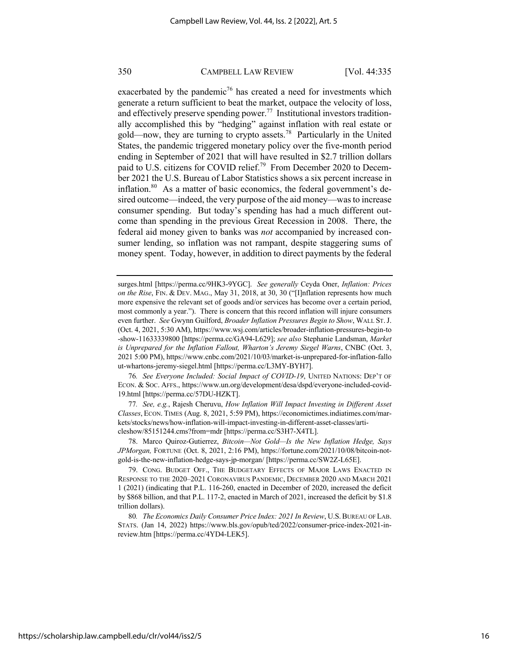exacerbated by the pandemic<sup>76</sup> has created a need for investments which generate a return sufficient to beat the market, outpace the velocity of loss, and effectively preserve spending power.<sup>77</sup> Institutional investors traditionally accomplished this by "hedging" against inflation with real estate or gold—now, they are turning to crypto assets.<sup>78</sup> Particularly in the United States, the pandemic triggered monetary policy over the five-month period ending in September of 2021 that will have resulted in \$2.7 trillion dollars paid to U.S. citizens for COVID relief.<sup>79</sup> From December 2020 to December 2021 the U.S. Bureau of Labor Statistics shows a six percent increase in inflation.<sup>80</sup> As a matter of basic economics, the federal government's desired outcome—indeed, the very purpose of the aid money—was to increase consumer spending. But today's spending has had a much different outcome than spending in the previous Great Recession in 2008. There, the federal aid money given to banks was *not* accompanied by increased consumer lending, so inflation was not rampant, despite staggering sums of money spent. Today, however, in addition to direct payments by the federal

surges.html [https://perma.cc/9HK3-9YGC]. *See generally* Ceyda Oner, *Inflation: Prices on the Rise*, FIN. & DEV. MAG., May 31, 2018, at 30, 30 ("I Inflation represents how much more expensive the relevant set of goods and/or services has become over a certain period, most commonly a year."). There is concern that this record inflation will injure consumers even further. *See* Gwynn Guilford, *Broader Inflation Pressures Begin to Show*, WALL ST.J. (Oct. 4, 2021, 5:30 AM), https://www.wsj.com/articles/broader-inflation-pressures-begin-to -show-11633339800 [https://perma.cc/GA94-L629]; *see also* Stephanie Landsman, *Market is Unprepared for the Inflation Fallout, Wharton's Jeremy Siegel Warns*, CNBC (Oct. 3, 2021 5:00 PM), https://www.cnbc.com/2021/10/03/market-is-unprepared-for-inflation-fallo ut-whartons-jeremy-siegel.html [https://perma.cc/L3MY-BYH7].

76*. See Everyone Included: Social Impact of COVID-19*, UNITED NATIONS: DEP'T OF ECON. & SOC. AFFS., https://www.un.org/development/desa/dspd/everyone-included-covid-19.html [https://perma.cc/57DU-HZKT].

77*. See, e.g.*, Rajesh Cheruvu, *How Inflation Will Impact Investing in Different Asset Classes*, ECON. TIMES (Aug. 8, 2021, 5:59 PM), https://economictimes.indiatimes.com/markets/stocks/news/how-inflation-will-impact-investing-in-different-asset-classes/articleshow/85151244.cms?from=mdr [https://perma.cc/S3H7-X4TL].

78. Marco Quiroz-Gutierrez, *Bitcoin—Not Gold—Is the New Inflation Hedge, Says JPMorgan,* FORTUNE (Oct. 8, 2021, 2:16 PM), https://fortune.com/2021/10/08/bitcoin-notgold-is-the-new-inflation-hedge-says-jp-morgan/ [https://perma.cc/SW2Z-L65E].

79. CONG. BUDGET OFF., THE BUDGETARY EFFECTS OF MAJOR LAWS ENACTED IN RESPONSE TO THE 2020–2021 CORONAVIRUS PANDEMIC, DECEMBER 2020 AND MARCH 2021 1 (2021) (indicating that P.L. 116-260, enacted in December of 2020, increased the deficit by \$868 billion, and that P.L. 117-2, enacted in March of 2021, increased the deficit by \$1.8 trillion dollars).

80*. The Economics Daily Consumer Price Index: 2021 In Review*, U.S.BUREAU OF LAB. STATS. (Jan 14, 2022) https://www.bls.gov/opub/ted/2022/consumer-price-index-2021-inreview.htm [https://perma.cc/4YD4-LEK5].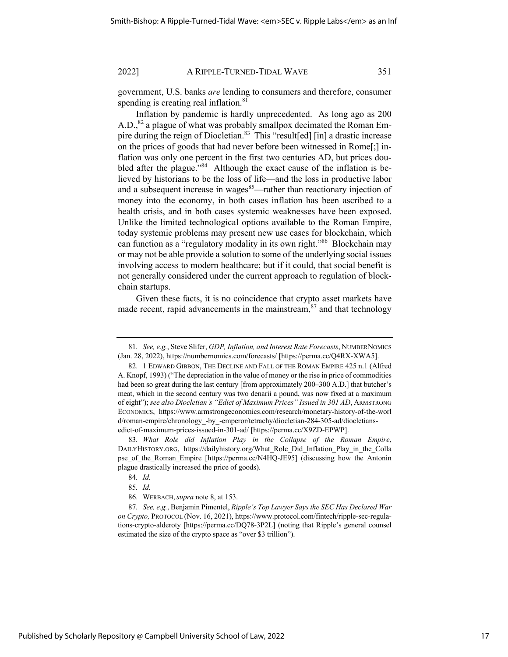government, U.S. banks *are* lending to consumers and therefore, consumer spending is creating real inflation.<sup>81</sup>

Inflation by pandemic is hardly unprecedented. As long ago as 200 A.D.,<sup>82</sup> a plague of what was probably smallpox decimated the Roman Empire during the reign of Diocletian.<sup>83</sup> This "result[ed] [in] a drastic increase on the prices of goods that had never before been witnessed in Rome[;] inflation was only one percent in the first two centuries AD, but prices doubled after the plague."<sup>84</sup> Although the exact cause of the inflation is believed by historians to be the loss of life—and the loss in productive labor and a subsequent increase in wages<sup>85</sup>—rather than reactionary injection of money into the economy, in both cases inflation has been ascribed to a health crisis, and in both cases systemic weaknesses have been exposed. Unlike the limited technological options available to the Roman Empire, today systemic problems may present new use cases for blockchain, which can function as a "regulatory modality in its own right."86 Blockchain may or may not be able provide a solution to some of the underlying social issues involving access to modern healthcare; but if it could, that social benefit is not generally considered under the current approach to regulation of blockchain startups.

Given these facts, it is no coincidence that crypto asset markets have made recent, rapid advancements in the mainstream, $87$  and that technology

<sup>81</sup>*. See, e.g.*, Steve Slifer, *GDP, Inflation, and Interest Rate Forecasts*, NUMBERNOMICS (Jan. 28, 2022), https://numbernomics.com/forecasts/ [https://perma.cc/Q4RX-XWA5].

<sup>82.</sup> 1 EDWARD GIBBON, THE DECLINE AND FALL OF THE ROMAN EMPIRE 425 n.1 (Alfred A. Knopf, 1993) ("The depreciation in the value of money or the rise in price of commodities had been so great during the last century [from approximately 200–300 A.D.] that butcher's meat, which in the second century was two denarii a pound, was now fixed at a maximum of eight"); *see also Diocletian's "Edict of Maximum Prices" Issued in 301 AD*, ARMSTRONG ECONOMICS, https://www.armstrongeconomics.com/research/monetary-history-of-the-worl d/roman-empire/chronology\_-by\_-emperor/tetrachy/diocletian-284-305-ad/diocletiansedict-of-maximum-prices-issued-in-301-ad/ [https://perma.cc/X9ZD-EPWP].

<sup>83</sup>*. What Role did Inflation Play in the Collapse of the Roman Empire*, DAILYHISTORY.ORG, https://dailyhistory.org/What\_Role\_Did\_Inflation\_Play\_in\_the\_Colla pse of the Roman Empire [https://perma.cc/N4HQ-JE95] (discussing how the Antonin plague drastically increased the price of goods).

<sup>84</sup>*. Id.*

<sup>85</sup>*. Id.*

<sup>86.</sup> WERBACH,*supra* note 8, at 153.

<sup>87</sup>*. See, e.g.*, Benjamin Pimentel, *Ripple's Top Lawyer Says the SEC Has Declared War on Crypto,* PROTOCOL (Nov. 16, 2021), https://www.protocol.com/fintech/ripple-sec-regulations-crypto-alderoty [https://perma.cc/DQ78-3P2L] (noting that Ripple's general counsel estimated the size of the crypto space as "over \$3 trillion").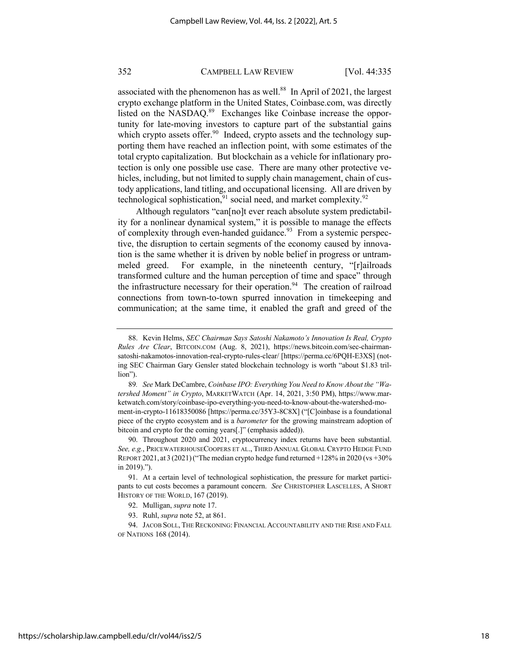associated with the phenomenon has as well. $88$  In April of 2021, the largest crypto exchange platform in the United States, Coinbase.com, was directly listed on the NASDAQ.<sup>89</sup> Exchanges like Coinbase increase the opportunity for late-moving investors to capture part of the substantial gains which crypto assets offer.<sup>90</sup> Indeed, crypto assets and the technology supporting them have reached an inflection point, with some estimates of the total crypto capitalization. But blockchain as a vehicle for inflationary protection is only one possible use case. There are many other protective vehicles, including, but not limited to supply chain management, chain of custody applications, land titling, and occupational licensing. All are driven by technological sophistication, $91$  social need, and market complexity. $92$ 

Although regulators "can[no]t ever reach absolute system predictability for a nonlinear dynamical system," it is possible to manage the effects of complexity through even-handed guidance.<sup>93</sup> From a systemic perspective, the disruption to certain segments of the economy caused by innovation is the same whether it is driven by noble belief in progress or untrammeled greed. For example, in the nineteenth century, "[r]ailroads transformed culture and the human perception of time and space" through the infrastructure necessary for their operation.<sup>94</sup> The creation of railroad connections from town-to-town spurred innovation in timekeeping and communication; at the same time, it enabled the graft and greed of the

<sup>88.</sup> Kevin Helms, *SEC Chairman Says Satoshi Nakamoto's Innovation Is Real, Crypto Rules Are Clear*, BITCOIN.COM (Aug. 8, 2021), https://news.bitcoin.com/sec-chairmansatoshi-nakamotos-innovation-real-crypto-rules-clear/ [https://perma.cc/6PQH-E3XS] (noting SEC Chairman Gary Gensler stated blockchain technology is worth "about \$1.83 trillion").

<sup>89</sup>*. See* Mark DeCambre, *Coinbase IPO: Everything You Need to Know About the "Watershed Moment" in Crypto*, MARKETWATCH (Apr. 14, 2021, 3:50 PM), https://www.marketwatch.com/story/coinbase-ipo-everything-you-need-to-know-about-the-watershed-moment-in-crypto-11618350086 [https://perma.cc/35Y3-8C8X] ("[C]oinbase is a foundational piece of the crypto ecosystem and is a *barometer* for the growing mainstream adoption of bitcoin and crypto for the coming years[.]" (emphasis added)).

<sup>90.</sup> Throughout 2020 and 2021, cryptocurrency index returns have been substantial. *See, e.g.*, PRICEWATERHOUSECOOPERS ET AL., THIRD ANNUAL GLOBAL CRYPTO HEDGE FUND REPORT 2021, at 3 (2021)("The median crypto hedge fund returned +128% in 2020 (vs +30% in 2019).").

<sup>91.</sup> At a certain level of technological sophistication, the pressure for market participants to cut costs becomes a paramount concern. *See* CHRISTOPHER LASCELLES, A SHORT HISTORY OF THE WORLD, 167 (2019).

<sup>92.</sup> Mulligan, *supra* note 17.

<sup>93.</sup> Ruhl, *supra* note 52, at 861.

<sup>94.</sup> JACOB SOLL, THE RECKONING: FINANCIAL ACCOUNTABILITY AND THE RISE AND FALL OF NATIONS 168 (2014).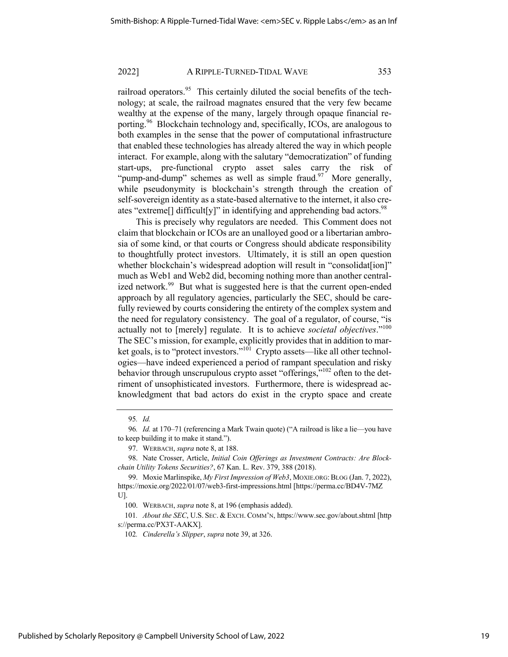railroad operators. $95$  This certainly diluted the social benefits of the technology; at scale, the railroad magnates ensured that the very few became wealthy at the expense of the many, largely through opaque financial reporting.96 Blockchain technology and, specifically, ICOs, are analogous to both examples in the sense that the power of computational infrastructure that enabled these technologies has already altered the way in which people interact. For example, along with the salutary "democratization" of funding start-ups, pre-functional crypto asset sales carry the risk of "pump-and-dump" schemes as well as simple fraud. $\frac{97}{7}$  More generally, while pseudonymity is blockchain's strength through the creation of self-sovereign identity as a state-based alternative to the internet, it also creates "extreme<sup>[]</sup> difficult[y]" in identifying and apprehending bad actors.<sup>98</sup>

This is precisely why regulators are needed. This Comment does not claim that blockchain or ICOs are an unalloyed good or a libertarian ambrosia of some kind, or that courts or Congress should abdicate responsibility to thoughtfully protect investors. Ultimately, it is still an open question whether blockchain's widespread adoption will result in "consolidat[ion]" much as Web1 and Web2 did, becoming nothing more than another centralized network.<sup>99</sup> But what is suggested here is that the current open-ended approach by all regulatory agencies, particularly the SEC, should be carefully reviewed by courts considering the entirety of the complex system and the need for regulatory consistency. The goal of a regulator, of course, "is actually not to [merely] regulate. It is to achieve *societal objectives*."100 The SEC's mission, for example, explicitly provides that in addition to market goals, is to "protect investors."<sup>101</sup> Crypto assets—like all other technologies—have indeed experienced a period of rampant speculation and risky behavior through unscrupulous crypto asset "offerings,"<sup>102</sup> often to the detriment of unsophisticated investors. Furthermore, there is widespread acknowledgment that bad actors do exist in the crypto space and create

98. Nate Crosser, Article, *Initial Coin Offerings as Investment Contracts: Are Blockchain Utility Tokens Securities?*, 67 Kan. L. Rev. 379, 388 (2018).

102*. Cinderella's Slipper*, *supra* note 39, at 326.

<sup>95</sup>*. Id.*

<sup>96</sup>*. Id.* at 170–71 (referencing a Mark Twain quote) ("A railroad is like a lie—you have to keep building it to make it stand.").

<sup>97.</sup> WERBACH, *supra* note 8, at 188.

<sup>99.</sup> Moxie Marlinspike, *My First Impression of Web3*, MOXIE.ORG:BLOG (Jan. 7, 2022), https://moxie.org/2022/01/07/web3-first-impressions.html [https://perma.cc/BD4V-7MZ U].

<sup>100.</sup> WERBACH, *supra* note 8, at 196 (emphasis added).

<sup>101</sup>*. About the SEC*, U.S. SEC. & EXCH. COMM'N, https://www.sec.gov/about.shtml [http s://perma.cc/PX3T-AAKX].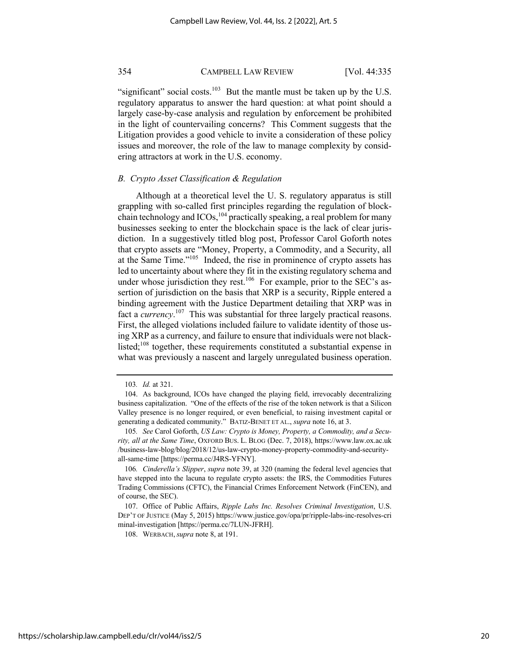"significant" social costs.<sup>103</sup> But the mantle must be taken up by the U.S. regulatory apparatus to answer the hard question: at what point should a largely case-by-case analysis and regulation by enforcement be prohibited in the light of countervailing concerns? This Comment suggests that the Litigation provides a good vehicle to invite a consideration of these policy issues and moreover, the role of the law to manage complexity by considering attractors at work in the U.S. economy.

#### *B. Crypto Asset Classification & Regulation*

Although at a theoretical level the U. S. regulatory apparatus is still grappling with so-called first principles regarding the regulation of blockchain technology and  $ICOs$ ,  $^{104}$  practically speaking, a real problem for many businesses seeking to enter the blockchain space is the lack of clear jurisdiction. In a suggestively titled blog post, Professor Carol Goforth notes that crypto assets are "Money, Property, a Commodity, and a Security, all at the Same Time."<sup>105</sup> Indeed, the rise in prominence of crypto assets has led to uncertainty about where they fit in the existing regulatory schema and under whose jurisdiction they rest.<sup>106</sup> For example, prior to the SEC's assertion of jurisdiction on the basis that XRP is a security, Ripple entered a binding agreement with the Justice Department detailing that XRP was in fact a *currency*. 107 This was substantial for three largely practical reasons. First, the alleged violations included failure to validate identity of those using XRP as a currency, and failure to ensure that individuals were not blacklisted;<sup>108</sup> together, these requirements constituted a substantial expense in what was previously a nascent and largely unregulated business operation.

108. WERBACH,*supra* note 8, at 191.

<sup>103</sup>*. Id.* at 321.

<sup>104.</sup> As background, ICOs have changed the playing field, irrevocably decentralizing business capitalization. "One of the effects of the rise of the token network is that a Silicon Valley presence is no longer required, or even beneficial, to raising investment capital or generating a dedicated community." BATIZ-BENET ET AL., *supra* note 16, at 3.

<sup>105</sup>*. See* Carol Goforth, *US Law: Crypto is Money, Property, a Commodity, and a Security, all at the Same Time*, OXFORD BUS. L. BLOG (Dec. 7, 2018), https://www.law.ox.ac.uk /business-law-blog/blog/2018/12/us-law-crypto-money-property-commodity-and-securityall-same-time [https://perma.cc/J4RS-YFNY].

<sup>106</sup>*. Cinderella's Slipper*, *supra* note 39, at 320 (naming the federal level agencies that have stepped into the lacuna to regulate crypto assets: the IRS, the Commodities Futures Trading Commissions (CFTC), the Financial Crimes Enforcement Network (FinCEN), and of course, the SEC).

<sup>107.</sup> Office of Public Affairs, *Ripple Labs Inc. Resolves Criminal Investigation*, U.S. DEP'T OF JUSTICE (May 5, 2015) https://www.justice.gov/opa/pr/ripple-labs-inc-resolves-cri minal-investigation [https://perma.cc/7LUN-JFRH].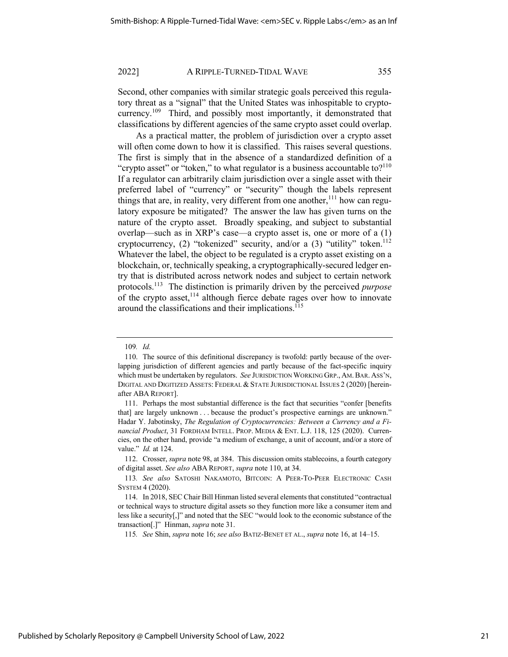Second, other companies with similar strategic goals perceived this regulatory threat as a "signal" that the United States was inhospitable to cryptocurrency.<sup>109</sup> Third, and possibly most importantly, it demonstrated that classifications by different agencies of the same crypto asset could overlap.

As a practical matter, the problem of jurisdiction over a crypto asset will often come down to how it is classified. This raises several questions. The first is simply that in the absence of a standardized definition of a "crypto asset" or "token," to what regulator is a business accountable to? $110$ If a regulator can arbitrarily claim jurisdiction over a single asset with their preferred label of "currency" or "security" though the labels represent things that are, in reality, very different from one another,  $111$  how can regulatory exposure be mitigated? The answer the law has given turns on the nature of the crypto asset. Broadly speaking, and subject to substantial overlap—such as in XRP's case—a crypto asset is, one or more of a (1) cryptocurrency, (2) "tokenized" security, and/or a  $(3)$  "utility" token.<sup>112</sup> Whatever the label, the object to be regulated is a crypto asset existing on a blockchain, or, technically speaking, a cryptographically-secured ledger entry that is distributed across network nodes and subject to certain network protocols.113 The distinction is primarily driven by the perceived *purpose* of the crypto asset, $114$  although fierce debate rages over how to innovate around the classifications and their implications.<sup>115</sup>

115*. See* Shin, *supra* note 16; *see also* BATIZ-BENET ET AL., *supra* note 16, at 14–15.

<sup>109</sup>*. Id.*

<sup>110.</sup> The source of this definitional discrepancy is twofold: partly because of the overlapping jurisdiction of different agencies and partly because of the fact-specific inquiry which must be undertaken by regulators. *See* JURISDICTION WORKING GRP., AM.BAR. ASS'N, DIGITAL AND DIGITIZED ASSETS: FEDERAL & STATE JURISDICTIONAL ISSUES 2 (2020) [hereinafter ABA REPORT].

<sup>111.</sup> Perhaps the most substantial difference is the fact that securities "confer [benefits that] are largely unknown . . . because the product's prospective earnings are unknown." Hadar Y. Jabotinsky, *The Regulation of Cryptocurrencies: Between a Currency and a Financial Product*, 31 FORDHAM INTELL. PROP. MEDIA & ENT. L.J. 118, 125 (2020). Currencies, on the other hand, provide "a medium of exchange, a unit of account, and/or a store of value." *Id.* at 124.

<sup>112.</sup> Crosser, *supra* note 98, at 384. This discussion omits stablecoins, a fourth category of digital asset. *See also* ABA REPORT, *supra* note 110, at 34.

<sup>113</sup>*. See also* SATOSHI NAKAMOTO, BITCOIN: A PEER-TO-PEER ELECTRONIC CASH SYSTEM 4 (2020).

<sup>114.</sup> In 2018, SEC Chair Bill Hinman listed several elements that constituted "contractual or technical ways to structure digital assets so they function more like a consumer item and less like a security[,]" and noted that the SEC "would look to the economic substance of the transaction[.]" Hinman, *supra* note 31.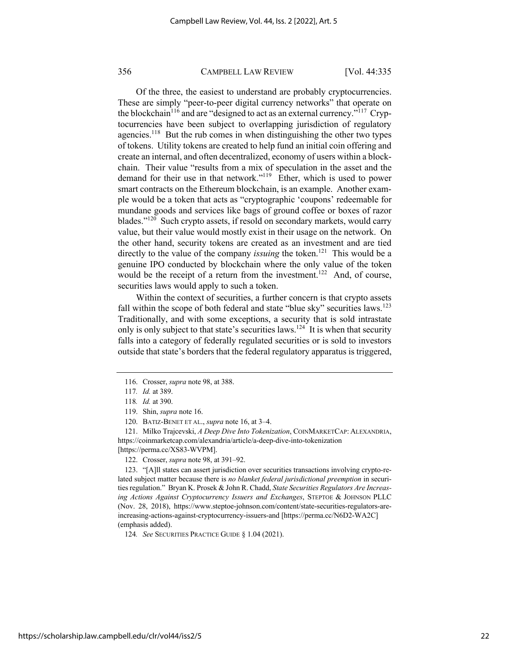Of the three, the easiest to understand are probably cryptocurrencies. These are simply "peer-to-peer digital currency networks" that operate on the blockchain<sup>116</sup> and are "designed to act as an external currency."<sup>117</sup> Cryptocurrencies have been subject to overlapping jurisdiction of regulatory agencies.<sup>118</sup> But the rub comes in when distinguishing the other two types of tokens. Utility tokens are created to help fund an initial coin offering and create an internal, and often decentralized, economy of users within a blockchain. Their value "results from a mix of speculation in the asset and the demand for their use in that network."<sup>119</sup> Ether, which is used to power smart contracts on the Ethereum blockchain, is an example. Another example would be a token that acts as "cryptographic 'coupons' redeemable for mundane goods and services like bags of ground coffee or boxes of razor blades."<sup>120</sup> Such crypto assets, if resold on secondary markets, would carry value, but their value would mostly exist in their usage on the network. On the other hand, security tokens are created as an investment and are tied directly to the value of the company *issuing* the token.<sup>121</sup> This would be a genuine IPO conducted by blockchain where the only value of the token would be the receipt of a return from the investment.<sup>122</sup> And, of course, securities laws would apply to such a token.

Within the context of securities, a further concern is that crypto assets fall within the scope of both federal and state "blue sky" securities laws.<sup>123</sup> Traditionally, and with some exceptions, a security that is sold intrastate only is only subject to that state's securities laws.<sup>124</sup> It is when that security falls into a category of federally regulated securities or is sold to investors outside that state's borders that the federal regulatory apparatus is triggered,

121. Milko Trajcevski, *A Deep Dive Into Tokenization*, COINMARKETCAP: ALEXANDRIA, https://coinmarketcap.com/alexandria/article/a-deep-dive-into-tokenization

[https://perma.cc/XS83-WVPM].

122. Crosser, *supra* note 98, at 391–92.

123. "[A]ll states can assert jurisdiction over securities transactions involving crypto-related subject matter because there is *no blanket federal jurisdictional preemption* in securities regulation." Bryan K. Prosek & John R. Chadd, *State Securities Regulators Are Increasing Actions Against Cryptocurrency Issuers and Exchanges*, STEPTOE & JOHNSON PLLC (Nov. 28, 2018), https://www.steptoe-johnson.com/content/state-securities-regulators-areincreasing-actions-against-cryptocurrency-issuers-and [https://perma.cc/N6D2-WA2C] (emphasis added).

124*. See* SECURITIES PRACTICE GUIDE § 1.04 (2021).

<sup>116.</sup> Crosser, *supra* note 98, at 388.

<sup>117</sup>*. Id.* at 389.

<sup>118</sup>*. Id.* at 390.

<sup>119.</sup> Shin, *supra* note 16.

<sup>120.</sup> BATIZ-BENET ET AL., *supra* note 16, at 3–4.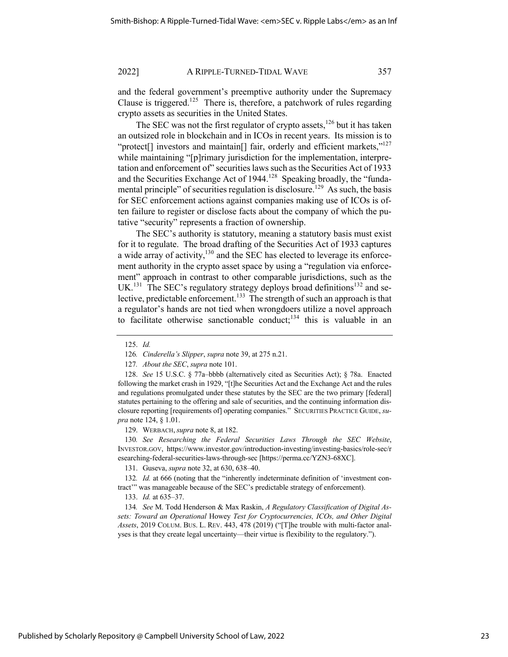and the federal government's preemptive authority under the Supremacy Clause is triggered.<sup>125</sup> There is, therefore, a patchwork of rules regarding crypto assets as securities in the United States.

The SEC was not the first regulator of crypto assets, $126$  but it has taken an outsized role in blockchain and in ICOs in recent years. Its mission is to "protect<sup>[]</sup> investors and maintain<sup>[]</sup> fair, orderly and efficient markets,"<sup>127</sup> while maintaining "[p]rimary jurisdiction for the implementation, interpretation and enforcement of" securities laws such as the Securities Act of 1933 and the Securities Exchange Act of  $1944$ <sup>128</sup> Speaking broadly, the "fundamental principle" of securities regulation is disclosure.<sup>129</sup> As such, the basis for SEC enforcement actions against companies making use of ICOs is often failure to register or disclose facts about the company of which the putative "security" represents a fraction of ownership.

The SEC's authority is statutory, meaning a statutory basis must exist for it to regulate. The broad drafting of the Securities Act of 1933 captures a wide array of activity, $130$  and the SEC has elected to leverage its enforcement authority in the crypto asset space by using a "regulation via enforcement" approach in contrast to other comparable jurisdictions, such as the UK.<sup>131</sup> The SEC's regulatory strategy deploys broad definitions<sup>132</sup> and selective, predictable enforcement.<sup>133</sup> The strength of such an approach is that a regulator's hands are not tied when wrongdoers utilize a novel approach to facilitate otherwise sanctionable conduct;<sup>134</sup> this is valuable in an

128. *See* 15 U.S.C. § 77a–bbbb (alternatively cited as Securities Act); § 78a. Enacted following the market crash in 1929, "[t]he Securities Act and the Exchange Act and the rules and regulations promulgated under these statutes by the SEC are the two primary [federal] statutes pertaining to the offering and sale of securities, and the continuing information disclosure reporting [requirements of] operating companies." SECURITIES PRACTICE GUIDE, *supra* note 124, § 1.01.

129. WERBACH,*supra* note 8, at 182.

130*. See Researching the Federal Securities Laws Through the SEC Website*, INVESTOR.GOV, https://www.investor.gov/introduction-investing/investing-basics/role-sec/r esearching-federal-securities-laws-through-sec [https://perma.cc/YZN3-68XC].

131. Guseva, *supra* note 32, at 630, 638–40.

132*. Id.* at 666 (noting that the "inherently indeterminate definition of 'investment contract'" was manageable because of the SEC's predictable strategy of enforcement).

133. *Id.* at 635–37.

134*. See* M. Todd Henderson & Max Raskin, *A Regulatory Classification of Digital Assets: Toward an Operational* Howey *Test for Cryptocurrencies, ICOs, and Other Digital Assets*, 2019 COLUM. BUS. L. REV. 443, 478 (2019) ("[T]he trouble with multi-factor analyses is that they create legal uncertainty—their virtue is flexibility to the regulatory.").

<sup>125.</sup> *Id.*

<sup>126</sup>*. Cinderella's Slipper*, *supra* note 39, at 275 n.21.

<sup>127</sup>*. About the SEC*, *supra* note 101.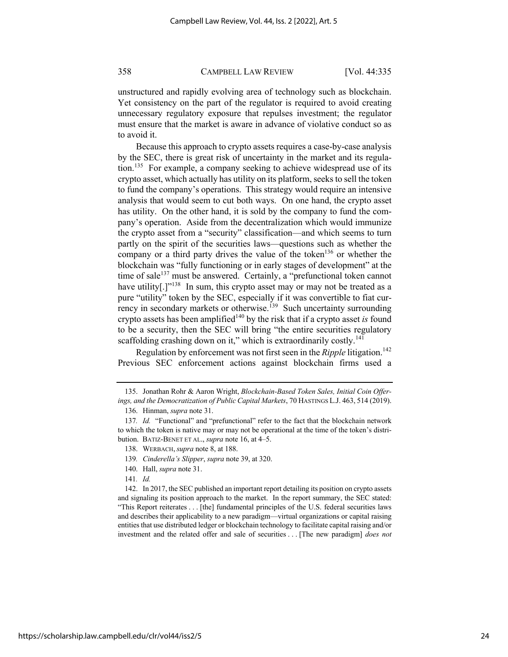unstructured and rapidly evolving area of technology such as blockchain. Yet consistency on the part of the regulator is required to avoid creating unnecessary regulatory exposure that repulses investment; the regulator must ensure that the market is aware in advance of violative conduct so as to avoid it.

Because this approach to crypto assets requires a case-by-case analysis by the SEC, there is great risk of uncertainty in the market and its regulation.<sup>135</sup> For example, a company seeking to achieve widespread use of its crypto asset, which actually has utility on its platform, seeks to sell the token to fund the company's operations. This strategy would require an intensive analysis that would seem to cut both ways. On one hand, the crypto asset has utility. On the other hand, it is sold by the company to fund the company's operation. Aside from the decentralization which would immunize the crypto asset from a "security" classification—and which seems to turn partly on the spirit of the securities laws—questions such as whether the company or a third party drives the value of the token<sup>136</sup> or whether the blockchain was "fully functioning or in early stages of development" at the time of sale<sup>137</sup> must be answered. Certainly, a "prefunctional token cannot have utility[ $\cdot$ ]<sup>"138</sup> In sum, this crypto asset may or may not be treated as a pure "utility" token by the SEC, especially if it was convertible to fiat currency in secondary markets or otherwise.<sup>139</sup> Such uncertainty surrounding crypto assets has been amplified<sup>140</sup> by the risk that if a crypto asset *is* found to be a security, then the SEC will bring "the entire securities regulatory scaffolding crashing down on it," which is extraordinarily costly.<sup>141</sup>

Regulation by enforcement was not first seen in the *Ripple* litigation.<sup>142</sup> Previous SEC enforcement actions against blockchain firms used a

141*. Id.*

<sup>135.</sup> Jonathan Rohr & Aaron Wright, *Blockchain-Based Token Sales, Initial Coin Offerings, and the Democratization of Public Capital Markets*, 70 HASTINGS L.J. 463, 514 (2019).

<sup>136.</sup> Hinman, *supra* note 31.

<sup>137</sup>*. Id.* "Functional" and "prefunctional" refer to the fact that the blockchain network to which the token is native may or may not be operational at the time of the token's distribution. BATIZ-BENET ET AL., *supra* note 16, at 4–5.

<sup>138.</sup> WERBACH,*supra* note 8, at 188.

<sup>139</sup>*. Cinderella's Slipper*, *supra* note 39, at 320.

<sup>140.</sup> Hall, *supra* note 31.

<sup>142.</sup> In 2017, the SEC published an important report detailing its position on crypto assets and signaling its position approach to the market. In the report summary, the SEC stated: "This Report reiterates . . . [the] fundamental principles of the U.S. federal securities laws and describes their applicability to a new paradigm—virtual organizations or capital raising entities that use distributed ledger or blockchain technology to facilitate capital raising and/or investment and the related offer and sale of securities . . . [The new paradigm] *does not*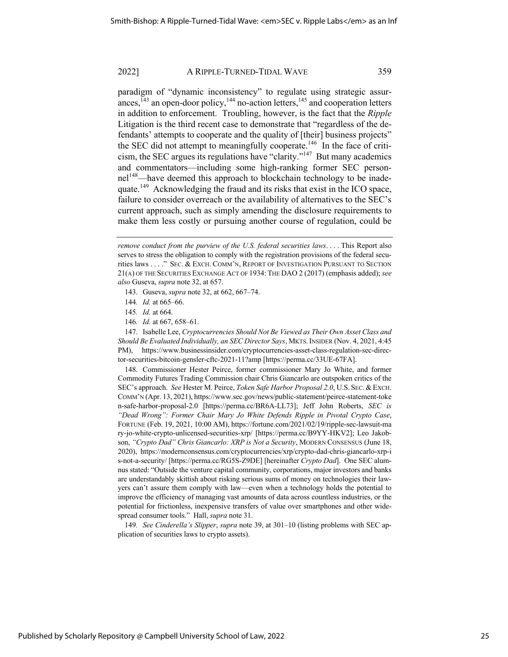paradigm of "dynamic inconsistency" to regulate using strategic assurances, $^{143}$  an open-door policy, $^{144}$  no-action letters, $^{145}$  and cooperation letters in addition to enforcement. Troubling, however, is the fact that the *Ripple* Litigation is the third recent case to demonstrate that "regardless of the defendants' attempts to cooperate and the quality of [their] business projects" the SEC did not attempt to meaningfully cooperate.<sup>146</sup> In the face of criticism, the SEC argues its regulations have "clarity."147 But many academics and commentators—including some high-ranking former SEC personnel<sup>148</sup>—have deemed this approach to blockchain technology to be inadequate.149 Acknowledging the fraud and its risks that exist in the ICO space, failure to consider overreach or the availability of alternatives to the SEC's current approach, such as simply amending the disclosure requirements to make them less costly or pursuing another course of regulation, could be

146*. Id.* at 667, 658–61.

147. Isabelle Lee, *Cryptocurrencies Should Not Be Viewed as Their Own Asset Class and Should Be Evaluated Individually, an SEC Director Says*, MKTS.INSIDER (Nov. 4, 2021, 4:45 PM), https://www.businessinsider.com/cryptocurrencies-asset-class-regulation-sec-director-securities-bitcoin-gensler-cftc-2021-11?amp [https://perma.cc/33UE-67FA].

148. Commissioner Hester Peirce, former commissioner Mary Jo White, and former Commodity Futures Trading Commission chair Chris Giancarlo are outspoken critics of the SEC's approach. *See* Hester M. Peirce, *Token Safe Harbor Proposal 2.0*, U.S. SEC. & EXCH. COMM'N (Apr. 13, 2021), https://www.sec.gov/news/public-statement/peirce-statement-toke n-safe-harbor-proposal-2.0 [https://perma.cc/BR6A-LL73]; Jeff John Roberts, *SEC is "Dead Wrong": Former Chair Mary Jo White Defends Ripple in Pivotal Crypto Case*, FORTUNE (Feb. 19, 2021, 10:00 AM), https://fortune.com/2021/02/19/ripple-sec-lawsuit-ma ry-jo-white-crypto-unlicensed-securities-xrp/ [https://perma.cc/B9YY-HKV2]; Leo Jakobson, *"Crypto Dad" Chris Giancarlo: XRP is Not a Security*, MODERN CONSENSUS (June 18, 2020), https://modernconsensus.com/cryptocurrencies/xrp/crypto-dad-chris-giancarlo-xrp-i s-not-a-security/ [https://perma.cc/RG5S-Z9DE] [hereinafter *Crypto Dad*]. One SEC alumnus stated: "Outside the venture capital community, corporations, major investors and banks are understandably skittish about risking serious sums of money on technologies their lawyers can't assure them comply with law—even when a technology holds the potential to improve the efficiency of managing vast amounts of data across countless industries, or the potential for frictionless, inexpensive transfers of value over smartphones and other widespread consumer tools." Hall, *supra* note 31.

149*. See Cinderella's Slipper*, *supra* note 39, at 301–10 (listing problems with SEC application of securities laws to crypto assets).

*remove conduct from the purview of the U.S. federal securities laws*. . . . This Report also serves to stress the obligation to comply with the registration provisions of the federal securities laws . . . ." SEC. & EXCH. COMM'N, REPORT OF INVESTIGATION PURSUANT TO SECTION 21(A) OF THE SECURITIES EXCHANGE ACT OF 1934: THE DAO 2 (2017) (emphasis added); *see also* Guseva, *supra* note 32, at 657.

<sup>143.</sup> Guseva, *supra* note 32, at 662, 667–74.

<sup>144</sup>*. Id.* at 665–66.

<sup>145</sup>*. Id.* at 664.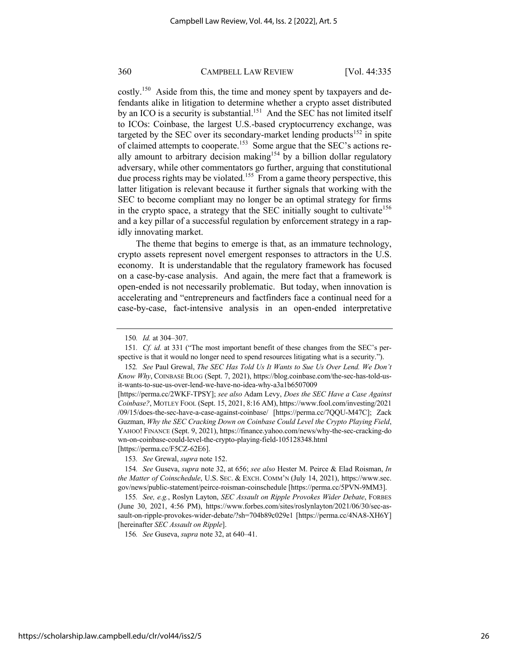costly.<sup>150</sup> Aside from this, the time and money spent by taxpayers and defendants alike in litigation to determine whether a crypto asset distributed by an ICO is a security is substantial.<sup>151</sup> And the SEC has not limited itself to ICOs: Coinbase, the largest U.S.-based cryptocurrency exchange, was targeted by the SEC over its secondary-market lending products<sup>152</sup> in spite of claimed attempts to cooperate.153 Some argue that the SEC's actions really amount to arbitrary decision making<sup>154</sup> by a billion dollar regulatory adversary, while other commentators go further, arguing that constitutional due process rights may be violated.<sup>155</sup> From a game theory perspective, this latter litigation is relevant because it further signals that working with the SEC to become compliant may no longer be an optimal strategy for firms in the crypto space, a strategy that the SEC initially sought to cultivate  $156$ and a key pillar of a successful regulation by enforcement strategy in a rapidly innovating market.

The theme that begins to emerge is that, as an immature technology, crypto assets represent novel emergent responses to attractors in the U.S. economy. It is understandable that the regulatory framework has focused on a case-by-case analysis. And again, the mere fact that a framework is open-ended is not necessarily problematic. But today, when innovation is accelerating and "entrepreneurs and factfinders face a continual need for a case-by-case, fact-intensive analysis in an open-ended interpretative

153*. See* Grewal, *supra* note 152.

154*. See* Guseva, *supra* note 32, at 656; *see also* Hester M. Peirce & Elad Roisman, *In the Matter of Coinschedule*, U.S. SEC. & EXCH. COMM'N (July 14, 2021), https://www.sec. gov/news/public-statement/peirce-roisman-coinschedule [https://perma.cc/5PVN-9MM3].

155*. See, e.g.*, Roslyn Layton, *SEC Assault on Ripple Provokes Wider Debate*, FORBES (June 30, 2021, 4:56 PM), https://www.forbes.com/sites/roslynlayton/2021/06/30/sec-assault-on-ripple-provokes-wider-debate/?sh=704b89c029e1 [https://perma.cc/4NA8-XH6Y] [hereinafter *SEC Assault on Ripple*].

156*. See* Guseva, *supra* note 32, at 640–41.

<sup>150</sup>*. Id.* at 304–307.

<sup>151</sup>*. Cf. id.* at 331 ("The most important benefit of these changes from the SEC's perspective is that it would no longer need to spend resources litigating what is a security.").

<sup>152</sup>*. See* Paul Grewal, *The SEC Has Told Us It Wants to Sue Us Over Lend. We Don't Know Why*, COINBASE BLOG (Sept. 7, 2021), https://blog.coinbase.com/the-sec-has-told-usit-wants-to-sue-us-over-lend-we-have-no-idea-why-a3a1b6507009

<sup>[</sup>https://perma.cc/2WKF-TPSY]; *see also* Adam Levy, *Does the SEC Have a Case Against Coinbase?*, MOTLEY FOOL (Sept. 15, 2021, 8:16 AM), https://www.fool.com/investing/2021 /09/15/does-the-sec-have-a-case-against-coinbase/ [https://perma.cc/7QQU-M47C]; Zack Guzman, *Why the SEC Cracking Down on Coinbase Could Level the Crypto Playing Field*, YAHOO! FINANCE (Sept. 9, 2021), https://finance.yahoo.com/news/why-the-sec-cracking-do wn-on-coinbase-could-level-the-crypto-playing-field-105128348.html [https://perma.cc/F5CZ-62E6].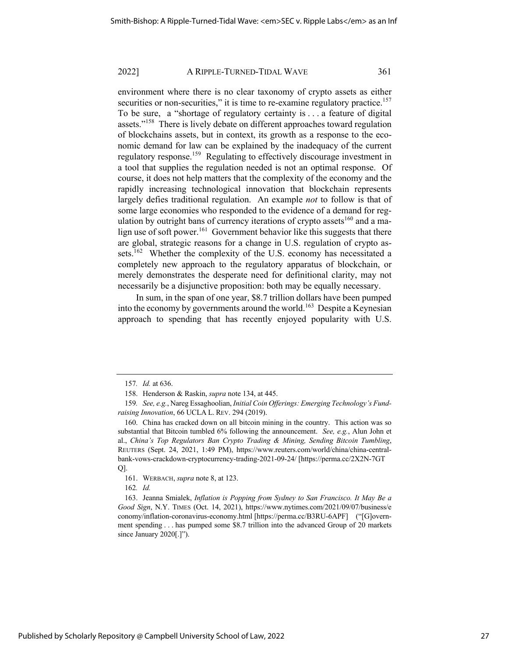environment where there is no clear taxonomy of crypto assets as either securities or non-securities," it is time to re-examine regulatory practice.<sup>157</sup> To be sure, a "shortage of regulatory certainty is . . . a feature of digital assets."<sup>158</sup> There is lively debate on different approaches toward regulation of blockchains assets, but in context, its growth as a response to the economic demand for law can be explained by the inadequacy of the current regulatory response.<sup>159</sup> Regulating to effectively discourage investment in a tool that supplies the regulation needed is not an optimal response. Of course, it does not help matters that the complexity of the economy and the rapidly increasing technological innovation that blockchain represents largely defies traditional regulation. An example *not* to follow is that of some large economies who responded to the evidence of a demand for regulation by outright bans of currency iterations of crypto assets  $160$  and a malign use of soft power.<sup>161</sup> Government behavior like this suggests that there are global, strategic reasons for a change in U.S. regulation of crypto assets.<sup>162</sup> Whether the complexity of the U.S. economy has necessitated a completely new approach to the regulatory apparatus of blockchain, or merely demonstrates the desperate need for definitional clarity, may not necessarily be a disjunctive proposition: both may be equally necessary.

In sum, in the span of one year, \$8.7 trillion dollars have been pumped into the economy by governments around the world.<sup>163</sup> Despite a Keynesian approach to spending that has recently enjoyed popularity with U.S.

<sup>157</sup>*. Id.* at 636.

<sup>158.</sup> Henderson & Raskin, *supra* note 134, at 445.

<sup>159</sup>*. See, e.g.*, Nareg Essaghoolian, *Initial Coin Offerings: Emerging Technology's Fundraising Innovation*, 66 UCLA L. REV. 294 (2019).

<sup>160.</sup> China has cracked down on all bitcoin mining in the country. This action was so substantial that Bitcoin tumbled 6% following the announcement. *See, e.g.*, Alun John et al., *China's Top Regulators Ban Crypto Trading & Mining, Sending Bitcoin Tumbling*, REUTERS (Sept. 24, 2021, 1:49 PM), https://www.reuters.com/world/china/china-centralbank-vows-crackdown-cryptocurrency-trading-2021-09-24/ [https://perma.cc/2X2N-7GT Q].

<sup>161.</sup> WERBACH, *supra* note 8, at 123.

<sup>162</sup>*. Id.* 

<sup>163.</sup> Jeanna Smialek, *Inflation is Popping from Sydney to San Francisco. It May Be a Good Sign*, N.Y. TIMES (Oct. 14, 2021), https://www.nytimes.com/2021/09/07/business/e conomy/inflation-coronavirus-economy.html [https://perma.cc/B3RU-6APF] ("[G]overnment spending . . . has pumped some \$8.7 trillion into the advanced Group of 20 markets since January 2020[.]").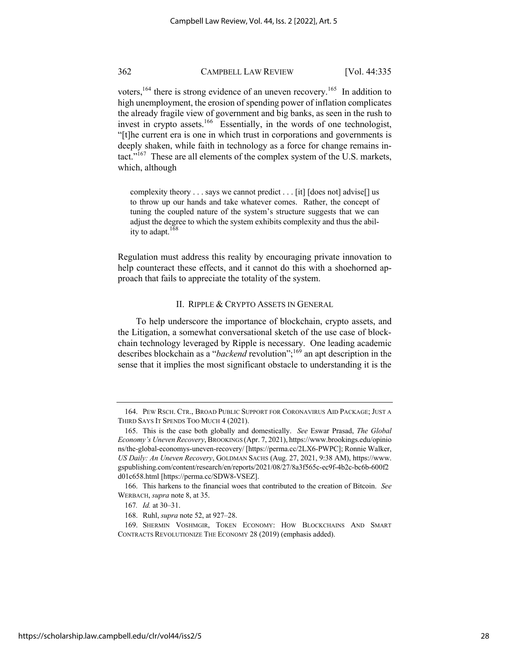voters,<sup>164</sup> there is strong evidence of an uneven recovery.<sup>165</sup> In addition to high unemployment, the erosion of spending power of inflation complicates the already fragile view of government and big banks, as seen in the rush to invest in crypto assets.<sup>166</sup> Essentially, in the words of one technologist, "[t]he current era is one in which trust in corporations and governments is deeply shaken, while faith in technology as a force for change remains intact."167 These are all elements of the complex system of the U.S. markets, which, although

complexity theory . . . says we cannot predict . . . [it] [does not] advise[] us to throw up our hands and take whatever comes. Rather, the concept of tuning the coupled nature of the system's structure suggests that we can adjust the degree to which the system exhibits complexity and thus the ability to adapt. $168$ 

Regulation must address this reality by encouraging private innovation to help counteract these effects, and it cannot do this with a shoehorned approach that fails to appreciate the totality of the system.

#### II. RIPPLE & CRYPTO ASSETS IN GENERAL

To help underscore the importance of blockchain, crypto assets, and the Litigation, a somewhat conversational sketch of the use case of blockchain technology leveraged by Ripple is necessary. One leading academic describes blockchain as a "*backend* revolution";<sup>169</sup> an apt description in the sense that it implies the most significant obstacle to understanding it is the

<sup>164.</sup> PEW RSCH. CTR., BROAD PUBLIC SUPPORT FOR CORONAVIRUS AID PACKAGE; JUST A THIRD SAYS IT SPENDS TOO MUCH 4 (2021).

<sup>165.</sup> This is the case both globally and domestically. *See* Eswar Prasad, *The Global Economy's Uneven Recovery*, BROOKINGS (Apr. 7, 2021), https://www.brookings.edu/opinio ns/the-global-economys-uneven-recovery/ [https://perma.cc/2LX6-PWPC]; Ronnie Walker, *US Daily: An Uneven Recovery*, GOLDMAN SACHS (Aug. 27, 2021, 9:38 AM), https://www. gspublishing.com/content/research/en/reports/2021/08/27/8a3f565c-ec9f-4b2c-bc6b-600f2 d01c658.html [https://perma.cc/SDW8-VSEZ].

<sup>166.</sup> This harkens to the financial woes that contributed to the creation of Bitcoin. *See*  WERBACH, *supra* note 8, at 35.

<sup>167</sup>*. Id.* at 30–31.

<sup>168.</sup> Ruhl, *supra* note 52, at 927–28.

<sup>169.</sup> SHERMIN VOSHMGIR, TOKEN ECONOMY: HOW BLOCKCHAINS AND SMART CONTRACTS REVOLUTIONIZE THE ECONOMY 28 (2019) (emphasis added).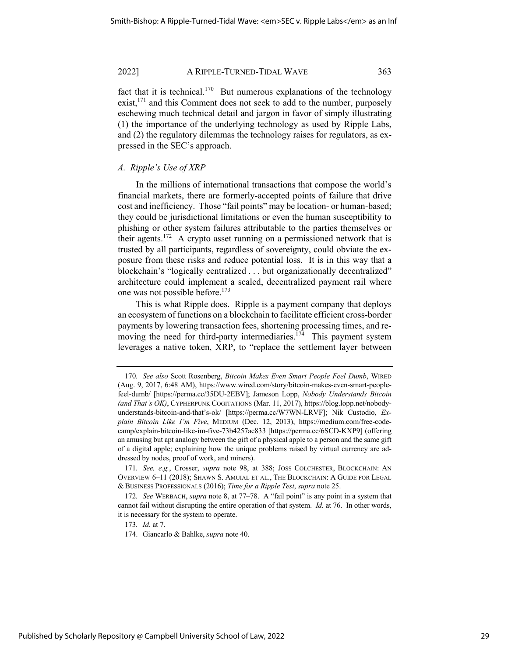fact that it is technical.<sup>170</sup> But numerous explanations of the technology exist, $^{171}$  and this Comment does not seek to add to the number, purposely eschewing much technical detail and jargon in favor of simply illustrating (1) the importance of the underlying technology as used by Ripple Labs, and (2) the regulatory dilemmas the technology raises for regulators, as expressed in the SEC's approach.

#### *A. Ripple's Use of XRP*

In the millions of international transactions that compose the world's financial markets, there are formerly-accepted points of failure that drive cost and inefficiency. Those "fail points" may be location- or human-based; they could be jurisdictional limitations or even the human susceptibility to phishing or other system failures attributable to the parties themselves or their agents.<sup>172</sup> A crypto asset running on a permissioned network that is trusted by all participants, regardless of sovereignty, could obviate the exposure from these risks and reduce potential loss. It is in this way that a blockchain's "logically centralized . . . but organizationally decentralized" architecture could implement a scaled, decentralized payment rail where one was not possible before.<sup>173</sup>

This is what Ripple does. Ripple is a payment company that deploys an ecosystem of functions on a blockchain to facilitate efficient cross-border payments by lowering transaction fees, shortening processing times, and removing the need for third-party intermediaries.<sup>174</sup> This payment system leverages a native token, XRP, to "replace the settlement layer between

<sup>170</sup>*. See also* Scott Rosenberg, *Bitcoin Makes Even Smart People Feel Dumb*, WIRED (Aug. 9, 2017, 6:48 AM), https://www.wired.com/story/bitcoin-makes-even-smart-peoplefeel-dumb/ [https://perma.cc/35DU-2EBV]; Jameson Lopp, *Nobody Understands Bitcoin (and That's OK)*, CYPHERPUNK COGITATIONS (Mar. 11, 2017), https://blog.lopp.net/nobodyunderstands-bitcoin-and-that's-ok/ [https://perma.cc/W7WN-LRVF]; Nik Custodio, *Explain Bitcoin Like I'm Five*, MEDIUM (Dec. 12, 2013), https://medium.com/free-codecamp/explain-bitcoin-like-im-five-73b4257ac833 [https://perma.cc/6SCD-KXP9] (offering an amusing but apt analogy between the gift of a physical apple to a person and the same gift of a digital apple; explaining how the unique problems raised by virtual currency are addressed by nodes, proof of work, and miners).

<sup>171</sup>*. See, e.g.*, Crosser, *supra* note 98, at 388; JOSS COLCHESTER, BLOCKCHAIN: AN OVERVIEW 6–11 (2018); SHAWN S. AMUIAL ET AL., THE BLOCKCHAIN: A GUIDE FOR LEGAL & BUSINESS PROFESSIONALS (2016); *Time for a Ripple Test*, *supra* note 25.

<sup>172</sup>*. See* WERBACH, *supra* note 8, at 77–78. A "fail point" is any point in a system that cannot fail without disrupting the entire operation of that system. *Id.* at 76. In other words, it is necessary for the system to operate.

<sup>173</sup>*. Id.* at 7.

<sup>174.</sup> Giancarlo & Bahlke, *supra* note 40.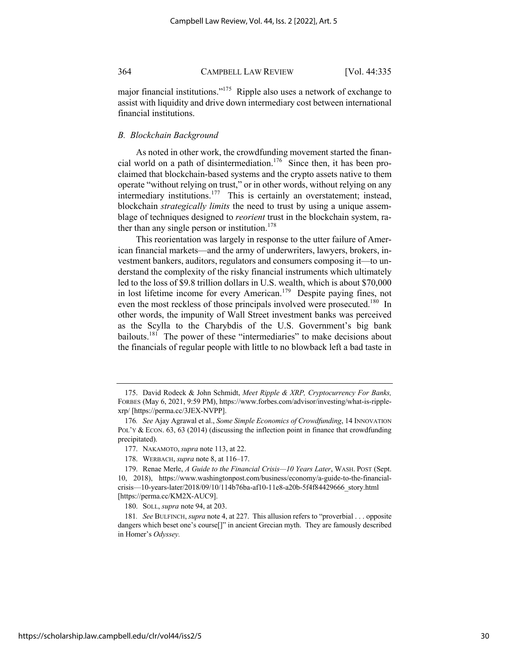major financial institutions."<sup>175</sup> Ripple also uses a network of exchange to assist with liquidity and drive down intermediary cost between international financial institutions.

#### *B. Blockchain Background*

As noted in other work, the crowdfunding movement started the financial world on a path of disintermediation.<sup>176</sup> Since then, it has been proclaimed that blockchain-based systems and the crypto assets native to them operate "without relying on trust," or in other words, without relying on any intermediary institutions.<sup>177</sup> This is certainly an overstatement; instead, blockchain *strategically limits* the need to trust by using a unique assemblage of techniques designed to *reorient* trust in the blockchain system, rather than any single person or institution. $178$ 

This reorientation was largely in response to the utter failure of American financial markets—and the army of underwriters, lawyers, brokers, investment bankers, auditors, regulators and consumers composing it—to understand the complexity of the risky financial instruments which ultimately led to the loss of \$9.8 trillion dollars in U.S. wealth, which is about \$70,000 in lost lifetime income for every American.<sup>179</sup> Despite paying fines, not even the most reckless of those principals involved were prosecuted.<sup>180</sup> In other words, the impunity of Wall Street investment banks was perceived as the Scylla to the Charybdis of the U.S. Government's big bank bailouts.<sup>181</sup> The power of these "intermediaries" to make decisions about the financials of regular people with little to no blowback left a bad taste in

https://scholarship.law.campbell.edu/clr/vol44/iss2/5

<sup>175.</sup> David Rodeck & John Schmidt, *Meet Ripple & XRP, Cryptocurrency For Banks,*  FORBES (May 6, 2021, 9:59 PM), https://www.forbes.com/advisor/investing/what-is-ripplexrp/ [https://perma.cc/3JEX-NVPP].

<sup>176</sup>*. See* Ajay Agrawal et al., *Some Simple Economics of Crowdfunding*, 14 INNOVATION POL'Y & ECON. 63, 63 (2014) (discussing the inflection point in finance that crowdfunding precipitated).

<sup>177.</sup> NAKAMOTO,*supra* note 113, at 22.

<sup>178.</sup> WERBACH, *supra* note 8, at 116–17.

<sup>179.</sup> Renae Merle, *A Guide to the Financial Crisis—10 Years Later*, WASH. POST (Sept. 10, 2018), https://www.washingtonpost.com/business/economy/a-guide-to-the-financialcrisis—10-years-later/2018/09/10/114b76ba-af10-11e8-a20b-5f4f84429666\_story.html [https://perma.cc/KM2X-AUC9].

<sup>180.</sup> SOLL, *supra* note 94, at 203.

<sup>181</sup>*. See* BULFINCH, *supra* note 4, at 227. This allusion refers to "proverbial . . . opposite dangers which beset one's course[]" in ancient Grecian myth. They are famously described in Homer's *Odyssey.*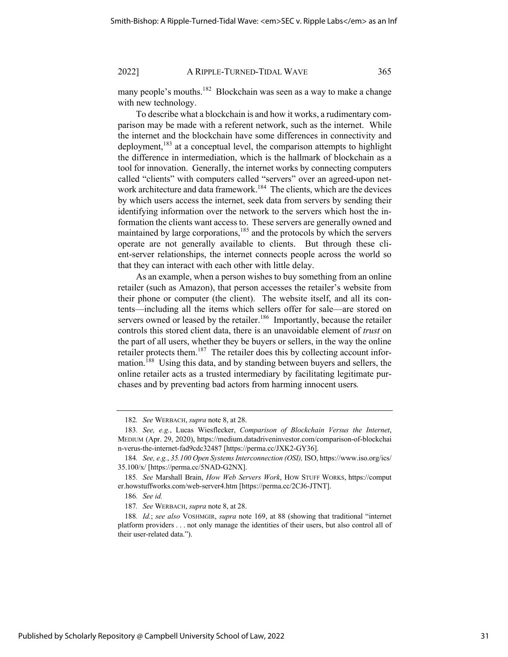many people's mouths.<sup>182</sup> Blockchain was seen as a way to make a change with new technology.

To describe what a blockchain is and how it works, a rudimentary comparison may be made with a referent network, such as the internet. While the internet and the blockchain have some differences in connectivity and deployment,<sup>183</sup> at a conceptual level, the comparison attempts to highlight the difference in intermediation, which is the hallmark of blockchain as a tool for innovation. Generally, the internet works by connecting computers called "clients" with computers called "servers" over an agreed-upon network architecture and data framework.<sup>184</sup> The clients, which are the devices by which users access the internet, seek data from servers by sending their identifying information over the network to the servers which host the information the clients want access to. These servers are generally owned and maintained by large corporations, $185$  and the protocols by which the servers operate are not generally available to clients. But through these client-server relationships, the internet connects people across the world so that they can interact with each other with little delay.

As an example, when a person wishes to buy something from an online retailer (such as Amazon), that person accesses the retailer's website from their phone or computer (the client). The website itself, and all its contents—including all the items which sellers offer for sale—are stored on servers owned or leased by the retailer.<sup>186</sup> Importantly, because the retailer controls this stored client data, there is an unavoidable element of *trust* on the part of all users, whether they be buyers or sellers, in the way the online retailer protects them.<sup>187</sup> The retailer does this by collecting account information.<sup>188</sup> Using this data, and by standing between buyers and sellers, the online retailer acts as a trusted intermediary by facilitating legitimate purchases and by preventing bad actors from harming innocent users*.*

<sup>182</sup>*. See* WERBACH, *supra* note 8, at 28.

<sup>183</sup>*. See, e.g.*, Lucas Wiesflecker, *Comparison of Blockchain Versus the Internet*, MEDIUM (Apr. 29, 2020), https://medium.datadriveninvestor.com/comparison-of-blockchai n-verus-the-internet-fad9cdc32487 [https://perma.cc/JXK2-GY36].

<sup>184</sup>*. See, e.g.*, *35.100 Open Systems Interconnection (OSI),* ISO, https://www.iso.org/ics/ 35.100/x/ [https://perma.cc/5NAD-G2NX].

<sup>185</sup>*. See* Marshall Brain, *How Web Servers Work*, HOW STUFF WORKS, https://comput er.howstuffworks.com/web-server4.htm [https://perma.cc/2CJ6-JTNT].

<sup>186</sup>*. See id.*

<sup>187</sup>*. See* WERBACH, *supra* note 8, at 28.

<sup>188</sup>*. Id.*; *see also* VOSHMGIR, *supra* note 169, at 88 (showing that traditional "internet platform providers . . . not only manage the identities of their users, but also control all of their user-related data.").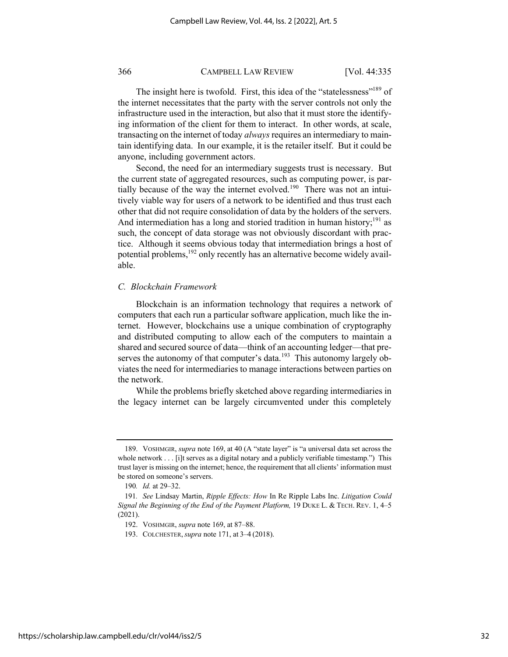The insight here is twofold. First, this idea of the "statelessness"<sup>189</sup> of the internet necessitates that the party with the server controls not only the infrastructure used in the interaction, but also that it must store the identifying information of the client for them to interact. In other words, at scale, transacting on the internet of today *always* requires an intermediary to maintain identifying data. In our example, it is the retailer itself. But it could be anyone, including government actors.

Second, the need for an intermediary suggests trust is necessary. But the current state of aggregated resources, such as computing power, is partially because of the way the internet evolved.<sup>190</sup> There was not an intuitively viable way for users of a network to be identified and thus trust each other that did not require consolidation of data by the holders of the servers. And intermediation has a long and storied tradition in human history;<sup>191</sup> as such, the concept of data storage was not obviously discordant with practice. Although it seems obvious today that intermediation brings a host of potential problems, <sup>192</sup> only recently has an alternative become widely available.

#### *C. Blockchain Framework*

Blockchain is an information technology that requires a network of computers that each run a particular software application, much like the internet. However, blockchains use a unique combination of cryptography and distributed computing to allow each of the computers to maintain a shared and secured source of data—think of an accounting ledger—that preserves the autonomy of that computer's data.<sup>193</sup> This autonomy largely obviates the need for intermediaries to manage interactions between parties on the network.

While the problems briefly sketched above regarding intermediaries in the legacy internet can be largely circumvented under this completely

<sup>189.</sup> VOSHMGIR, *supra* note 169, at 40 (A "state layer" is "a universal data set across the whole network . . . [i]t serves as a digital notary and a publicly verifiable timestamp.") This trust layer is missing on the internet; hence, the requirement that all clients' information must be stored on someone's servers.

<sup>190</sup>*. Id.* at 29–32.

<sup>191</sup>*. See* Lindsay Martin, *Ripple Effects: How* In Re Ripple Labs Inc. *Litigation Could Signal the Beginning of the End of the Payment Platform,* 19 DUKE L. & TECH. REV. 1, 4–5 (2021).

<sup>192.</sup> VOSHMGIR, *supra* note 169, at 87–88.

<sup>193.</sup> COLCHESTER,*supra* note 171, at 3–4 (2018).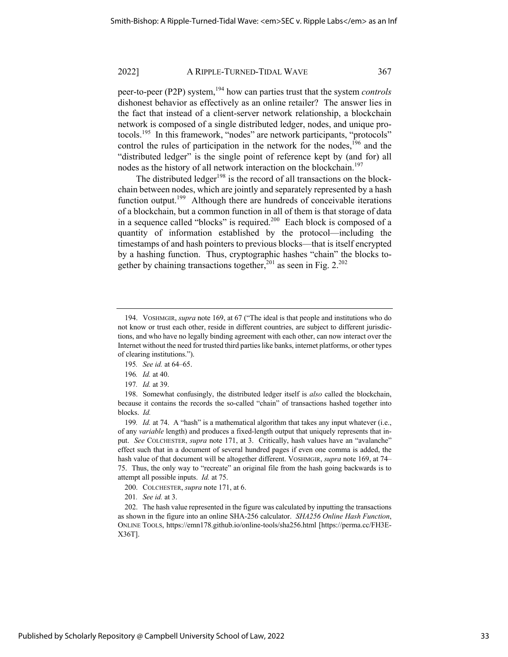peer-to-peer (P2P) system,<sup>194</sup> how can parties trust that the system *controls* dishonest behavior as effectively as an online retailer? The answer lies in the fact that instead of a client-server network relationship, a blockchain network is composed of a single distributed ledger, nodes, and unique protocols.195 In this framework, "nodes" are network participants, "protocols" control the rules of participation in the network for the nodes, $196$  and the "distributed ledger" is the single point of reference kept by (and for) all nodes as the history of all network interaction on the blockchain.<sup>197</sup>

The distributed ledger<sup>198</sup> is the record of all transactions on the blockchain between nodes, which are jointly and separately represented by a hash function output.<sup>199</sup> Although there are hundreds of conceivable iterations of a blockchain, but a common function in all of them is that storage of data in a sequence called "blocks" is required.<sup>200</sup> Each block is composed of a quantity of information established by the protocol—including the timestamps of and hash pointers to previous blocks—that is itself encrypted by a hashing function. Thus, cryptographic hashes "chain" the blocks together by chaining transactions together,  $201$  as seen in Fig.  $2.202$ 

199*. Id.* at 74. A "hash" is a mathematical algorithm that takes any input whatever (i.e., of any *variable* length) and produces a fixed-length output that uniquely represents that input. *See* COLCHESTER, *supra* note 171, at 3. Critically, hash values have an "avalanche" effect such that in a document of several hundred pages if even one comma is added, the hash value of that document will be altogether different. VOSHMGIR, *supra* note 169, at 74– 75. Thus, the only way to "recreate" an original file from the hash going backwards is to attempt all possible inputs. *Id.* at 75.

200. COLCHESTER, *supra* note 171, at 6.

<sup>194.</sup> VOSHMGIR, *supra* note 169, at 67 ("The ideal is that people and institutions who do not know or trust each other, reside in different countries, are subject to different jurisdictions, and who have no legally binding agreement with each other, can now interact over the Internet without the need for trusted third parties like banks, internet platforms, or other types of clearing institutions.").

<sup>195</sup>*. See id.* at 64–65.

<sup>196</sup>*. Id.* at 40.

<sup>197</sup>*. Id.* at 39.

<sup>198.</sup> Somewhat confusingly, the distributed ledger itself is *also* called the blockchain, because it contains the records the so-called "chain" of transactions hashed together into blocks. *Id.*

<sup>201</sup>*. See id.* at 3.

<sup>202.</sup> The hash value represented in the figure was calculated by inputting the transactions as shown in the figure into an online SHA-256 calculator. *SHA256 Online Hash Function*, ONLINE TOOLS, https://emn178.github.io/online-tools/sha256.html [https://perma.cc/FH3E-X36T].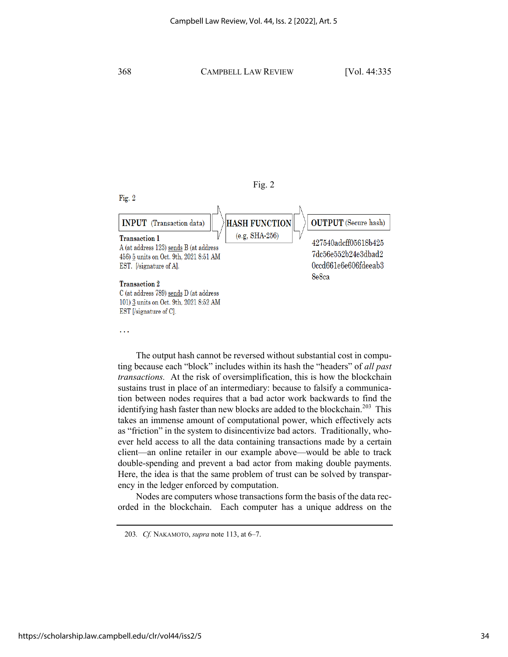



The output hash cannot be reversed without substantial cost in computing because each "block" includes within its hash the "headers" of *all past transactions.* At the risk of oversimplification, this is how the blockchain sustains trust in place of an intermediary: because to falsify a communication between nodes requires that a bad actor work backwards to find the identifying hash faster than new blocks are added to the blockchain.<sup>203</sup> This takes an immense amount of computational power, which effectively acts as "friction" in the system to disincentivize bad actors. Traditionally, whoever held access to all the data containing transactions made by a certain client—an online retailer in our example above—would be able to track double-spending and prevent a bad actor from making double payments. Here, the idea is that the same problem of trust can be solved by transparency in the ledger enforced by computation.

Nodes are computers whose transactions form the basis of the data recorded in the blockchain. Each computer has a unique address on the

<sup>203</sup>*. Cf.* NAKAMOTO, *supra* note 113, at 6–7.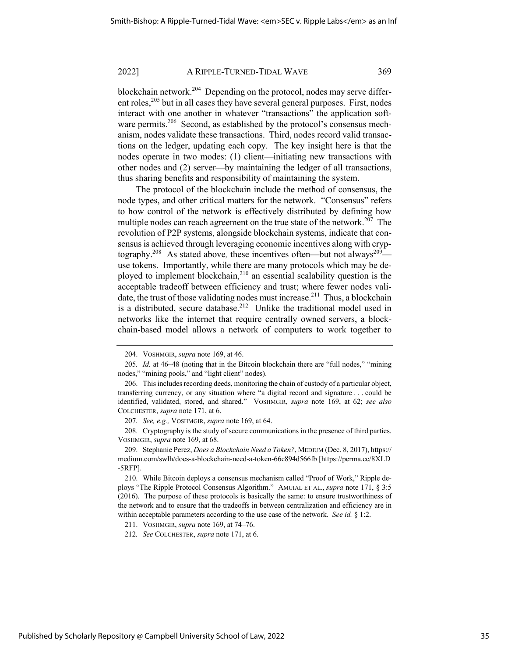blockchain network.<sup>204</sup> Depending on the protocol, nodes may serve different roles,<sup>205</sup> but in all cases they have several general purposes. First, nodes interact with one another in whatever "transactions" the application software permits.<sup>206</sup> Second, as established by the protocol's consensus mechanism, nodes validate these transactions. Third, nodes record valid transactions on the ledger, updating each copy. The key insight here is that the nodes operate in two modes: (1) client—initiating new transactions with other nodes and (2) server—by maintaining the ledger of all transactions, thus sharing benefits and responsibility of maintaining the system.

The protocol of the blockchain include the method of consensus, the node types, and other critical matters for the network. "Consensus" refers to how control of the network is effectively distributed by defining how multiple nodes can reach agreement on the true state of the network.<sup>207</sup> The revolution of P2P systems, alongside blockchain systems, indicate that consensus is achieved through leveraging economic incentives along with cryptography.<sup>208</sup> As stated above, these incentives often—but not always<sup>209</sup> use tokens. Importantly, while there are many protocols which may be deployed to implement blockchain,<sup>210</sup> an essential scalability question is the acceptable tradeoff between efficiency and trust; where fewer nodes validate, the trust of those validating nodes must increase.<sup>211</sup> Thus, a blockchain is a distributed, secure database.<sup>212</sup> Unlike the traditional model used in networks like the internet that require centrally owned servers, a blockchain-based model allows a network of computers to work together to

207*. See, e.g.,* VOSHMGIR, *supra* note 169, at 64.

208. Cryptography is the study of secure communications in the presence of third parties. VOSHMGIR, *supra* note 169, at 68.

209. Stephanie Perez, *Does a Blockchain Need a Token?*, MEDIUM (Dec. 8, 2017), https:// medium.com/swlh/does-a-blockchain-need-a-token-66c894d566fb [https://perma.cc/8XLD -5RFP].

211. VOSHMGIR, *supra* note 169, at 74–76.

212*. See* COLCHESTER, *supra* note 171, at 6.

<sup>204.</sup> VOSHMGIR, *supra* note 169, at 46.

<sup>205</sup>*. Id.* at 46–48 (noting that in the Bitcoin blockchain there are "full nodes," "mining nodes," "mining pools," and "light client" nodes).

<sup>206.</sup> This includes recording deeds, monitoring the chain of custody of a particular object, transferring currency, or any situation where "a digital record and signature . . . could be identified, validated, stored, and shared." VOSHMGIR, *supra* note 169, at 62; *see also*  COLCHESTER, *supra* note 171, at 6.

<sup>210.</sup> While Bitcoin deploys a consensus mechanism called "Proof of Work," Ripple deploys "The Ripple Protocol Consensus Algorithm." AMUIAL ET AL., *supra* note 171, § 3:5 (2016). The purpose of these protocols is basically the same: to ensure trustworthiness of the network and to ensure that the tradeoffs in between centralization and efficiency are in within acceptable parameters according to the use case of the network. *See id.* § 1:2.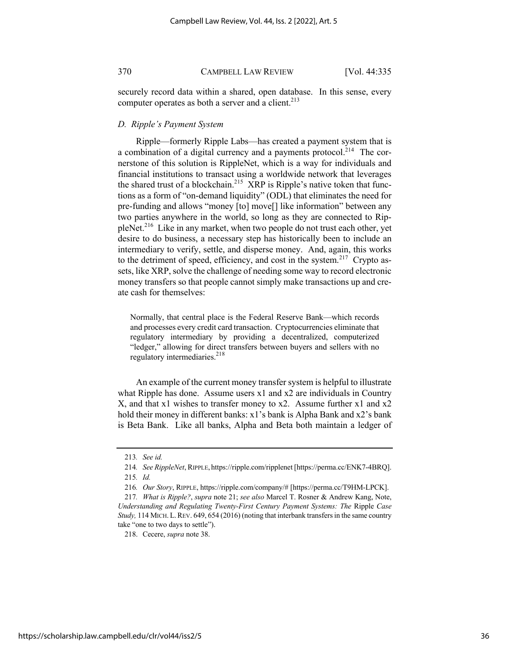securely record data within a shared, open database. In this sense, every computer operates as both a server and a client. $2^{13}$ 

#### *D. Ripple's Payment System*

Ripple—formerly Ripple Labs—has created a payment system that is a combination of a digital currency and a payments protocol.<sup>214</sup> The cornerstone of this solution is RippleNet, which is a way for individuals and financial institutions to transact using a worldwide network that leverages the shared trust of a blockchain.<sup>215</sup> XRP is Ripple's native token that functions as a form of "on-demand liquidity" (ODL) that eliminates the need for pre-funding and allows "money [to] move[] like information" between any two parties anywhere in the world, so long as they are connected to RippleNet.<sup>216</sup> Like in any market, when two people do not trust each other, yet desire to do business, a necessary step has historically been to include an intermediary to verify, settle, and disperse money. And, again, this works to the detriment of speed, efficiency, and cost in the system.<sup>217</sup> Crypto assets, like XRP, solve the challenge of needing some way to record electronic money transfers so that people cannot simply make transactions up and create cash for themselves:

Normally, that central place is the Federal Reserve Bank—which records and processes every credit card transaction. Cryptocurrencies eliminate that regulatory intermediary by providing a decentralized, computerized "ledger," allowing for direct transfers between buyers and sellers with no regulatory intermediaries.<sup>218</sup>

An example of the current money transfer system is helpful to illustrate what Ripple has done. Assume users x1 and x2 are individuals in Country X, and that x1 wishes to transfer money to x2. Assume further x1 and x2 hold their money in different banks: x1's bank is Alpha Bank and x2's bank is Beta Bank. Like all banks, Alpha and Beta both maintain a ledger of

218. Cecere, *supra* note 38.

<sup>213</sup>*. See id.*

<sup>214</sup>*. See RippleNet*, RIPPLE, https://ripple.com/ripplenet [https://perma.cc/ENK7-4BRQ]. 215*. Id.*

<sup>216</sup>*. Our Story*, RIPPLE, https://ripple.com/company/# [https://perma.cc/T9HM-LPCK].

<sup>217</sup>*. What is Ripple?*, *supra* note 21; *see also* Marcel T. Rosner & Andrew Kang, Note, *Understanding and Regulating Twenty-First Century Payment Systems: The* Ripple *Case Study,* 114 MICH.L.REV. 649, 654 (2016) (noting that interbank transfers in the same country take "one to two days to settle").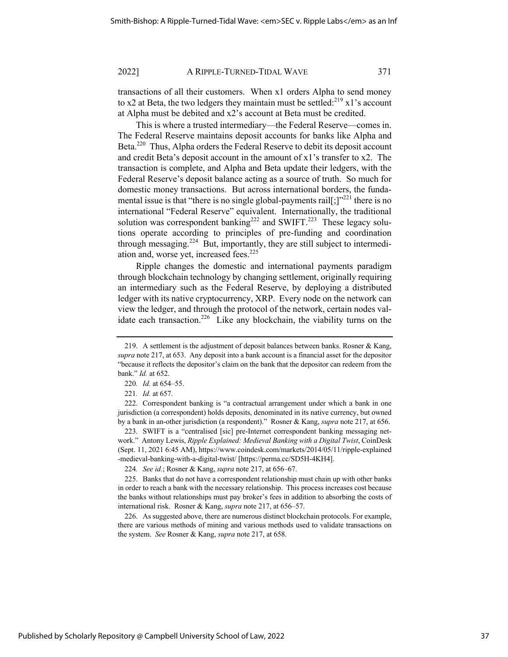transactions of all their customers. When x1 orders Alpha to send money to x2 at Beta, the two ledgers they maintain must be settled: $^{219}$  x1's account at Alpha must be debited and x2's account at Beta must be credited.

This is where a trusted intermediary—the Federal Reserve—comes in. The Federal Reserve maintains deposit accounts for banks like Alpha and Beta.<sup>220</sup> Thus, Alpha orders the Federal Reserve to debit its deposit account and credit Beta's deposit account in the amount of x1's transfer to x2. The transaction is complete, and Alpha and Beta update their ledgers, with the Federal Reserve's deposit balance acting as a source of truth. So much for domestic money transactions. But across international borders, the fundamental issue is that "there is no single global-payments rail[;] $"^{221}$  there is no international "Federal Reserve" equivalent. Internationally, the traditional solution was correspondent banking<sup>222</sup> and SWIFT.<sup>223</sup> These legacy solutions operate according to principles of pre-funding and coordination through messaging.<sup>224</sup> But, importantly, they are still subject to intermediation and, worse yet, increased fees.<sup>225</sup>

Ripple changes the domestic and international payments paradigm through blockchain technology by changing settlement, originally requiring an intermediary such as the Federal Reserve, by deploying a distributed ledger with its native cryptocurrency, XRP. Every node on the network can view the ledger, and through the protocol of the network, certain nodes validate each transaction.<sup>226</sup> Like any blockchain, the viability turns on the

222. Correspondent banking is "a contractual arrangement under which a bank in one jurisdiction (a correspondent) holds deposits, denominated in its native currency, but owned by a bank in an-other jurisdiction (a respondent)." Rosner & Kang, *supra* note 217, at 656.

223. SWIFT is a "centralised [sic] pre-Internet correspondent banking messaging network." Antony Lewis, *Ripple Explained: Medieval Banking with a Digital Twist*, CoinDesk (Sept. 11, 2021 6:45 AM), https://www.coindesk.com/markets/2014/05/11/ripple-explained -medieval-banking-with-a-digital-twist/ [https://perma.cc/SD5H-4KH4].

224*. See id.*; Rosner & Kang, *supra* note 217, at 656–67.

225. Banks that do not have a correspondent relationship must chain up with other banks in order to reach a bank with the necessary relationship. This process increases cost because the banks without relationships must pay broker's fees in addition to absorbing the costs of international risk. Rosner & Kang, *supra* note 217, at 656–57.

226. As suggested above, there are numerous distinct blockchain protocols. For example, there are various methods of mining and various methods used to validate transactions on the system. *See* Rosner & Kang, *supra* note 217, at 658.

<sup>219.</sup> A settlement is the adjustment of deposit balances between banks. Rosner & Kang, *supra* note 217, at 653. Any deposit into a bank account is a financial asset for the depositor "because it reflects the depositor's claim on the bank that the depositor can redeem from the bank." *Id.* at 652.

<sup>220</sup>*. Id.* at 654–55.

<sup>221</sup>*. Id.* at 657.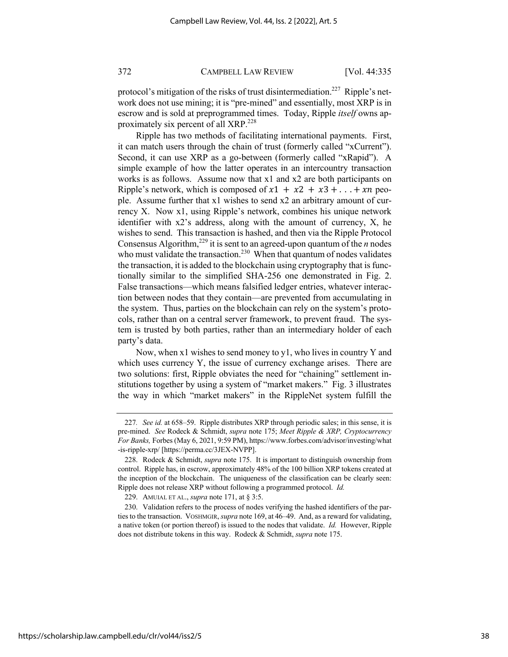protocol's mitigation of the risks of trust disintermediation.<sup>227</sup> Ripple's network does not use mining; it is "pre-mined" and essentially, most XRP is in escrow and is sold at preprogrammed times. Today, Ripple *itself* owns approximately six percent of all XRP.<sup>228</sup>

Ripple has two methods of facilitating international payments. First, it can match users through the chain of trust (formerly called "xCurrent"). Second, it can use XRP as a go-between (formerly called "xRapid"). A simple example of how the latter operates in an intercountry transaction works is as follows. Assume now that x1 and x2 are both participants on Ripple's network, which is composed of  $x1 + x2 + x3 + ... + xn$  people. Assume further that x1 wishes to send x2 an arbitrary amount of currency X. Now x1, using Ripple's network, combines his unique network identifier with x2's address, along with the amount of currency, X, he wishes to send. This transaction is hashed, and then via the Ripple Protocol Consensus Algorithm,<sup>229</sup> it is sent to an agreed-upon quantum of the  $n$  nodes who must validate the transaction.<sup>230</sup> When that quantum of nodes validates the transaction, it is added to the blockchain using cryptography that is functionally similar to the simplified SHA-256 one demonstrated in Fig. 2. False transactions—which means falsified ledger entries, whatever interaction between nodes that they contain—are prevented from accumulating in the system. Thus, parties on the blockchain can rely on the system's protocols, rather than on a central server framework, to prevent fraud. The system is trusted by both parties, rather than an intermediary holder of each party's data.

Now, when x1 wishes to send money to y1, who lives in country Y and which uses currency Y, the issue of currency exchange arises. There are two solutions: first, Ripple obviates the need for "chaining" settlement institutions together by using a system of "market makers." Fig. 3 illustrates the way in which "market makers" in the RippleNet system fulfill the

<sup>227</sup>*. See id.* at 658–59. Ripple distributes XRP through periodic sales; in this sense, it is pre-mined. *See* Rodeck & Schmidt, *supra* note 175; *Meet Ripple & XRP, Cryptocurrency For Banks,* Forbes (May 6, 2021, 9:59 PM), https://www.forbes.com/advisor/investing/what -is-ripple-xrp/ [https://perma.cc/3JEX-NVPP].

<sup>228.</sup> Rodeck & Schmidt, *supra* note 175. It is important to distinguish ownership from control. Ripple has, in escrow, approximately 48% of the 100 billion XRP tokens created at the inception of the blockchain. The uniqueness of the classification can be clearly seen: Ripple does not release XRP without following a programmed protocol. *Id.* 

<sup>229.</sup> AMUIAL ET AL., *supra* note 171, at § 3:5.

<sup>230.</sup> Validation refers to the process of nodes verifying the hashed identifiers of the parties to the transaction. VOSHMGIR, *supra* note 169, at 46–49. And, as a reward for validating, a native token (or portion thereof) is issued to the nodes that validate. *Id.* However, Ripple does not distribute tokens in this way. Rodeck & Schmidt, *supra* note 175.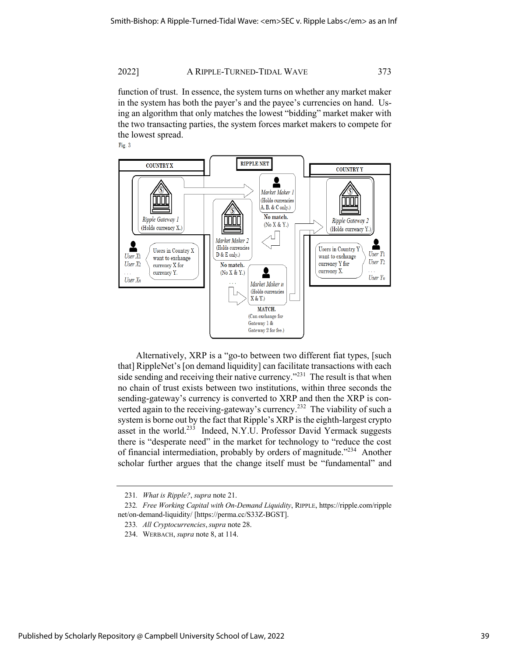function of trust. In essence, the system turns on whether any market maker in the system has both the payer's and the payee's currencies on hand. Using an algorithm that only matches the lowest "bidding" market maker with the two transacting parties, the system forces market makers to compete for the lowest spread.

Fig. 3



Alternatively, XRP is a "go-to between two different fiat types, [such that] RippleNet's [on demand liquidity] can facilitate transactions with each side sending and receiving their native currency."<sup>231</sup> The result is that when no chain of trust exists between two institutions, within three seconds the sending-gateway's currency is converted to XRP and then the XRP is converted again to the receiving-gateway's currency.<sup>232</sup> The viability of such a system is borne out by the fact that Ripple's XRP is the eighth-largest crypto asset in the world.<sup>233</sup> Indeed, N.Y.U. Professor David Yermack suggests there is "desperate need" in the market for technology to "reduce the cost of financial intermediation, probably by orders of magnitude."<sup>234</sup> Another scholar further argues that the change itself must be "fundamental" and

<sup>231</sup>*. What is Ripple?*, *supra* note 21.

<sup>232</sup>*. Free Working Capital with On-Demand Liquidity*, RIPPLE, https://ripple.com/ripple net/on-demand-liquidity/ [https://perma.cc/S33Z-BGST].

<sup>233</sup>*. All Cryptocurrencies*,*supra* note 28.

<sup>234.</sup> WERBACH, *supra* note 8, at 114.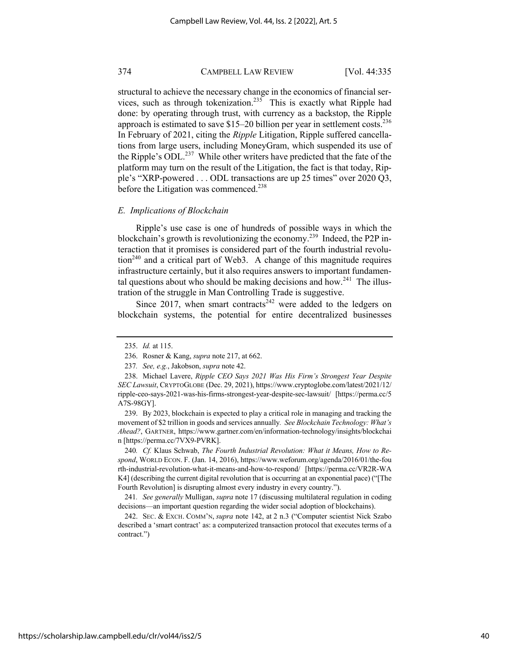structural to achieve the necessary change in the economics of financial services, such as through tokenization.<sup>235</sup> This is exactly what Ripple had done: by operating through trust, with currency as a backstop, the Ripple approach is estimated to save  $$15-20$  billion per year in settlement costs.<sup>236</sup> In February of 2021, citing the *Ripple* Litigation, Ripple suffered cancellations from large users, including MoneyGram, which suspended its use of the Ripple's ODL.<sup>237</sup> While other writers have predicted that the fate of the platform may turn on the result of the Litigation, the fact is that today, Ripple's "XRP-powered . . . ODL transactions are up 25 times" over 2020 Q3, before the Litigation was commenced.<sup>238</sup>

#### *E. Implications of Blockchain*

Ripple's use case is one of hundreds of possible ways in which the blockchain's growth is revolutionizing the economy.<sup>239</sup> Indeed, the P2P interaction that it promises is considered part of the fourth industrial revolu- $\frac{1}{240}$  and a critical part of Web3. A change of this magnitude requires infrastructure certainly, but it also requires answers to important fundamental questions about who should be making decisions and how.<sup>241</sup> The illustration of the struggle in Man Controlling Trade is suggestive.

Since 2017, when smart contracts<sup>242</sup> were added to the ledgers on blockchain systems, the potential for entire decentralized businesses

239. By 2023, blockchain is expected to play a critical role in managing and tracking the movement of \$2 trillion in goods and services annually*. See Blockchain Technology: What's Ahead?*, GARTNER, https://www.gartner.com/en/information-technology/insights/blockchai n [https://perma.cc/7VX9-PVRK].

240*. Cf.* Klaus Schwab, *The Fourth Industrial Revolution: What it Means, How to Respond*, WORLD ECON. F. (Jan. 14, 2016), https://www.weforum.org/agenda/2016/01/the-fou rth-industrial-revolution-what-it-means-and-how-to-respond/ [https://perma.cc/VR2R-WA K4] (describing the current digital revolution that is occurring at an exponential pace) ("[The Fourth Revolution] is disrupting almost every industry in every country.").

241*. See generally* Mulligan, *supra* note 17 (discussing multilateral regulation in coding decisions—an important question regarding the wider social adoption of blockchains).

242. SEC. & EXCH. COMM'N, *supra* note 142, at 2 n.3 ("Computer scientist Nick Szabo described a 'smart contract' as: a computerized transaction protocol that executes terms of a contract.")

<sup>235.</sup> *Id.* at 115.

<sup>236.</sup> Rosner & Kang, *supra* note 217, at 662.

<sup>237</sup>*. See, e.g.*, Jakobson, *supra* note 42.

<sup>238.</sup> Michael Lavere, *Ripple CEO Says 2021 Was His Firm's Strongest Year Despite SEC Lawsuit*, CRYPTOGLOBE (Dec. 29, 2021), https://www.cryptoglobe.com/latest/2021/12/ ripple-ceo-says-2021-was-his-firms-strongest-year-despite-sec-lawsuit/ [https://perma.cc/5 A7S-98GY].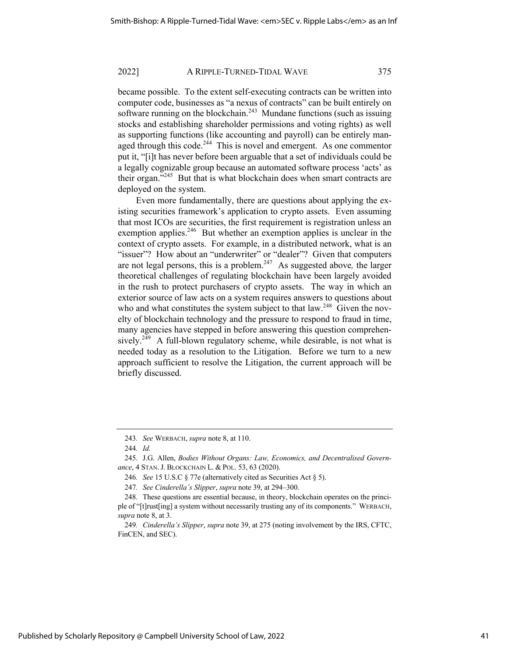became possible. To the extent self-executing contracts can be written into computer code, businesses as "a nexus of contracts" can be built entirely on software running on the blockchain.<sup>243</sup> Mundane functions (such as issuing stocks and establishing shareholder permissions and voting rights) as well as supporting functions (like accounting and payroll) can be entirely managed through this code.<sup>244</sup> This is novel and emergent. As one commentor put it, "[i]t has never before been arguable that a set of individuals could be a legally cognizable group because an automated software process 'acts' as their organ."<sup>245</sup> But that is what blockchain does when smart contracts are deployed on the system.

Even more fundamentally, there are questions about applying the existing securities framework's application to crypto assets. Even assuming that most ICOs are securities, the first requirement is registration unless an exemption applies. $246$  But whether an exemption applies is unclear in the context of crypto assets. For example, in a distributed network, what is an "issuer"? How about an "underwriter" or "dealer"? Given that computers are not legal persons, this is a problem.247 As suggested above*,* the larger theoretical challenges of regulating blockchain have been largely avoided in the rush to protect purchasers of crypto assets. The way in which an exterior source of law acts on a system requires answers to questions about who and what constitutes the system subject to that  $law<sup>248</sup>$  Given the novelty of blockchain technology and the pressure to respond to fraud in time, many agencies have stepped in before answering this question comprehensively.<sup>249</sup> A full-blown regulatory scheme, while desirable, is not what is needed today as a resolution to the Litigation. Before we turn to a new approach sufficient to resolve the Litigation, the current approach will be briefly discussed.

<sup>243</sup>*. See* WERBACH, *supra* note 8, at 110.

<sup>244</sup>*. Id.*

<sup>245.</sup> J.G. Allen, *Bodies Without Organs: Law, Economics, and Decentralised Governance*, 4 STAN.J. BLOCKCHAIN L. & POL. 53, 63 (2020).

<sup>246</sup>*. See* 15 U.S.C § 77e (alternatively cited as Securities Act § 5).

<sup>247</sup>*. See Cinderella's Slipper*, *supra* note 39, at 294–300.

<sup>248.</sup> These questions are essential because, in theory, blockchain operates on the principle of "[t]rust[ing] a system without necessarily trusting any of its components." WERBACH, *supra* note 8, at 3.

<sup>249</sup>*. Cinderella's Slipper*, *supra* note 39, at 275 (noting involvement by the IRS, CFTC, FinCEN, and SEC).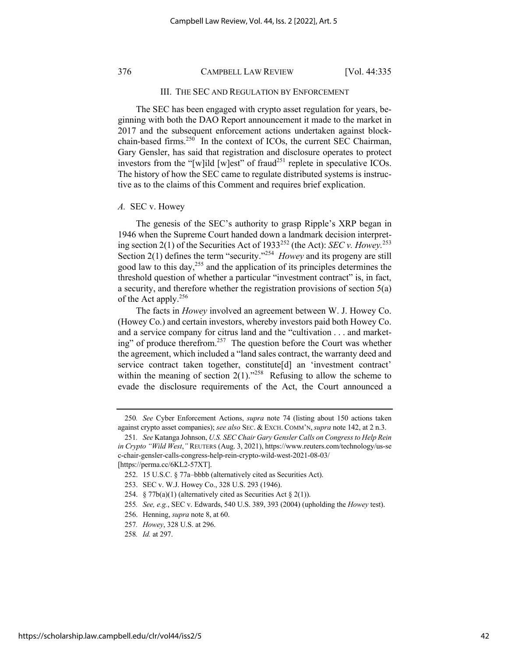#### III. THE SEC AND REGULATION BY ENFORCEMENT

The SEC has been engaged with crypto asset regulation for years, beginning with both the DAO Report announcement it made to the market in 2017 and the subsequent enforcement actions undertaken against blockchain-based firms.<sup>250</sup> In the context of ICOs, the current SEC Chairman, Gary Gensler, has said that registration and disclosure operates to protect investors from the "[w]ild [w]est" of fraud<sup>251</sup> replete in speculative ICOs. The history of how the SEC came to regulate distributed systems is instructive as to the claims of this Comment and requires brief explication.

#### *A.* SEC v. Howey

The genesis of the SEC's authority to grasp Ripple's XRP began in 1946 when the Supreme Court handed down a landmark decision interpreting section 2(1) of the Securities Act of 1933<sup>252</sup> (the Act): *SEC v. Howey.*<sup>253</sup> Section 2(1) defines the term "security."254 *Howey* and its progeny are still good law to this day,<sup>255</sup> and the application of its principles determines the threshold question of whether a particular "investment contract" is, in fact, a security, and therefore whether the registration provisions of section 5(a) of the Act apply.<sup>256</sup>

The facts in *Howey* involved an agreement between W. J. Howey Co. (Howey Co.) and certain investors, whereby investors paid both Howey Co. and a service company for citrus land and the "cultivation . . . and marketing" of produce therefrom.<sup>257</sup> The question before the Court was whether the agreement, which included a "land sales contract, the warranty deed and service contract taken together, constitute[d] an 'investment contract' within the meaning of section  $2(1)$ ."<sup>258</sup> Refusing to allow the scheme to evade the disclosure requirements of the Act, the Court announced a

<sup>250</sup>*. See* Cyber Enforcement Actions, *supra* note 74 (listing about 150 actions taken against crypto asset companies); *see also* SEC. & EXCH. COMM'N,*supra* note 142, at 2 n.3.

<sup>251</sup>*. See* Katanga Johnson, *U.S. SEC Chair Gary Gensler Calls on Congress to Help Rein in Crypto "Wild West*,*"* REUTERS (Aug. 3, 2021), https://www.reuters.com/technology/us-se c-chair-gensler-calls-congress-help-rein-crypto-wild-west-2021-08-03/ [https://perma.cc/6KL2-57XT].

<sup>252.</sup> 15 U.S.C. § 77a–bbbb (alternatively cited as Securities Act).

<sup>253.</sup> SEC v. W.J. Howey Co., 328 U.S. 293 (1946).

<sup>254. § 77</sup> $b(a)(1)$  (alternatively cited as Securities Act § 2(1)).

<sup>255</sup>*. See, e.g.*, SEC v. Edwards, 540 U.S. 389, 393 (2004) (upholding the *Howey* test).

<sup>256.</sup> Henning, *supra* note 8, at 60.

<sup>257</sup>*. Howey*, 328 U.S. at 296.

<sup>258</sup>*. Id.* at 297.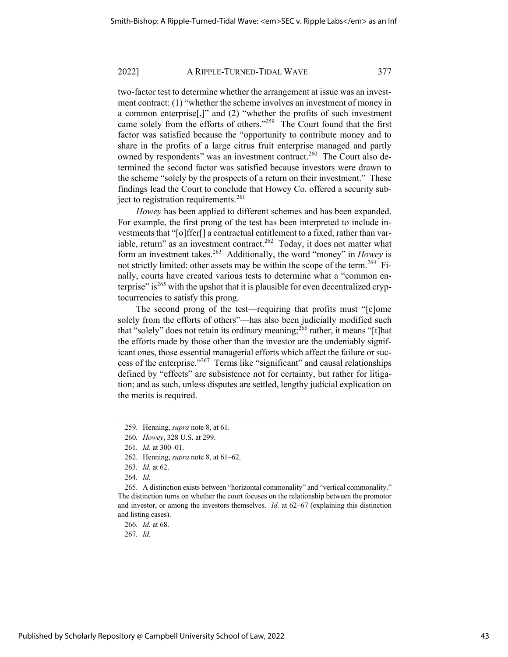two-factor test to determine whether the arrangement at issue was an investment contract: (1) "whether the scheme involves an investment of money in a common enterprise[,]" and (2) "whether the profits of such investment came solely from the efforts of others."<sup>259</sup> The Court found that the first factor was satisfied because the "opportunity to contribute money and to share in the profits of a large citrus fruit enterprise managed and partly owned by respondents" was an investment contract.<sup>260</sup> The Court also determined the second factor was satisfied because investors were drawn to the scheme "solely by the prospects of a return on their investment." These findings lead the Court to conclude that Howey Co. offered a security subject to registration requirements.<sup>261</sup>

*Howey* has been applied to different schemes and has been expanded. For example, the first prong of the test has been interpreted to include investments that "[o]ffer[] a contractual entitlement to a fixed, rather than variable, return" as an investment contract.<sup>262</sup> Today, it does not matter what form an investment takes.263 Additionally, the word "money" in *Howey* is not strictly limited: other assets may be within the scope of the term.<sup>264</sup> Finally, courts have created various tests to determine what a "common enterprise" is<sup>265</sup> with the upshot that it is plausible for even decentralized cryptocurrencies to satisfy this prong.

The second prong of the test—requiring that profits must "[c]ome solely from the efforts of others"—has also been judicially modified such that "solely" does not retain its ordinary meaning;  $266$  rather, it means "[t]hat the efforts made by those other than the investor are the undeniably significant ones, those essential managerial efforts which affect the failure or success of the enterprise."267 Terms like "significant" and causal relationships defined by "effects" are subsistence not for certainty, but rather for litigation; and as such, unless disputes are settled, lengthy judicial explication on the merits is required.

265. A distinction exists between "horizontal commonality" and "vertical commonality." The distinction turns on whether the court focuses on the relationship between the promotor and investor, or among the investors themselves. *Id.* at 62–67 (explaining this distinction and listing cases).

<sup>259.</sup> Henning, *supra* note 8, at 61.

<sup>260</sup>*. Howey*, 328 U.S. at 299.

<sup>261</sup>*. Id.* at 300–01.

<sup>262.</sup> Henning, *supra* note 8, at 61–62.

<sup>263</sup>*. Id.* at 62.

<sup>264</sup>*. Id.*

<sup>266</sup>*. Id.* at 68.

<sup>267</sup>*. Id.*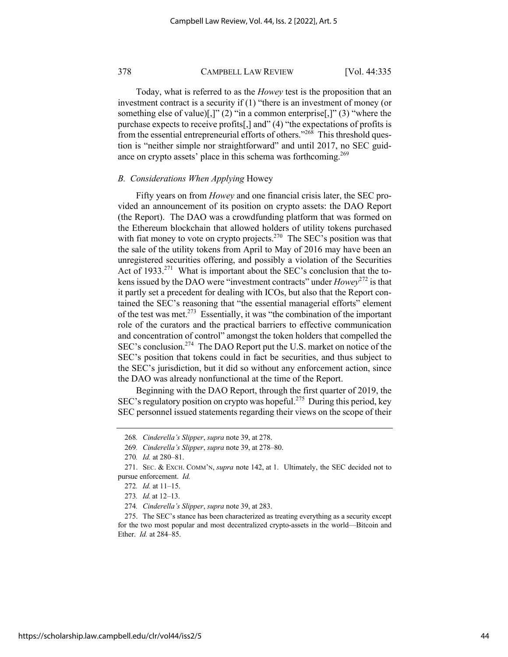Today, what is referred to as the *Howey* test is the proposition that an investment contract is a security if (1) "there is an investment of money (or something else of value)[,]" (2) "in a common enterprise[,]" (3) "where the purchase expects to receive profits[,] and" (4) "the expectations of profits is from the essential entrepreneurial efforts of others."<sup>268</sup> This threshold question is "neither simple nor straightforward" and until 2017, no SEC guidance on crypto assets' place in this schema was forthcoming.<sup>269</sup>

#### *B. Considerations When Applying* Howey

Fifty years on from *Howey* and one financial crisis later, the SEC provided an announcement of its position on crypto assets: the DAO Report (the Report). The DAO was a crowdfunding platform that was formed on the Ethereum blockchain that allowed holders of utility tokens purchased with fiat money to vote on crypto projects.<sup>270</sup> The SEC's position was that the sale of the utility tokens from April to May of 2016 may have been an unregistered securities offering, and possibly a violation of the Securities Act of 1933.<sup>271</sup> What is important about the SEC's conclusion that the tokens issued by the DAO were "investment contracts" under *Howey*<sup>272</sup> is that it partly set a precedent for dealing with ICOs, but also that the Report contained the SEC's reasoning that "the essential managerial efforts" element of the test was met.<sup>273</sup> Essentially, it was "the combination of the important role of the curators and the practical barriers to effective communication and concentration of control" amongst the token holders that compelled the SEC's conclusion.<sup>274</sup> The DAO Report put the U.S. market on notice of the SEC's position that tokens could in fact be securities, and thus subject to the SEC's jurisdiction, but it did so without any enforcement action, since the DAO was already nonfunctional at the time of the Report.

Beginning with the DAO Report, through the first quarter of 2019, the SEC's regulatory position on crypto was hopeful.<sup>275</sup> During this period, key SEC personnel issued statements regarding their views on the scope of their

https://scholarship.law.campbell.edu/clr/vol44/iss2/5

<sup>268</sup>*. Cinderella's Slipper*, *supra* note 39, at 278.

<sup>269</sup>*. Cinderella's Slipper*, *supra* note 39, at 278–80.

<sup>270</sup>*. Id.* at 280–81.

<sup>271.</sup> SEC. & EXCH. COMM'N, *supra* note 142, at 1. Ultimately, the SEC decided not to pursue enforcement. *Id.*

<sup>272</sup>*. Id.* at 11–15.

<sup>273</sup>*. Id.* at 12–13.

<sup>274</sup>*. Cinderella's Slipper*, *supra* note 39, at 283.

<sup>275.</sup> The SEC's stance has been characterized as treating everything as a security except for the two most popular and most decentralized crypto-assets in the world—Bitcoin and Ether. *Id.* at 284–85.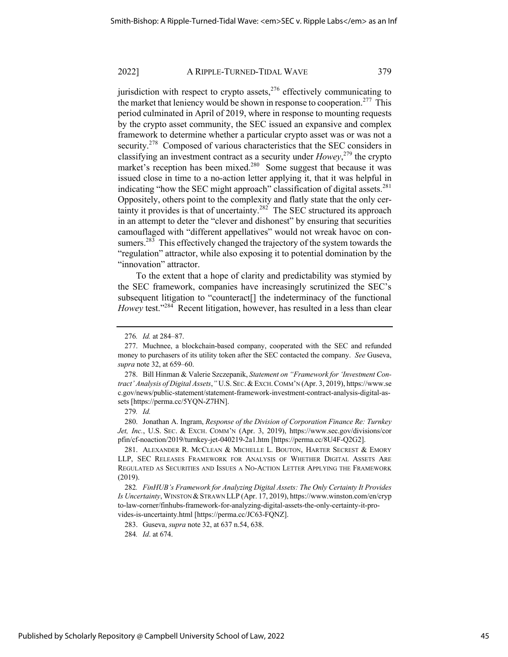jurisdiction with respect to crypto assets,  $276$  effectively communicating to the market that leniency would be shown in response to cooperation.<sup>277</sup> This period culminated in April of 2019, where in response to mounting requests by the crypto asset community, the SEC issued an expansive and complex framework to determine whether a particular crypto asset was or was not a security.<sup>278</sup> Composed of various characteristics that the SEC considers in classifying an investment contract as a security under *Howey*, <sup>279</sup> the crypto market's reception has been mixed.<sup>280</sup> Some suggest that because it was issued close in time to a no-action letter applying it, that it was helpful in indicating "how the SEC might approach" classification of digital assets.<sup>281</sup> Oppositely, others point to the complexity and flatly state that the only certainty it provides is that of uncertainty.<sup>282</sup> The SEC structured its approach in an attempt to deter the "clever and dishonest" by ensuring that securities camouflaged with "different appellatives" would not wreak havoc on consumers.<sup>283</sup> This effectively changed the trajectory of the system towards the "regulation" attractor, while also exposing it to potential domination by the "innovation" attractor.

To the extent that a hope of clarity and predictability was stymied by the SEC framework, companies have increasingly scrutinized the SEC's subsequent litigation to "counteract[] the indeterminacy of the functional *Howey* test."<sup>284</sup> Recent litigation, however, has resulted in a less than clear

280. Jonathan A. Ingram, *Response of the Division of Corporation Finance Re: Turnkey*  Jet, Inc., U.S. Sec. & Exch. COMM'N (Apr. 3, 2019), https://www.sec.gov/divisions/cor pfin/cf-noaction/2019/turnkey-jet-040219-2a1.htm [https://perma.cc/8U4F-Q2G2].

281. ALEXANDER R. MCCLEAN & MICHELLE L. BOUTON, HARTER SECREST & EMORY LLP, SEC RELEASES FRAMEWORK FOR ANALYSIS OF WHETHER DIGITAL ASSETS ARE REGULATED AS SECURITIES AND ISSUES A NO-ACTION LETTER APPLYING THE FRAMEWORK (2019).

284*. Id*. at 674.

<sup>276</sup>*. Id.* at 284–87.

<sup>277.</sup> Muchnee, a blockchain-based company, cooperated with the SEC and refunded money to purchasers of its utility token after the SEC contacted the company. *See* Guseva, *supra* note 32, at 659–60.

<sup>278.</sup> Bill Hinman & Valerie Szczepanik, *Statement on "Framework for 'Investment Contract' Analysis of Digital Assets*,*"* U.S. SEC.&EXCH.COMM'N (Apr. 3, 2019), https://www.se c.gov/news/public-statement/statement-framework-investment-contract-analysis-digital-assets [https://perma.cc/5YQN-Z7HN].

<sup>279</sup>*. Id.*

<sup>282</sup>*. FinHUB's Framework for Analyzing Digital Assets: The Only Certainty It Provides Is Uncertainty*, WINSTON &STRAWN LLP (Apr. 17, 2019), https://www.winston.com/en/cryp to-law-corner/finhubs-framework-for-analyzing-digital-assets-the-only-certainty-it-provides-is-uncertainty.html [https://perma.cc/JC63-FQNZ].

<sup>283.</sup> Guseva, *supra* note 32, at 637 n.54, 638.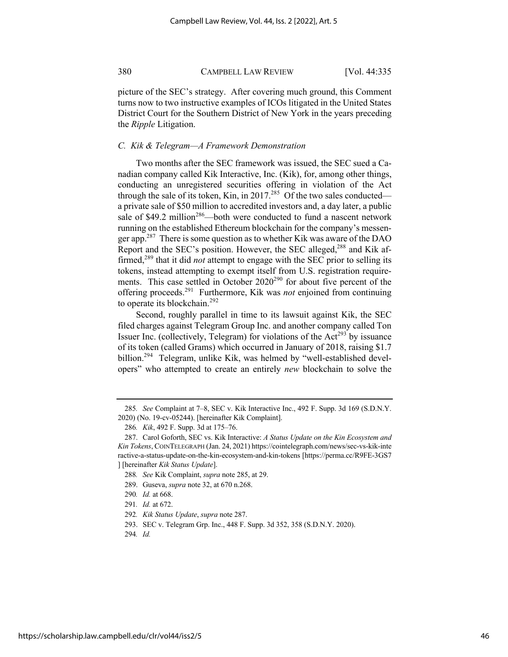picture of the SEC's strategy. After covering much ground, this Comment turns now to two instructive examples of ICOs litigated in the United States District Court for the Southern District of New York in the years preceding the *Ripple* Litigation.

#### *C. Kik & Telegram—A Framework Demonstration*

Two months after the SEC framework was issued, the SEC sued a Canadian company called Kik Interactive, Inc. (Kik), for, among other things, conducting an unregistered securities offering in violation of the Act through the sale of its token, Kin, in 2017.<sup>285</sup> Of the two sales conducted a private sale of \$50 million to accredited investors and, a day later, a public sale of \$49.2 million<sup>286</sup>—both were conducted to fund a nascent network running on the established Ethereum blockchain for the company's messenger app.<sup>287</sup> There is some question as to whether Kik was aware of the DAO Report and the SEC's position. However, the SEC alleged,<sup>288</sup> and Kik affirmed,<sup>289</sup> that it did *not* attempt to engage with the SEC prior to selling its tokens, instead attempting to exempt itself from U.S. registration requirements. This case settled in October  $2020^{290}$  for about five percent of the offering proceeds.291 Furthermore, Kik was *not* enjoined from continuing to operate its blockchain.<sup>292</sup>

Second, roughly parallel in time to its lawsuit against Kik, the SEC filed charges against Telegram Group Inc. and another company called Ton Issuer Inc. (collectively, Telegram) for violations of the  $Act^{293}$  by issuance of its token (called Grams) which occurred in January of 2018, raising \$1.7 billion.<sup>294</sup> Telegram, unlike Kik, was helmed by "well-established developers" who attempted to create an entirely *new* blockchain to solve the

<sup>285</sup>*. See* Complaint at 7–8, SEC v. Kik Interactive Inc., 492 F. Supp. 3d 169 (S.D.N.Y. 2020) (No. 19-cv-05244). [hereinafter Kik Complaint].

<sup>286</sup>*. Kik*, 492 F. Supp. 3d at 175–76.

<sup>287.</sup> Carol Goforth, SEC vs. Kik Interactive: *A Status Update on the Kin Ecosystem and Kin Tokens*, COINTELEGRAPH (Jan. 24, 2021) https://cointelegraph.com/news/sec-vs-kik-inte ractive-a-status-update-on-the-kin-ecosystem-and-kin-tokens [https://perma.cc/R9FE-3GS7 ] [hereinafter *Kik Status Update*].

<sup>288</sup>*. See* Kik Complaint, *supra* note 285, at 29.

<sup>289.</sup> Guseva, *supra* note 32, at 670 n.268.

<sup>290</sup>*. Id.* at 668.

<sup>291</sup>*. Id.* at 672.

<sup>292</sup>*. Kik Status Update*, *supra* note 287.

<sup>293.</sup> SEC v. Telegram Grp. Inc., 448 F. Supp. 3d 352, 358 (S.D.N.Y. 2020).

<sup>294</sup>*. Id.*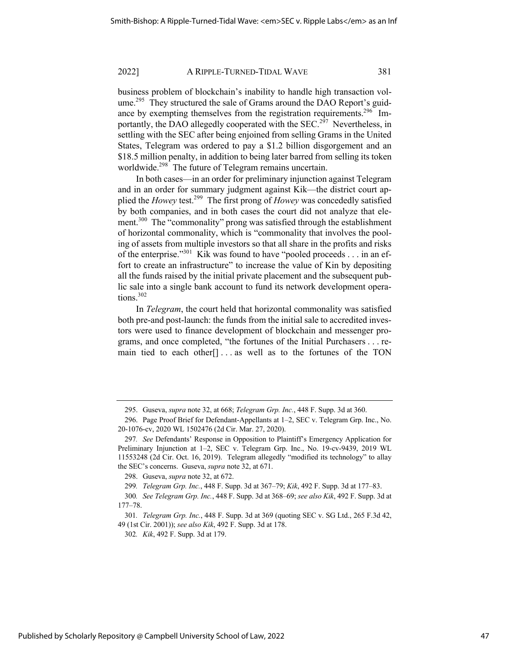business problem of blockchain's inability to handle high transaction volume.<sup>295</sup> They structured the sale of Grams around the DAO Report's guidance by exempting themselves from the registration requirements.<sup>296</sup> Importantly, the DAO allegedly cooperated with the SEC.<sup>297</sup> Nevertheless, in settling with the SEC after being enjoined from selling Grams in the United States, Telegram was ordered to pay a \$1.2 billion disgorgement and an \$18.5 million penalty, in addition to being later barred from selling its token worldwide.<sup>298</sup> The future of Telegram remains uncertain.

In both cases—in an order for preliminary injunction against Telegram and in an order for summary judgment against Kik—the district court applied the *Howey* test.299 The first prong of *Howey* was concededly satisfied by both companies, and in both cases the court did not analyze that element.<sup>300</sup> The "commonality" prong was satisfied through the establishment of horizontal commonality, which is "commonality that involves the pooling of assets from multiple investors so that all share in the profits and risks of the enterprise."<sup>301</sup> Kik was found to have "pooled proceeds . . . in an effort to create an infrastructure" to increase the value of Kin by depositing all the funds raised by the initial private placement and the subsequent public sale into a single bank account to fund its network development operations.<sup>302</sup>

In *Telegram*, the court held that horizontal commonality was satisfied both pre-and post-launch: the funds from the initial sale to accredited investors were used to finance development of blockchain and messenger programs, and once completed, "the fortunes of the Initial Purchasers . . . remain tied to each other[] . . . as well as to the fortunes of the TON

<sup>295.</sup> Guseva, *supra* note 32, at 668; *Telegram Grp. Inc.*, 448 F. Supp. 3d at 360.

<sup>296.</sup> Page Proof Brief for Defendant-Appellants at 1–2, SEC v. Telegram Grp. Inc., No. 20-1076-cv, 2020 WL 1502476 (2d Cir. Mar. 27, 2020).

<sup>297</sup>*. See* Defendants' Response in Opposition to Plaintiff's Emergency Application for Preliminary Injunction at 1–2, SEC v. Telegram Grp. Inc., No. 19-cv-9439, 2019 WL 11553248 (2d Cir. Oct. 16, 2019). Telegram allegedly "modified its technology" to allay the SEC's concerns. Guseva, *supra* note 32, at 671.

<sup>298.</sup> Guseva, *supra* note 32, at 672.

<sup>299</sup>*. Telegram Grp. Inc.*, 448 F. Supp. 3d at 367–79; *Kik*, 492 F. Supp. 3d at 177–83.

<sup>300</sup>*. See Telegram Grp. Inc.*, 448 F. Supp. 3d at 368–69; *see also Kik*, 492 F. Supp. 3d at 177–78.

<sup>301</sup>*. Telegram Grp. Inc.*, 448 F. Supp. 3d at 369 (quoting SEC v. SG Ltd., 265 F.3d 42, 49 (1st Cir. 2001)); *see also Kik*, 492 F. Supp. 3d at 178.

<sup>302</sup>*. Kik*, 492 F. Supp. 3d at 179.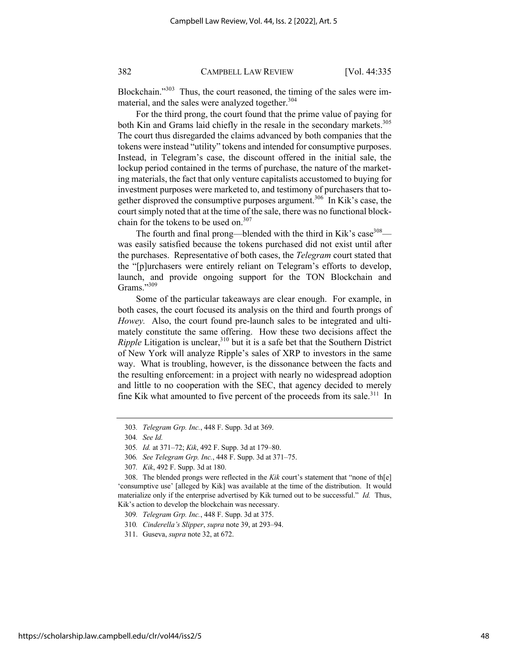Blockchain."<sup>303</sup> Thus, the court reasoned, the timing of the sales were immaterial, and the sales were analyzed together.<sup>304</sup>

For the third prong, the court found that the prime value of paying for both Kin and Grams laid chiefly in the resale in the secondary markets.<sup>305</sup> The court thus disregarded the claims advanced by both companies that the tokens were instead "utility" tokens and intended for consumptive purposes. Instead, in Telegram's case, the discount offered in the initial sale, the lockup period contained in the terms of purchase, the nature of the marketing materials, the fact that only venture capitalists accustomed to buying for investment purposes were marketed to, and testimony of purchasers that together disproved the consumptive purposes argument.<sup>306</sup> In Kik's case, the court simply noted that at the time of the sale, there was no functional blockchain for the tokens to be used on. $307$ 

The fourth and final prong—blended with the third in Kik's case  $308$  was easily satisfied because the tokens purchased did not exist until after the purchases. Representative of both cases, the *Telegram* court stated that the "[p]urchasers were entirely reliant on Telegram's efforts to develop, launch, and provide ongoing support for the TON Blockchain and Grams."309

Some of the particular takeaways are clear enough. For example, in both cases, the court focused its analysis on the third and fourth prongs of *Howey.* Also, the court found pre-launch sales to be integrated and ultimately constitute the same offering. How these two decisions affect the  $Ripple$  Litigation is unclear,  $310$  but it is a safe bet that the Southern District of New York will analyze Ripple's sales of XRP to investors in the same way. What is troubling, however, is the dissonance between the facts and the resulting enforcement: in a project with nearly no widespread adoption and little to no cooperation with the SEC, that agency decided to merely fine Kik what amounted to five percent of the proceeds from its sale.<sup>311</sup> In

310*. Cinderella's Slipper*, *supra* note 39, at 293–94.

<sup>303</sup>*. Telegram Grp. Inc.*, 448 F. Supp. 3d at 369.

<sup>304</sup>*. See Id.*

<sup>305</sup>*. Id.* at 371–72; *Kik*, 492 F. Supp. 3d at 179–80.

<sup>306</sup>*. See Telegram Grp. Inc.*, 448 F. Supp. 3d at 371–75.

<sup>307</sup>*. Kik*, 492 F. Supp. 3d at 180.

<sup>308.</sup> The blended prongs were reflected in the *Kik* court's statement that "none of th[e] 'consumptive use' [alleged by Kik] was available at the time of the distribution. It would materialize only if the enterprise advertised by Kik turned out to be successful." *Id.* Thus, Kik's action to develop the blockchain was necessary.

<sup>309</sup>*. Telegram Grp. Inc.*, 448 F. Supp. 3d at 375.

<sup>311.</sup> Guseva, *supra* note 32, at 672.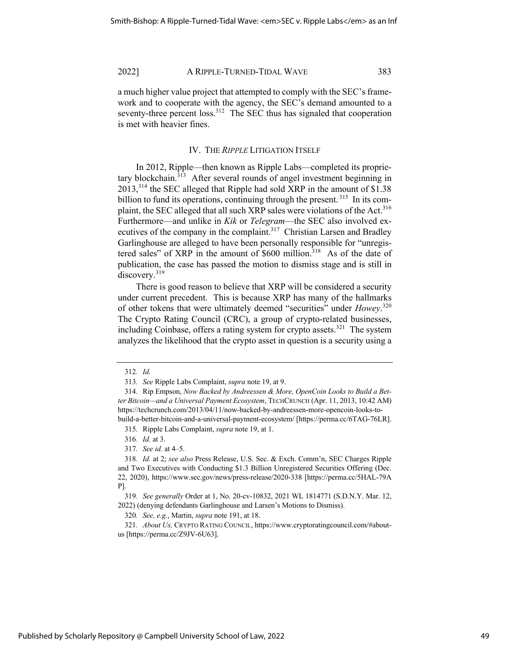a much higher value project that attempted to comply with the SEC's framework and to cooperate with the agency, the SEC's demand amounted to a seventy-three percent loss.<sup>312</sup> The SEC thus has signaled that cooperation is met with heavier fines.

#### IV. THE *RIPPLE* LITIGATION ITSELF

In 2012, Ripple—then known as Ripple Labs—completed its proprietary blockchain. $3\overline{13}$  After several rounds of angel investment beginning in  $2013$ <sup>314</sup> the SEC alleged that Ripple had sold XRP in the amount of \$1.38 billion to fund its operations, continuing through the present.<sup>315</sup> In its complaint, the SEC alleged that all such XRP sales were violations of the Act.<sup>316</sup> Furthermore—and unlike in *Kik* or *Telegram*—the SEC also involved executives of the company in the complaint.<sup>317</sup> Christian Larsen and Bradley Garlinghouse are alleged to have been personally responsible for "unregistered sales" of XRP in the amount of  $$600$  million.<sup>318</sup> As of the date of publication, the case has passed the motion to dismiss stage and is still in discovery.<sup>319</sup>

There is good reason to believe that XRP will be considered a security under current precedent. This is because XRP has many of the hallmarks of other tokens that were ultimately deemed "securities" under *Howey*. 320 The Crypto Rating Council (CRC), a group of crypto-related businesses, including Coinbase, offers a rating system for crypto assets.<sup>321</sup> The system analyzes the likelihood that the crypto asset in question is a security using a

315. Ripple Labs Complaint, *supra* note 19, at 1.

316*. Id.* at 3.

317*. See id.* at 4–5.

320*. See, e.g.*, Martin, *supra* note 191, at 18.

321*. About Us,* CRYPTO RATING COUNCIL, https://www.cryptoratingcouncil.com/#aboutus [https://perma.cc/Z9JV-6U63].

<sup>312</sup>*. Id.*

<sup>313</sup>*. See* Ripple Labs Complaint, *supra* note 19, at 9.

<sup>314.</sup> Rip Empson, *Now Backed by Andreessen & More, OpenCoin Looks to Build a Better Bitcoin—and a Universal Payment Ecosystem*, TECHCRUNCH (Apr. 11, 2013, 10:42 AM) https://techcrunch.com/2013/04/11/now-backed-by-andreessen-more-opencoin-looks-tobuild-a-better-bitcoin-and-a-universal-payment-ecosystem/ [https://perma.cc/6TAG-76LR].

<sup>318</sup>*. Id.* at 2; *see also* Press Release, U.S. Sec. & Exch. Comm'n, SEC Charges Ripple and Two Executives with Conducting \$1.3 Billion Unregistered Securities Offering (Dec. 22, 2020), https://www.sec.gov/news/press-release/2020-338 [https://perma.cc/5HAL-79A P].

<sup>319</sup>*. See generally* Order at 1, No. 20-cv-10832, 2021 WL 1814771 (S.D.N.Y. Mar. 12, 2022) (denying defendants Garlinghouse and Larsen's Motions to Dismiss).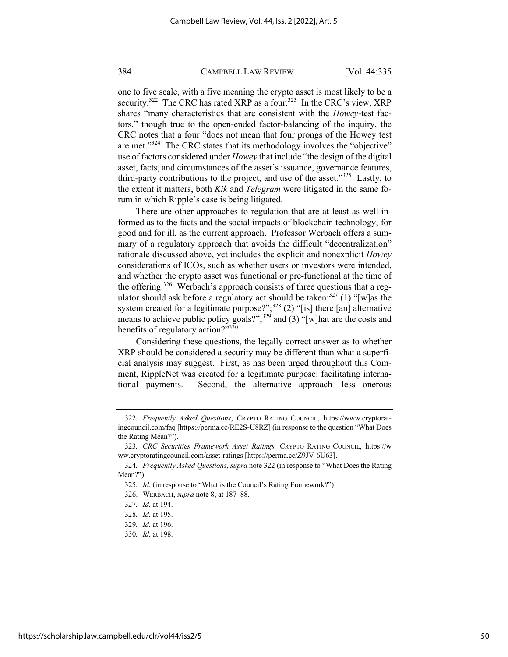one to five scale, with a five meaning the crypto asset is most likely to be a security.<sup>322</sup> The CRC has rated XRP as a four.<sup>323</sup> In the CRC's view, XRP shares "many characteristics that are consistent with the *Howey*-test factors," though true to the open-ended factor-balancing of the inquiry, the CRC notes that a four "does not mean that four prongs of the Howey test are met. $1^{324}$  The CRC states that its methodology involves the "objective" use of factors considered under *Howey* that include "the design of the digital asset, facts, and circumstances of the asset's issuance, governance features, third-party contributions to the project, and use of the asset." $325$  Lastly, to the extent it matters, both *Kik* and *Telegram* were litigated in the same forum in which Ripple's case is being litigated.

There are other approaches to regulation that are at least as well-informed as to the facts and the social impacts of blockchain technology, for good and for ill, as the current approach. Professor Werbach offers a summary of a regulatory approach that avoids the difficult "decentralization" rationale discussed above, yet includes the explicit and nonexplicit *Howey*  considerations of ICOs, such as whether users or investors were intended, and whether the crypto asset was functional or pre-functional at the time of the offering.<sup>326</sup> Werbach's approach consists of three questions that a regulator should ask before a regulatory act should be taken:  $327$  (1) "[w] as the system created for a legitimate purpose?";<sup>328</sup> (2) "[is] there [an] alternative means to achieve public policy goals?"; $329$  and (3) "[w]hat are the costs and benefits of regulatory action?"330

Considering these questions, the legally correct answer as to whether XRP should be considered a security may be different than what a superficial analysis may suggest. First, as has been urged throughout this Comment, RippleNet was created for a legitimate purpose: facilitating international payments. Second, the alternative approach—less onerous

330*. Id.* at 198.

<sup>322</sup>*. Frequently Asked Questions*, CRYPTO RATING COUNCIL, https://www.cryptoratingcouncil.com/faq [https://perma.cc/RE2S-U8RZ] (in response to the question "What Does the Rating Mean?").

<sup>323</sup>*. CRC Securities Framework Asset Ratings,* CRYPTO RATING COUNCIL, https://w ww.cryptoratingcouncil.com/asset-ratings [https://perma.cc/Z9JV-6U63].

<sup>324</sup>*. Frequently Asked Questions*, *supra* note 322 (in response to "What Does the Rating Mean?").

<sup>325</sup>*. Id.* (in response to "What is the Council's Rating Framework?")

<sup>326.</sup> WERBACH, *supra* note 8, at 187–88.

<sup>327</sup>*. Id.* at 194.

<sup>328</sup>*. Id.* at 195.

<sup>329</sup>*. Id.* at 196.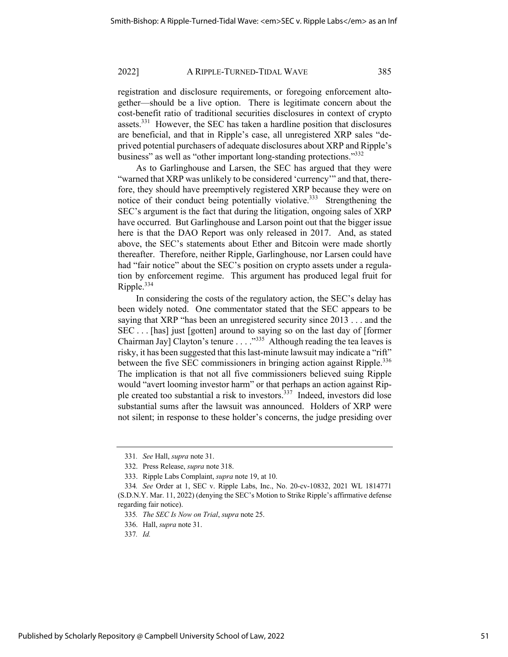registration and disclosure requirements, or foregoing enforcement altogether—should be a live option. There is legitimate concern about the cost-benefit ratio of traditional securities disclosures in context of crypto assets.<sup>331</sup> However, the SEC has taken a hardline position that disclosures are beneficial, and that in Ripple's case, all unregistered XRP sales "deprived potential purchasers of adequate disclosures about XRP and Ripple's business" as well as "other important long-standing protections."<sup>332</sup>

As to Garlinghouse and Larsen, the SEC has argued that they were "warned that XRP was unlikely to be considered 'currency'" and that, therefore, they should have preemptively registered XRP because they were on notice of their conduct being potentially violative.<sup>333</sup> Strengthening the SEC's argument is the fact that during the litigation, ongoing sales of XRP have occurred. But Garlinghouse and Larson point out that the bigger issue here is that the DAO Report was only released in 2017. And, as stated above, the SEC's statements about Ether and Bitcoin were made shortly thereafter. Therefore, neither Ripple, Garlinghouse, nor Larsen could have had "fair notice" about the SEC's position on crypto assets under a regulation by enforcement regime. This argument has produced legal fruit for Ripple.<sup>334</sup>

In considering the costs of the regulatory action, the SEC's delay has been widely noted. One commentator stated that the SEC appears to be saying that XRP "has been an unregistered security since 2013 . . . and the SEC . . . [has] just [gotten] around to saying so on the last day of [former Chairman Jay] Clayton's tenure . . . ."335 Although reading the tea leaves is risky, it has been suggested that this last-minute lawsuit may indicate a "rift" between the five SEC commissioners in bringing action against Ripple.<sup>336</sup> The implication is that not all five commissioners believed suing Ripple would "avert looming investor harm" or that perhaps an action against Ripple created too substantial a risk to investors.<sup>337</sup> Indeed, investors did lose substantial sums after the lawsuit was announced. Holders of XRP were not silent; in response to these holder's concerns, the judge presiding over

<sup>331</sup>*. See* Hall, *supra* note 31.

<sup>332.</sup> Press Release, *supra* note 318.

<sup>333.</sup> Ripple Labs Complaint, *supra* note 19, at 10.

<sup>334</sup>*. See* Order at 1, SEC v. Ripple Labs, Inc., No. 20-cv-10832, 2021 WL 1814771 (S.D.N.Y. Mar. 11, 2022) (denying the SEC's Motion to Strike Ripple's affirmative defense regarding fair notice).

<sup>335</sup>*. The SEC Is Now on Trial*, *supra* note 25.

<sup>336.</sup> Hall, *supra* note 31.

<sup>337</sup>*. Id.*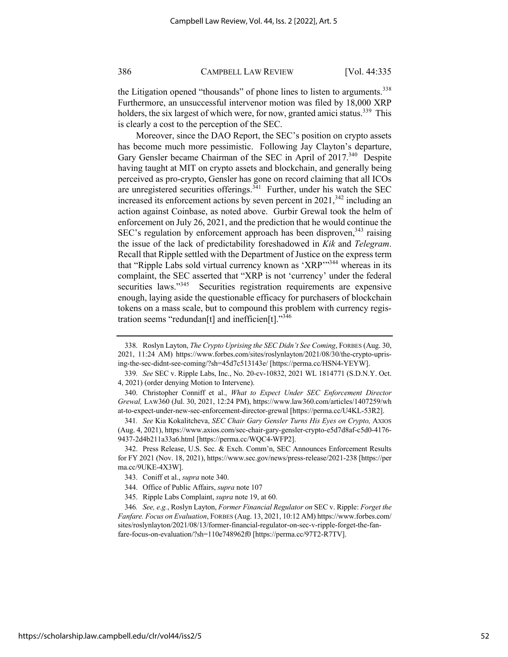the Litigation opened "thousands" of phone lines to listen to arguments.<sup>338</sup> Furthermore, an unsuccessful intervenor motion was filed by 18,000 XRP holders, the six largest of which were, for now, granted amici status.<sup>339</sup> This is clearly a cost to the perception of the SEC.

Moreover, since the DAO Report, the SEC's position on crypto assets has become much more pessimistic. Following Jay Clayton's departure, Gary Gensler became Chairman of the SEC in April of 2017.<sup>340</sup> Despite having taught at MIT on crypto assets and blockchain, and generally being perceived as pro-crypto, Gensler has gone on record claiming that all ICOs are unregistered securities offerings. $341$  Further, under his watch the SEC increased its enforcement actions by seven percent in  $2021$ ,  $342$  including an action against Coinbase, as noted above. Gurbir Grewal took the helm of enforcement on July 26, 2021, and the prediction that he would continue the SEC's regulation by enforcement approach has been disproven,  $343$  raising the issue of the lack of predictability foreshadowed in *Kik* and *Telegram*. Recall that Ripple settled with the Department of Justice on the express term that "Ripple Labs sold virtual currency known as 'XRP"<sup>344</sup> whereas in its complaint, the SEC asserted that "XRP is not 'currency' under the federal securities laws."<sup>345</sup> Securities registration requirements are expensive enough, laying aside the questionable efficacy for purchasers of blockchain tokens on a mass scale, but to compound this problem with currency registration seems "redundan[t] and inefficien[t]."<sup>346</sup>

<sup>338.</sup> Roslyn Layton, *The Crypto Uprising the SEC Didn't See Coming*, FORBES (Aug. 30, 2021, 11:24 AM) https://www.forbes.com/sites/roslynlayton/2021/08/30/the-crypto-uprising-the-sec-didnt-see-coming/?sh=45d7c513143e/ [https://perma.cc/HSN4-YEYW].

<sup>339</sup>*. See* SEC v. Ripple Labs, Inc., No. 20-cv-10832, 2021 WL 1814771 (S.D.N.Y. Oct. 4, 2021) (order denying Motion to Intervene).

<sup>340.</sup> Christopher Conniff et al., *What to Expect Under SEC Enforcement Director Grewal,* LAW360 (Jul. 30, 2021, 12:24 PM), https://www.law360.com/articles/1407259/wh at-to-expect-under-new-sec-enforcement-director-grewal [https://perma.cc/U4KL-53R2].

<sup>341</sup>*. See* Kia Kokalitcheva, *SEC Chair Gary Gensler Turns His Eyes on Crypto,* AXIOS (Aug. 4, 2021), https://www.axios.com/sec-chair-gary-gensler-crypto-e5d7d8af-c5d0-4176- 9437-2d4b211a33a6.html [https://perma.cc/WQC4-WFP2].

<sup>342.</sup> Press Release, U.S. Sec. & Exch. Comm'n, SEC Announces Enforcement Results for FY 2021 (Nov. 18, 2021), https://www.sec.gov/news/press-release/2021-238 [https://per ma.cc/9UKE-4X3W].

<sup>343.</sup> Coniff et al., *supra* note 340.

<sup>344.</sup> Office of Public Affairs, *supra* note 107

<sup>345.</sup> Ripple Labs Complaint, *supra* note 19, at 60.

<sup>346</sup>*. See, e.g.*, Roslyn Layton, *Former Financial Regulator on* SEC v. Ripple: *Forget the Fanfare. Focus on Evaluation*, FORBES (Aug. 13, 2021, 10:12 AM) https://www.forbes.com/ sites/roslynlayton/2021/08/13/former-financial-regulator-on-sec-v-ripple-forget-the-fanfare-focus-on-evaluation/?sh=110e748962f0 [https://perma.cc/97T2-R7TV].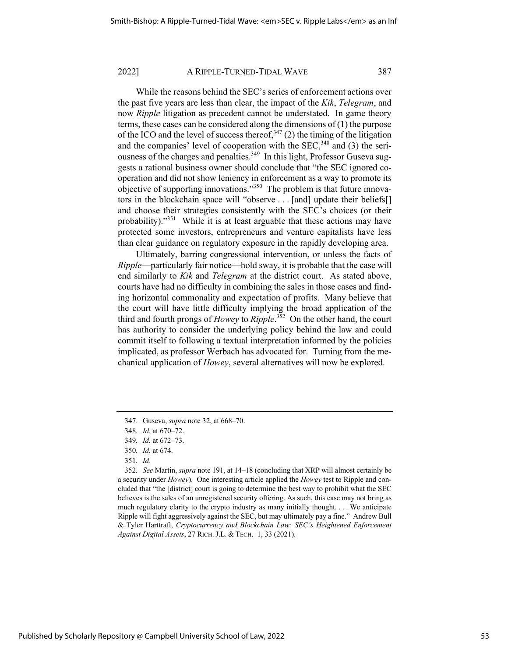While the reasons behind the SEC's series of enforcement actions over the past five years are less than clear, the impact of the *Kik*, *Telegram*, and now *Ripple* litigation as precedent cannot be understated. In game theory terms, these cases can be considered along the dimensions of (1) the purpose of the ICO and the level of success thereof,  $347$  (2) the timing of the litigation and the companies' level of cooperation with the  $SEC.$ <sup>348</sup> and (3) the seriousness of the charges and penalties.<sup>349</sup> In this light, Professor Guseva suggests a rational business owner should conclude that "the SEC ignored cooperation and did not show leniency in enforcement as a way to promote its objective of supporting innovations."350 The problem is that future innovators in the blockchain space will "observe . . . [and] update their beliefs[] and choose their strategies consistently with the SEC's choices (or their probability)."<sup>351</sup> While it is at least arguable that these actions may have protected some investors, entrepreneurs and venture capitalists have less than clear guidance on regulatory exposure in the rapidly developing area.

Ultimately, barring congressional intervention, or unless the facts of *Ripple*—particularly fair notice—hold sway, it is probable that the case will end similarly to *Kik* and *Telegram* at the district court. As stated above, courts have had no difficulty in combining the sales in those cases and finding horizontal commonality and expectation of profits. Many believe that the court will have little difficulty implying the broad application of the third and fourth prongs of *Howey* to *Ripple*. 352 On the other hand, the court has authority to consider the underlying policy behind the law and could commit itself to following a textual interpretation informed by the policies implicated, as professor Werbach has advocated for. Turning from the mechanical application of *Howey*, several alternatives will now be explored.

352*. See* Martin, *supra* note 191, at 14–18 (concluding that XRP will almost certainly be a security under *Howey*). One interesting article applied the *Howey* test to Ripple and concluded that "the [district] court is going to determine the best way to prohibit what the SEC believes is the sales of an unregistered security offering. As such, this case may not bring as much regulatory clarity to the crypto industry as many initially thought. . . . We anticipate Ripple will fight aggressively against the SEC, but may ultimately pay a fine." Andrew Bull & Tyler Harttraft, *Cryptocurrency and Blockchain Law: SEC's Heightened Enforcement Against Digital Assets*, 27 RICH.J.L. & TECH. 1, 33 (2021).

<sup>347.</sup> Guseva, *supra* note 32, at 668–70.

<sup>348</sup>*. Id.* at 670–72.

<sup>349</sup>*. Id.* at 672–73.

<sup>350</sup>*. Id.* at 674.

<sup>351</sup>*. Id*.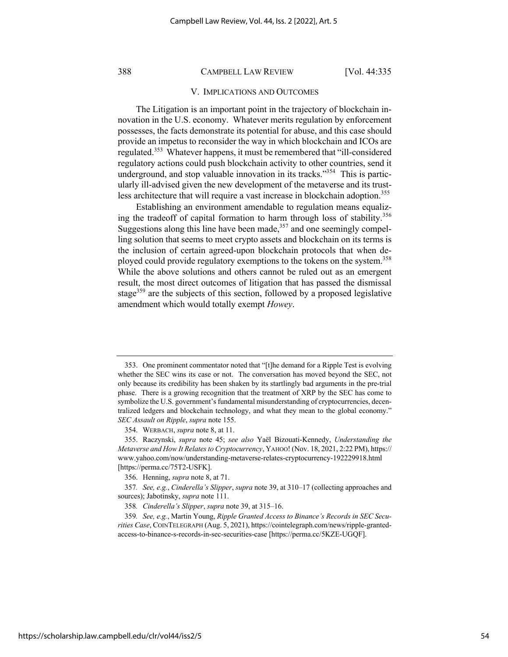#### V. IMPLICATIONS AND OUTCOMES

The Litigation is an important point in the trajectory of blockchain innovation in the U.S. economy. Whatever merits regulation by enforcement possesses, the facts demonstrate its potential for abuse, and this case should provide an impetus to reconsider the way in which blockchain and ICOs are regulated.353 Whatever happens, it must be remembered that "ill-considered regulatory actions could push blockchain activity to other countries, send it underground, and stop valuable innovation in its tracks." $354$  This is particularly ill-advised given the new development of the metaverse and its trustless architecture that will require a vast increase in blockchain adoption.<sup>355</sup>

Establishing an environment amendable to regulation means equalizing the tradeoff of capital formation to harm through loss of stability.<sup>356</sup> Suggestions along this line have been made,  $357$  and one seemingly compelling solution that seems to meet crypto assets and blockchain on its terms is the inclusion of certain agreed-upon blockchain protocols that when deployed could provide regulatory exemptions to the tokens on the system.<sup>358</sup> While the above solutions and others cannot be ruled out as an emergent result, the most direct outcomes of litigation that has passed the dismissal stage<sup>359</sup> are the subjects of this section, followed by a proposed legislative amendment which would totally exempt *Howey*.

<sup>353.</sup> One prominent commentator noted that "[t]he demand for a Ripple Test is evolving whether the SEC wins its case or not. The conversation has moved beyond the SEC, not only because its credibility has been shaken by its startlingly bad arguments in the pre-trial phase. There is a growing recognition that the treatment of XRP by the SEC has come to symbolize the U.S. government's fundamental misunderstanding of cryptocurrencies, decentralized ledgers and blockchain technology, and what they mean to the global economy." *SEC Assault on Ripple*, *supra* note 155.

<sup>354.</sup> WERBACH, *supra* note 8, at 11.

<sup>355.</sup> Raczynski, *supra* note 45; *see also* Yaёl Bizouati-Kennedy, *Understanding the Metaverse and How It Relates to Cryptocurrency*, YAHOO! (Nov. 18, 2021, 2:22 PM), https:// www.yahoo.com/now/understanding-metaverse-relates-cryptocurrency-192229918.html [https://perma.cc/75T2-USFK].

<sup>356.</sup> Henning, *supra* note 8, at 71.

<sup>357</sup>*. See, e.g.*, *Cinderella's Slipper*, *supra* note 39, at 310–17 (collecting approaches and sources); Jabotinsky, *supra* note 111.

<sup>358</sup>*. Cinderella's Slipper*, *supra* note 39, at 315–16.

<sup>359</sup>*. See, e.g.*, Martin Young, *Ripple Granted Access to Binance's Records in SEC Securities Case*, COINTELEGRAPH (Aug. 5, 2021), https://cointelegraph.com/news/ripple-grantedaccess-to-binance-s-records-in-sec-securities-case [https://perma.cc/5KZE-UGQF].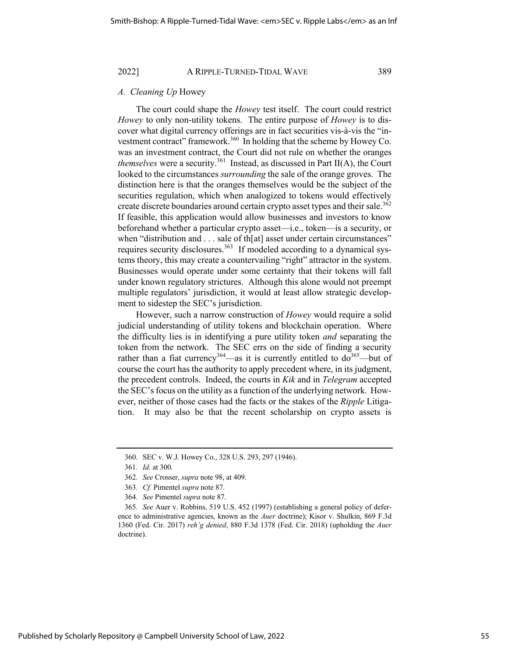#### *A. Cleaning Up* Howey

The court could shape the *Howey* test itself. The court could restrict *Howey* to only non-utility tokens. The entire purpose of *Howey* is to discover what digital currency offerings are in fact securities vis-à-vis the "investment contract" framework.<sup>360</sup> In holding that the scheme by Howey Co. was an investment contract, the Court did not rule on whether the oranges *themselves* were a security.<sup>361</sup> Instead, as discussed in Part II(A), the Court looked to the circumstances *surrounding* the sale of the orange groves. The distinction here is that the oranges themselves would be the subject of the securities regulation, which when analogized to tokens would effectively create discrete boundaries around certain crypto asset types and their sale.<sup>362</sup> If feasible, this application would allow businesses and investors to know beforehand whether a particular crypto asset—i.e., token—is a security, or when "distribution and . . . sale of th[at] asset under certain circumstances" requires security disclosures.<sup>363</sup> If modeled according to a dynamical systems theory, this may create a countervailing "right" attractor in the system. Businesses would operate under some certainty that their tokens will fall under known regulatory strictures. Although this alone would not preempt multiple regulators' jurisdiction, it would at least allow strategic development to sidestep the SEC's jurisdiction.

However, such a narrow construction of *Howey* would require a solid judicial understanding of utility tokens and blockchain operation. Where the difficulty lies is in identifying a pure utility token *and* separating the token from the network. The SEC errs on the side of finding a security rather than a fiat currency<sup>364</sup>—as it is currently entitled to  $d\sigma^{365}$ —but of course the court has the authority to apply precedent where, in its judgment, the precedent controls. Indeed, the courts in *Kik* and in *Telegram* accepted the SEC's focus on the utility as a function of the underlying network. However, neither of those cases had the facts or the stakes of the *Ripple* Litigation. It may also be that the recent scholarship on crypto assets is

<sup>360.</sup> SEC v. W.J. Howey Co., 328 U.S. 293, 297 (1946).

<sup>361</sup>*. Id.* at 300.

<sup>362</sup>*. See* Crosser, *supra* note 98, at 409.

<sup>363</sup>*. Cf.* Pimentel *supra* note 87.

<sup>364</sup>*. See* Pimentel *supra* note 87.

<sup>365</sup>*. See* Auer v. Robbins, 519 U.S. 452 (1997) (establishing a general policy of deference to administrative agencies, known as the *Auer* doctrine); Kisor v. Shulkin, 869 F.3d 1360 (Fed. Cir. 2017) *reh'g denied*, 880 F.3d 1378 (Fed. Cir. 2018) (upholding the *Auer* doctrine).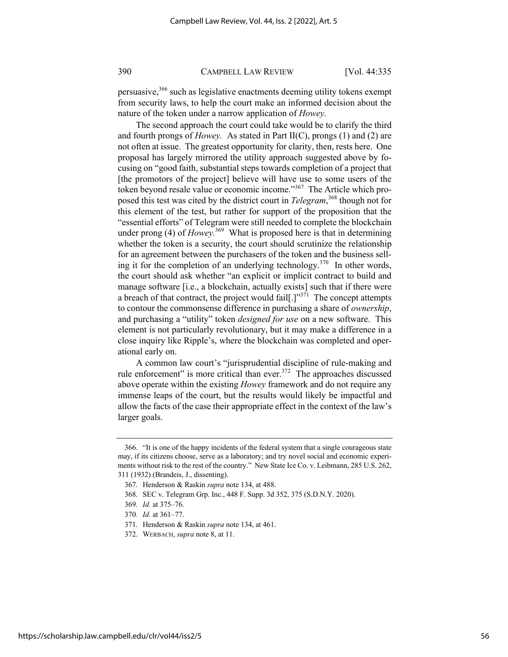persuasive,366 such as legislative enactments deeming utility tokens exempt from security laws, to help the court make an informed decision about the nature of the token under a narrow application of *Howey.*

The second approach the court could take would be to clarify the third and fourth prongs of *Howey.* As stated in Part II(C), prongs (1) and (2) are not often at issue. The greatest opportunity for clarity, then, rests here. One proposal has largely mirrored the utility approach suggested above by focusing on "good faith, substantial steps towards completion of a project that [the promotors of the project] believe will have use to some users of the token beyond resale value or economic income."367 The Article which proposed this test was cited by the district court in *Telegram*, <sup>368</sup> though not for this element of the test, but rather for support of the proposition that the "essential efforts" of Telegram were still needed to complete the blockchain under prong (4) of *Howey*.<sup>369</sup> What is proposed here is that in determining whether the token is a security, the court should scrutinize the relationship for an agreement between the purchasers of the token and the business selling it for the completion of an underlying technology.<sup>370</sup> In other words, the court should ask whether "an explicit or implicit contract to build and manage software [i.e., a blockchain, actually exists] such that if there were a breach of that contract, the project would fail[.]" $371$  The concept attempts to contour the commonsense difference in purchasing a share of *ownership*, and purchasing a "utility" token *designed for use* on a new software. This element is not particularly revolutionary, but it may make a difference in a close inquiry like Ripple's, where the blockchain was completed and operational early on.

A common law court's "jurisprudential discipline of rule-making and rule enforcement" is more critical than ever.<sup>372</sup> The approaches discussed above operate within the existing *Howey* framework and do not require any immense leaps of the court, but the results would likely be impactful and allow the facts of the case their appropriate effect in the context of the law's larger goals.

<sup>366.</sup> "It is one of the happy incidents of the federal system that a single courageous state may, if its citizens choose, serve as a laboratory; and try novel social and economic experiments without risk to the rest of the country." New State Ice Co. v. Leibmann, 285 U.S. 262, 311 (1932) (Brandeis, J., dissenting).

<sup>367.</sup> Henderson & Raskin *supra* note 134, at 488.

<sup>368.</sup> SEC v. Telegram Grp. Inc., 448 F. Supp. 3d 352, 375 (S.D.N.Y. 2020).

<sup>369</sup>*. Id.* at 375–76.

<sup>370</sup>*. Id.* at 361–77.

<sup>371.</sup> Henderson & Raskin *supra* note 134, at 461.

<sup>372.</sup> WERBACH, *supra* note 8, at 11.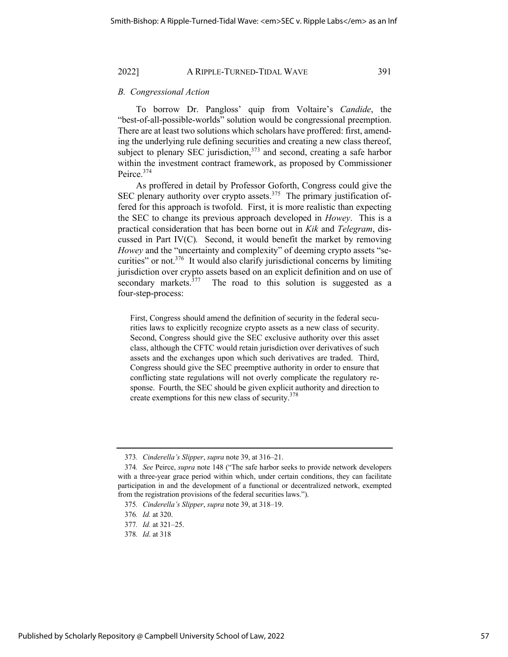#### *B. Congressional Action*

To borrow Dr. Pangloss' quip from Voltaire's *Candide*, the "best-of-all-possible-worlds" solution would be congressional preemption. There are at least two solutions which scholars have proffered: first, amending the underlying rule defining securities and creating a new class thereof, subject to plenary SEC jurisdiction,<sup>373</sup> and second, creating a safe harbor within the investment contract framework, as proposed by Commissioner Peirce.374

As proffered in detail by Professor Goforth, Congress could give the SEC plenary authority over crypto assets.<sup>375</sup> The primary justification offered for this approach is twofold. First, it is more realistic than expecting the SEC to change its previous approach developed in *Howey*. This is a practical consideration that has been borne out in *Kik* and *Telegram*, discussed in Part IV(C)*.* Second, it would benefit the market by removing *Howey* and the "uncertainty and complexity" of deeming crypto assets "securities" or not.<sup>376</sup> It would also clarify jurisdictional concerns by limiting jurisdiction over crypto assets based on an explicit definition and on use of secondary markets. $377$  The road to this solution is suggested as a four-step-process:

First, Congress should amend the definition of security in the federal securities laws to explicitly recognize crypto assets as a new class of security. Second, Congress should give the SEC exclusive authority over this asset class, although the CFTC would retain jurisdiction over derivatives of such assets and the exchanges upon which such derivatives are traded. Third, Congress should give the SEC preemptive authority in order to ensure that conflicting state regulations will not overly complicate the regulatory response. Fourth, the SEC should be given explicit authority and direction to create exemptions for this new class of security.<sup>378</sup>

<sup>373</sup>*. Cinderella's Slipper*, *supra* note 39, at 316–21.

<sup>374</sup>*. See* Peirce, *supra* note 148 ("The safe harbor seeks to provide network developers with a three-year grace period within which, under certain conditions, they can facilitate participation in and the development of a functional or decentralized network, exempted from the registration provisions of the federal securities laws.").

<sup>375</sup>*. Cinderella's Slipper*, *supra* note 39, at 318–19.

<sup>376</sup>*. Id.* at 320.

<sup>377</sup>*. Id.* at 321–25.

<sup>378</sup>*. Id*. at 318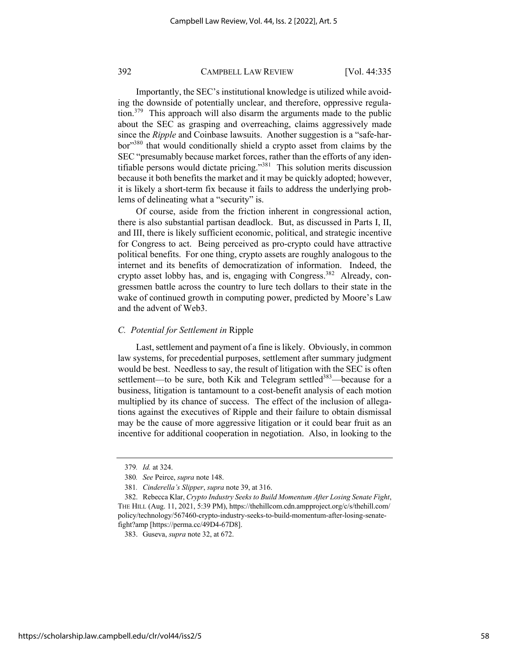Importantly, the SEC's institutional knowledge is utilized while avoiding the downside of potentially unclear, and therefore, oppressive regulation.<sup>379</sup> This approach will also disarm the arguments made to the public about the SEC as grasping and overreaching, claims aggressively made since the *Ripple* and Coinbase lawsuits. Another suggestion is a "safe-harbor"380 that would conditionally shield a crypto asset from claims by the SEC "presumably because market forces, rather than the efforts of any identifiable persons would dictate pricing."381 This solution merits discussion because it both benefits the market and it may be quickly adopted; however, it is likely a short-term fix because it fails to address the underlying problems of delineating what a "security" is.

Of course, aside from the friction inherent in congressional action, there is also substantial partisan deadlock. But, as discussed in Parts I, II, and III, there is likely sufficient economic, political, and strategic incentive for Congress to act. Being perceived as pro-crypto could have attractive political benefits. For one thing, crypto assets are roughly analogous to the internet and its benefits of democratization of information. Indeed, the crypto asset lobby has, and is, engaging with Congress.<sup>382</sup> Already, congressmen battle across the country to lure tech dollars to their state in the wake of continued growth in computing power, predicted by Moore's Law and the advent of Web3.

### *C. Potential for Settlement in* Ripple

Last, settlement and payment of a fine is likely. Obviously, in common law systems, for precedential purposes, settlement after summary judgment would be best. Needless to say, the result of litigation with the SEC is often settlement—to be sure, both Kik and Telegram settled<sup>383</sup>—because for a business, litigation is tantamount to a cost-benefit analysis of each motion multiplied by its chance of success. The effect of the inclusion of allegations against the executives of Ripple and their failure to obtain dismissal may be the cause of more aggressive litigation or it could bear fruit as an incentive for additional cooperation in negotiation. Also, in looking to the

<sup>379</sup>*. Id.* at 324.

<sup>380</sup>*. See* Peirce, *supra* note 148.

<sup>381</sup>*. Cinderella's Slipper*, *supra* note 39, at 316.

<sup>382.</sup> Rebecca Klar, *Crypto Industry Seeks to Build Momentum After Losing Senate Fight*, THE HILL (Aug. 11, 2021, 5:39 PM), https://thehillcom.cdn.ampproject.org/c/s/thehill.com/ policy/technology/567460-crypto-industry-seeks-to-build-momentum-after-losing-senatefight?amp [https://perma.cc/49D4-67D8].

<sup>383.</sup> Guseva, *supra* note 32, at 672.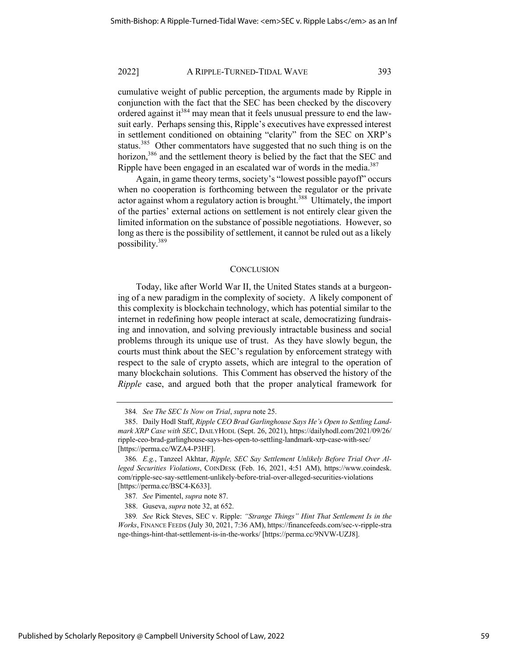cumulative weight of public perception, the arguments made by Ripple in conjunction with the fact that the SEC has been checked by the discovery ordered against it<sup>384</sup> may mean that it feels unusual pressure to end the lawsuit early. Perhaps sensing this, Ripple's executives have expressed interest in settlement conditioned on obtaining "clarity" from the SEC on XRP's status.<sup>385</sup> Other commentators have suggested that no such thing is on the horizon,<sup>386</sup> and the settlement theory is belied by the fact that the SEC and Ripple have been engaged in an escalated war of words in the media.<sup>387</sup>

Again, in game theory terms, society's "lowest possible payoff" occurs when no cooperation is forthcoming between the regulator or the private actor against whom a regulatory action is brought.<sup>388</sup> Ultimately, the import of the parties' external actions on settlement is not entirely clear given the limited information on the substance of possible negotiations. However, so long as there is the possibility of settlement, it cannot be ruled out as a likely possibility.389

#### **CONCLUSION**

Today, like after World War II, the United States stands at a burgeoning of a new paradigm in the complexity of society. A likely component of this complexity is blockchain technology, which has potential similar to the internet in redefining how people interact at scale, democratizing fundraising and innovation, and solving previously intractable business and social problems through its unique use of trust. As they have slowly begun, the courts must think about the SEC's regulation by enforcement strategy with respect to the sale of crypto assets, which are integral to the operation of many blockchain solutions. This Comment has observed the history of the *Ripple* case, and argued both that the proper analytical framework for

<sup>384</sup>*. See The SEC Is Now on Trial*, *supra* note 25.

<sup>385.</sup> Daily Hodl Staff, *Ripple CEO Brad Garlinghouse Says He's Open to Settling Landmark XRP Case with SEC*, DAILYHODL (Sept. 26, 2021), https://dailyhodl.com/2021/09/26/ ripple-ceo-brad-garlinghouse-says-hes-open-to-settling-landmark-xrp-case-with-sec/ [https://perma.cc/WZA4-P3HF].

<sup>386</sup>*. E.g.*, Tanzeel Akhtar, *Ripple, SEC Say Settlement Unlikely Before Trial Over Alleged Securities Violations*, COINDESK (Feb. 16, 2021, 4:51 AM), https://www.coindesk. com/ripple-sec-say-settlement-unlikely-before-trial-over-alleged-securities-violations [https://perma.cc/BSC4-K633].

<sup>387</sup>*. See* Pimentel, *supra* note 87.

<sup>388.</sup> Guseva, *supra* note 32, at 652.

<sup>389</sup>*. See* Rick Steves, SEC v. Ripple: *"Strange Things" Hint That Settlement Is in the Works*, FINANCE FEEDS (July 30, 2021, 7:36 AM), https://financefeeds.com/sec-v-ripple-stra nge-things-hint-that-settlement-is-in-the-works/ [https://perma.cc/9NVW-UZJ8].